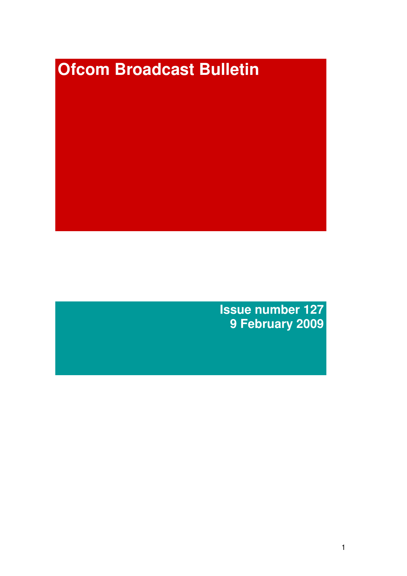# **Ofcom Broadcast Bulletin**

**Issue number 127 9 February 2009**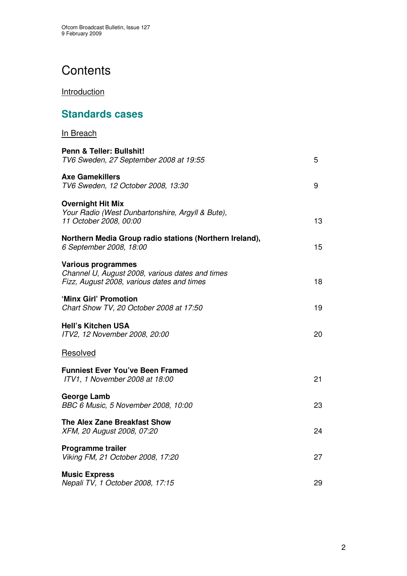# **Contents**

**Introduction** 

# **Standards cases**

| <b>In Breach</b>                                                                                                           |    |
|----------------------------------------------------------------------------------------------------------------------------|----|
| Penn & Teller: Bullshit!<br>TV6 Sweden, 27 September 2008 at 19:55                                                         | 5  |
| <b>Axe Gamekillers</b><br>TV6 Sweden, 12 October 2008, 13:30                                                               | 9  |
| <b>Overnight Hit Mix</b><br>Your Radio (West Dunbartonshire, Argyll & Bute),<br>11 October 2008, 00:00                     | 13 |
| Northern Media Group radio stations (Northern Ireland),<br>6 September 2008, 18:00                                         | 15 |
| <b>Various programmes</b><br>Channel U, August 2008, various dates and times<br>Fizz, August 2008, various dates and times | 18 |
| 'Minx Girl' Promotion<br>Chart Show TV, 20 October 2008 at 17:50                                                           | 19 |
| <b>Hell's Kitchen USA</b><br>ITV2, 12 November 2008, 20:00                                                                 | 20 |
| Resolved                                                                                                                   |    |
| <b>Funniest Ever You've Been Framed</b><br>ITV1, 1 November 2008 at 18:00                                                  | 21 |
| <b>George Lamb</b><br>BBC 6 Music, 5 November 2008, 10:00                                                                  | 23 |
| <b>The Alex Zane Breakfast Show</b><br>XFM, 20 August 2008, 07:20                                                          | 24 |
| <b>Programme trailer</b><br>Viking FM, 21 October 2008, 17:20                                                              | 27 |
| <b>Music Express</b><br>Nepali TV, 1 October 2008, 17:15                                                                   | 29 |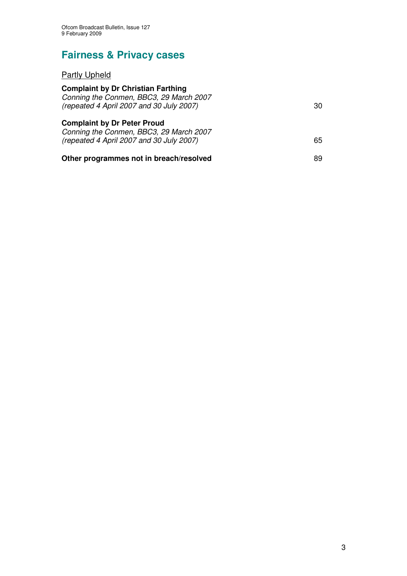# **Fairness & Privacy cases**

## Partly Upheld

| <b>Complaint by Dr Christian Farthing</b><br>Conning the Conmen, BBC3, 29 March 2007<br>(repeated 4 April 2007 and 30 July 2007) | 30 |
|----------------------------------------------------------------------------------------------------------------------------------|----|
| <b>Complaint by Dr Peter Proud</b><br>Conning the Conmen, BBC3, 29 March 2007<br>(repeated 4 April 2007 and 30 July 2007)        | 65 |
| Other programmes not in breach/resolved                                                                                          | 89 |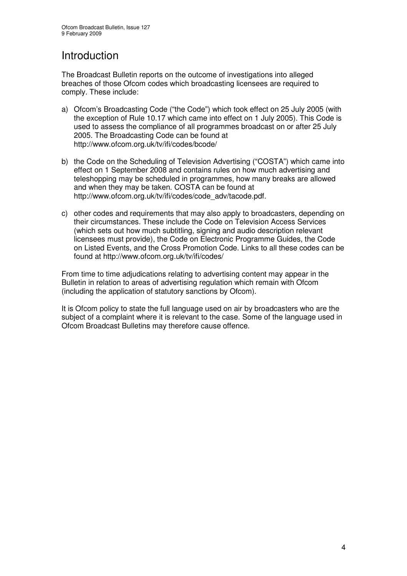# Introduction

The Broadcast Bulletin reports on the outcome of investigations into alleged breaches of those Ofcom codes which broadcasting licensees are required to comply. These include:

- a) Ofcom's Broadcasting Code ("the Code") which took effect on 25 July 2005 (with the exception of Rule 10.17 which came into effect on 1 July 2005). This Code is used to assess the compliance of all programmes broadcast on or after 25 July 2005. The Broadcasting Code can be found at http://www.ofcom.org.uk/tv/ifi/codes/bcode/
- b) the Code on the Scheduling of Television Advertising ("COSTA") which came into effect on 1 September 2008 and contains rules on how much advertising and teleshopping may be scheduled in programmes, how many breaks are allowed and when they may be taken. COSTA can be found at http://www.ofcom.org.uk/tv/ifi/codes/code\_adv/tacode.pdf.
- c) other codes and requirements that may also apply to broadcasters, depending on their circumstances. These include the Code on Television Access Services (which sets out how much subtitling, signing and audio description relevant licensees must provide), the Code on Electronic Programme Guides, the Code on Listed Events, and the Cross Promotion Code. Links to all these codes can be found at http://www.ofcom.org.uk/tv/ifi/codes/

From time to time adjudications relating to advertising content may appear in the Bulletin in relation to areas of advertising regulation which remain with Ofcom (including the application of statutory sanctions by Ofcom).

It is Ofcom policy to state the full language used on air by broadcasters who are the subject of a complaint where it is relevant to the case. Some of the language used in Ofcom Broadcast Bulletins may therefore cause offence.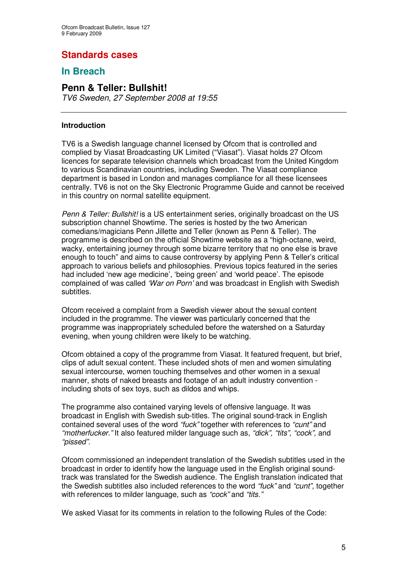## **Standards cases**

## **In Breach**

## **Penn & Teller: Bullshit!**

*TV6 Sweden, 27 September 2008 at 19:55*

#### **Introduction**

TV6 is a Swedish language channel licensed by Ofcom that is controlled and complied by Viasat Broadcasting UK Limited ("Viasat"). Viasat holds 27 Ofcom licences for separate television channels which broadcast from the United Kingdom to various Scandinavian countries, including Sweden. The Viasat compliance department is based in London and manages compliance for all these licensees centrally. TV6 is not on the Sky Electronic Programme Guide and cannot be received in this country on normal satellite equipment.

*Penn & Teller: Bullshit!* is a US entertainment series, originally broadcast on the US subscription channel Showtime. The series is hosted by the two American comedians/magicians Penn Jillette and Teller (known as Penn & Teller). The programme is described on the official Showtime website as a "high-octane, weird, wacky, entertaining journey through some bizarre territory that no one else is brave enough to touch" and aims to cause controversy by applying Penn & Teller's critical approach to various beliefs and philosophies. Previous topics featured in the series had included 'new age medicine', 'being green' and 'world peace'. The episode complained of was called *'War on Porn'* and was broadcast in English with Swedish subtitles.

Ofcom received a complaint from a Swedish viewer about the sexual content included in the programme. The viewer was particularly concerned that the programme was inappropriately scheduled before the watershed on a Saturday evening, when young children were likely to be watching.

Ofcom obtained a copy of the programme from Viasat. It featured frequent, but brief, clips of adult sexual content. These included shots of men and women simulating sexual intercourse, women touching themselves and other women in a sexual manner, shots of naked breasts and footage of an adult industry convention including shots of sex toys, such as dildos and whips.

The programme also contained varying levels of offensive language. It was broadcast in English with Swedish sub-titles. The original sound-track in English contained several uses of the word *"fuck"* together with references to *"cunt"* and *"motherfucker."* It also featured milder language such as, *"dick", "tits", "cock",* and *"pissed".*

Ofcom commissioned an independent translation of the Swedish subtitles used in the broadcast in order to identify how the language used in the English original soundtrack was translated for the Swedish audience. The English translation indicated that the Swedish subtitles also included references to the word *"fuck"* and *"cunt",* together with references to milder language, such as *"cock"* and *"tits."*

We asked Viasat for its comments in relation to the following Rules of the Code: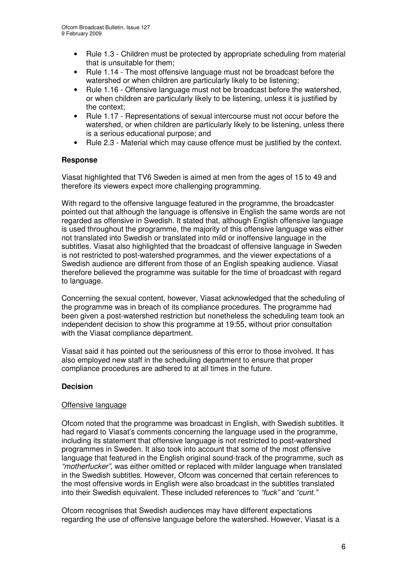- Rule 1.3 Children must be protected by appropriate scheduling from material that is unsuitable for them;
- Rule 1.14 The most offensive language must not be broadcast before the watershed or when children are particularly likely to be listening;
- Rule 1.16 Offensive language must not be broadcast before the watershed, or when children are particularly likely to be listening, unless it is justified by the context;
- Rule 1.17 Representations of sexual intercourse must not occur before the watershed, or when children are particularly likely to be listening, unless there is a serious educational purpose; and
- Rule 2.3 Material which may cause offence must be justified by the context.

#### **Response**

Viasat highlighted that TV6 Sweden is aimed at men from the ages of 15 to 49 and therefore its viewers expect more challenging programming.

With regard to the offensive language featured in the programme, the broadcaster pointed out that although the language is offensive in English the same words are not regarded as offensive in Swedish. It stated that, although English offensive language is used throughout the programme, the majority of this offensive language was either not translated into Swedish or translated into mild or inoffensive language in the subtitles. Viasat also highlighted that the broadcast of offensive language in Sweden is not restricted to post-watershed programmes, and the viewer expectations of a Swedish audience are different from those of an English speaking audience. Viasat therefore believed the programme was suitable for the time of broadcast with regard to language.

Concerning the sexual content, however, Viasat acknowledged that the scheduling of the programme was in breach of its compliance procedures. The programme had been given a post-watershed restriction but nonetheless the scheduling team took an independent decision to show this programme at 19:55, without prior consultation with the Viasat compliance department.

Viasat said it has pointed out the seriousness of this error to those involved. It has also employed new staff in the scheduling department to ensure that proper compliance procedures are adhered to at all times in the future.

#### **Decision**

#### Offensive language

Ofcom noted that the programme was broadcast in English, with Swedish subtitles. It had regard to Viasat's comments concerning the language used in the programme, including its statement that offensive language is not restricted to post-watershed programmes in Sweden. It also took into account that some of the most offensive language that featured in the English original sound-track of the programme, such as *"motherfucker",* was either omitted or replaced with milder language when translated in the Swedish subtitles. However, Ofcom was concerned that certain references to the most offensive words in English were also broadcast in the subtitles translated into their Swedish equivalent. These included references to *"fuck"* and *"cunt."*

Ofcom recognises that Swedish audiences may have different expectations regarding the use of offensive language before the watershed. However, Viasat is a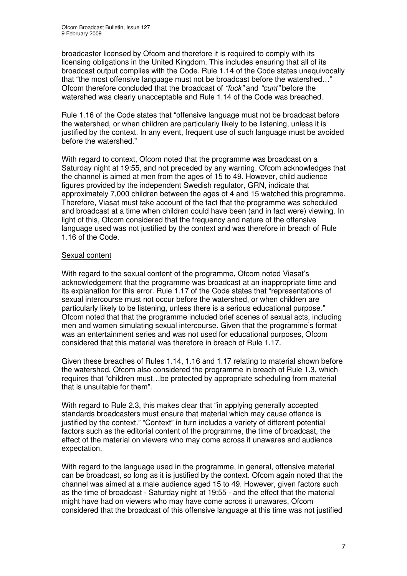broadcaster licensed by Ofcom and therefore it is required to comply with its licensing obligations in the United Kingdom. This includes ensuring that all of its broadcast output complies with the Code. Rule 1.14 of the Code states unequivocally that "the most offensive language must not be broadcast before the watershed…" Ofcom therefore concluded that the broadcast of *"fuck"* and *"cunt"* before the watershed was clearly unacceptable and Rule 1.14 of the Code was breached.

Rule 1.16 of the Code states that "offensive language must not be broadcast before the watershed, or when children are particularly likely to be listening, unless it is justified by the context. In any event, frequent use of such language must be avoided before the watershed."

With regard to context, Ofcom noted that the programme was broadcast on a Saturday night at 19:55, and not preceded by any warning. Ofcom acknowledges that the channel is aimed at men from the ages of 15 to 49. However, child audience figures provided by the independent Swedish regulator, GRN, indicate that approximately 7,000 children between the ages of 4 and 15 watched this programme. Therefore, Viasat must take account of the fact that the programme was scheduled and broadcast at a time when children could have been (and in fact were) viewing. In light of this, Ofcom considered that the frequency and nature of the offensive language used was not justified by the context and was therefore in breach of Rule 1.16 of the Code.

#### Sexual content

With regard to the sexual content of the programme, Ofcom noted Viasat's acknowledgement that the programme was broadcast at an inappropriate time and its explanation for this error. Rule 1.17 of the Code states that "representations of sexual intercourse must not occur before the watershed, or when children are particularly likely to be listening, unless there is a serious educational purpose." Ofcom noted that that the programme included brief scenes of sexual acts, including men and women simulating sexual intercourse. Given that the programme's format was an entertainment series and was not used for educational purposes, Ofcom considered that this material was therefore in breach of Rule 1.17.

Given these breaches of Rules 1.14, 1.16 and 1.17 relating to material shown before the watershed, Ofcom also considered the programme in breach of Rule 1.3, which requires that "children must…be protected by appropriate scheduling from material that is unsuitable for them".

With regard to Rule 2.3, this makes clear that "in applying generally accepted standards broadcasters must ensure that material which may cause offence is justified by the context." "Context" in turn includes a variety of different potential factors such as the editorial content of the programme, the time of broadcast, the effect of the material on viewers who may come across it unawares and audience expectation.

With regard to the language used in the programme, in general, offensive material can be broadcast, so long as it is justified by the context. Ofcom again noted that the channel was aimed at a male audience aged 15 to 49. However, given factors such as the time of broadcast - Saturday night at 19:55 - and the effect that the material might have had on viewers who may have come across it unawares, Ofcom considered that the broadcast of this offensive language at this time was not justified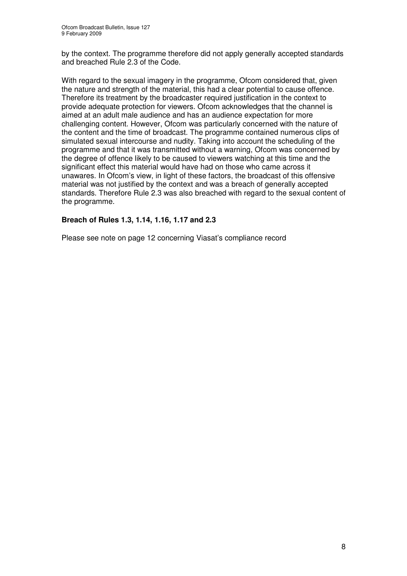by the context. The programme therefore did not apply generally accepted standards and breached Rule 2.3 of the Code.

With regard to the sexual imagery in the programme, Ofcom considered that, given the nature and strength of the material, this had a clear potential to cause offence. Therefore its treatment by the broadcaster required justification in the context to provide adequate protection for viewers. Ofcom acknowledges that the channel is aimed at an adult male audience and has an audience expectation for more challenging content. However, Ofcom was particularly concerned with the nature of the content and the time of broadcast. The programme contained numerous clips of simulated sexual intercourse and nudity. Taking into account the scheduling of the programme and that it was transmitted without a warning, Ofcom was concerned by the degree of offence likely to be caused to viewers watching at this time and the significant effect this material would have had on those who came across it unawares. In Ofcom's view, in light of these factors, the broadcast of this offensive material was not justified by the context and was a breach of generally accepted standards. Therefore Rule 2.3 was also breached with regard to the sexual content of the programme.

#### **Breach of Rules 1.3, 1.14, 1.16, 1.17 and 2.3**

Please see note on page 12 concerning Viasat's compliance record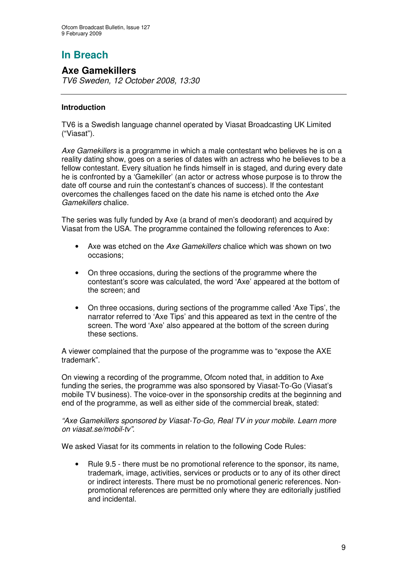## **Axe Gamekillers**

*TV6 Sweden, 12 October 2008, 13:30*

#### **Introduction**

TV6 is a Swedish language channel operated by Viasat Broadcasting UK Limited ("Viasat").

*Axe Gamekillers* is a programme in which a male contestant who believes he is on a reality dating show, goes on a series of dates with an actress who he believes to be a fellow contestant. Every situation he finds himself in is staged, and during every date he is confronted by a 'Gamekiller' (an actor or actress whose purpose is to throw the date off course and ruin the contestant's chances of success). If the contestant overcomes the challenges faced on the date his name is etched onto the *Axe Gamekillers* chalice.

The series was fully funded by Axe (a brand of men's deodorant) and acquired by Viasat from the USA. The programme contained the following references to Axe:

- Axe was etched on the *Axe Gamekillers* chalice which was shown on two occasions;
- On three occasions, during the sections of the programme where the contestant's score was calculated, the word 'Axe' appeared at the bottom of the screen; and
- On three occasions, during sections of the programme called 'Axe Tips', the narrator referred to 'Axe Tips' and this appeared as text in the centre of the screen. The word 'Axe' also appeared at the bottom of the screen during these sections.

A viewer complained that the purpose of the programme was to "expose the AXE trademark".

On viewing a recording of the programme, Ofcom noted that, in addition to Axe funding the series, the programme was also sponsored by Viasat-To-Go (Viasat's mobile TV business). The voice-over in the sponsorship credits at the beginning and end of the programme, as well as either side of the commercial break, stated:

*"Axe Gamekillers sponsored by Viasat-To-Go, Real TV in your mobile. Learn more on viasat.se/mobil-tv".*

We asked Viasat for its comments in relation to the following Code Rules:

• Rule 9.5 - there must be no promotional reference to the sponsor, its name, trademark, image, activities, services or products or to any of its other direct or indirect interests. There must be no promotional generic references. Nonpromotional references are permitted only where they are editorially justified and incidental.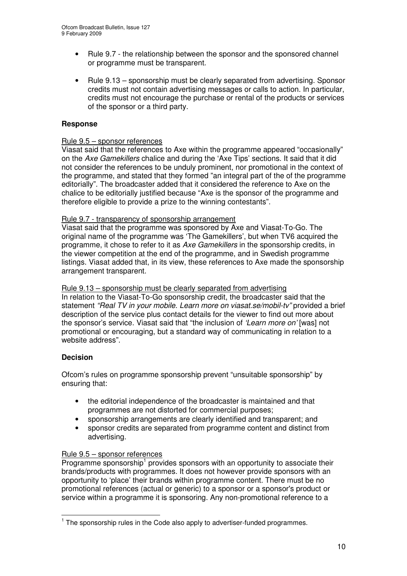- Rule 9.7 the relationship between the sponsor and the sponsored channel or programme must be transparent.
- Rule 9.13 sponsorship must be clearly separated from advertising. Sponsor credits must not contain advertising messages or calls to action. In particular, credits must not encourage the purchase or rental of the products or services of the sponsor or a third party.

#### **Response**

#### Rule 9.5 – sponsor references

Viasat said that the references to Axe within the programme appeared "occasionally" on the *Axe Gamekillers* chalice and during the 'Axe Tips' sections. It said that it did not consider the references to be unduly prominent, nor promotional in the context of the programme, and stated that they formed "an integral part of the of the programme editorially". The broadcaster added that it considered the reference to Axe on the chalice to be editorially justified because "Axe is the sponsor of the programme and therefore eligible to provide a prize to the winning contestants".

#### Rule 9.7 - transparency of sponsorship arrangement

Viasat said that the programme was sponsored by Axe and Viasat-To-Go. The original name of the programme was 'The Gamekillers', but when TV6 acquired the programme, it chose to refer to it as *Axe Gamekillers* in the sponsorship credits, in the viewer competition at the end of the programme, and in Swedish programme listings. Viasat added that, in its view, these references to Axe made the sponsorship arrangement transparent.

#### Rule 9.13 – sponsorship must be clearly separated from advertising

In relation to the Viasat-To-Go sponsorship credit, the broadcaster said that the statement *"Real TV in your mobile. Learn more on viasat.se/mobil-tv"* provided a brief description of the service plus contact details for the viewer to find out more about the sponsor's service. Viasat said that "the inclusion of *'Learn more on'* [was] not promotional or encouraging, but a standard way of communicating in relation to a website address".

#### **Decision**

Ofcom's rules on programme sponsorship prevent "unsuitable sponsorship" by ensuring that:

- the editorial independence of the broadcaster is maintained and that programmes are not distorted for commercial purposes;
- sponsorship arrangements are clearly identified and transparent; and
- sponsor credits are separated from programme content and distinct from advertising.

#### Rule 9.5 – sponsor references

Programme sponsorship<sup>1</sup> provides sponsors with an opportunity to associate their brands/products with programmes. It does not however provide sponsors with an opportunity to 'place' their brands within programme content. There must be no promotional references (actual or generic) to a sponsor or a sponsor's product or service within a programme it is sponsoring. Any non-promotional reference to a

 $1$  The sponsorship rules in the Code also apply to advertiser-funded programmes.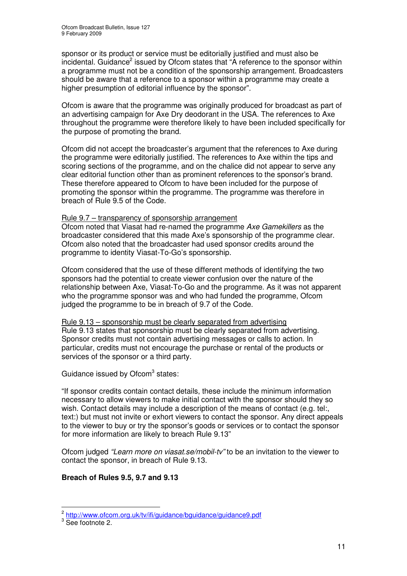sponsor or its product or service must be editorially justified and must also be incidental. Guidance<sup>2</sup> issued by Ofcom states that "A reference to the sponsor within a programme must not be a condition of the sponsorship arrangement. Broadcasters should be aware that a reference to a sponsor within a programme may create a higher presumption of editorial influence by the sponsor".

Ofcom is aware that the programme was originally produced for broadcast as part of an advertising campaign for Axe Dry deodorant in the USA. The references to Axe throughout the programme were therefore likely to have been included specifically for the purpose of promoting the brand.

Ofcom did not accept the broadcaster's argument that the references to Axe during the programme were editorially justified. The references to Axe within the tips and scoring sections of the programme, and on the chalice did not appear to serve any clear editorial function other than as prominent references to the sponsor's brand. These therefore appeared to Ofcom to have been included for the purpose of promoting the sponsor within the programme. The programme was therefore in breach of Rule 9.5 of the Code.

#### Rule 9.7 – transparency of sponsorship arrangement

Ofcom noted that Viasat had re-named the programme *Axe Gamekillers* as the broadcaster considered that this made Axe's sponsorship of the programme clear. Ofcom also noted that the broadcaster had used sponsor credits around the programme to identity Viasat-To-Go's sponsorship.

Ofcom considered that the use of these different methods of identifying the two sponsors had the potential to create viewer confusion over the nature of the relationship between Axe, Viasat-To-Go and the programme. As it was not apparent who the programme sponsor was and who had funded the programme, Ofcom judged the programme to be in breach of 9.7 of the Code.

Rule 9.13 – sponsorship must be clearly separated from advertising Rule 9.13 states that sponsorship must be clearly separated from advertising. Sponsor credits must not contain advertising messages or calls to action. In particular, credits must not encourage the purchase or rental of the products or services of the sponsor or a third party.

Guidance issued by Ofcom<sup>3</sup> states:

"If sponsor credits contain contact details, these include the minimum information necessary to allow viewers to make initial contact with the sponsor should they so wish. Contact details may include a description of the means of contact (e.g. tel:, text:) but must not invite or exhort viewers to contact the sponsor. Any direct appeals to the viewer to buy or try the sponsor's goods or services or to contact the sponsor for more information are likely to breach Rule 9.13"

Ofcom judged *"Learn more on viasat.se/mobil-tv"* to be an invitation to the viewer to contact the sponsor, in breach of Rule 9.13.

#### **Breach of Rules 9.5, 9.7 and 9.13**

<sup>&</sup>lt;sup>2</sup> http://www.ofcom.org.uk/tv/ifi/guidance/bguidance/guidance9.pdf

<sup>&</sup>lt;sup>3</sup> See footnote 2.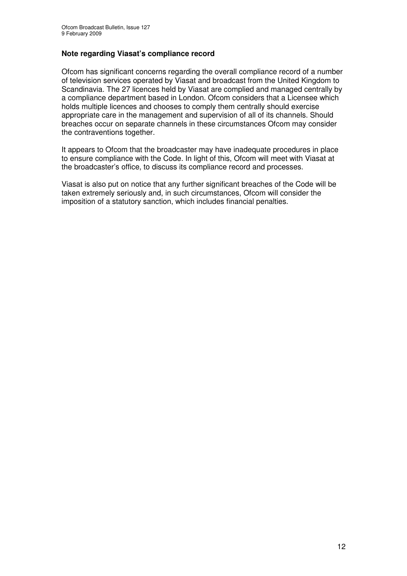#### **Note regarding Viasat's compliance record**

Ofcom has significant concerns regarding the overall compliance record of a number of television services operated by Viasat and broadcast from the United Kingdom to Scandinavia. The 27 licences held by Viasat are complied and managed centrally by a compliance department based in London. Ofcom considers that a Licensee which holds multiple licences and chooses to comply them centrally should exercise appropriate care in the management and supervision of all of its channels. Should breaches occur on separate channels in these circumstances Ofcom may consider the contraventions together.

It appears to Ofcom that the broadcaster may have inadequate procedures in place to ensure compliance with the Code. In light of this, Ofcom will meet with Viasat at the broadcaster's office, to discuss its compliance record and processes.

Viasat is also put on notice that any further significant breaches of the Code will be taken extremely seriously and, in such circumstances, Ofcom will consider the imposition of a statutory sanction, which includes financial penalties.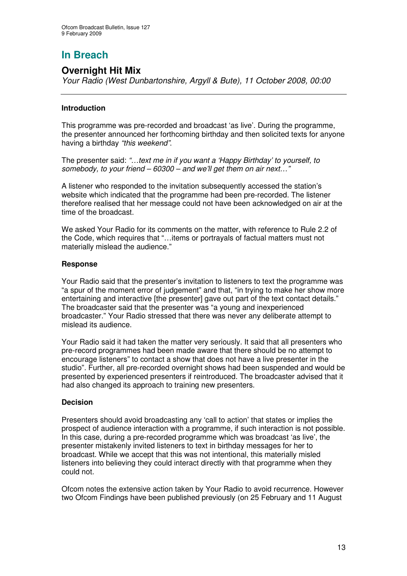## **Overnight Hit Mix**

*Your Radio (West Dunbartonshire, Argyll & Bute), 11 October 2008, 00:00*

#### **Introduction**

This programme was pre-recorded and broadcast 'as live'. During the programme, the presenter announced her forthcoming birthday and then solicited texts for anyone having a birthday *"this weekend"*.

The presenter said: *"…text me in if you want a 'Happy Birthday' to yourself, to somebody, to your friend – 60300 – and we'll get them on air next…"*

A listener who responded to the invitation subsequently accessed the station's website which indicated that the programme had been pre-recorded. The listener therefore realised that her message could not have been acknowledged on air at the time of the broadcast.

We asked Your Radio for its comments on the matter, with reference to Rule 2.2 of the Code, which requires that "…items or portrayals of factual matters must not materially mislead the audience."

#### **Response**

Your Radio said that the presenter's invitation to listeners to text the programme was "a spur of the moment error of judgement" and that, "in trying to make her show more entertaining and interactive [the presenter] gave out part of the text contact details." The broadcaster said that the presenter was "a young and inexperienced broadcaster." Your Radio stressed that there was never any deliberate attempt to mislead its audience.

Your Radio said it had taken the matter very seriously. It said that all presenters who pre-record programmes had been made aware that there should be no attempt to encourage listeners" to contact a show that does not have a live presenter in the studio". Further, all pre-recorded overnight shows had been suspended and would be presented by experienced presenters if reintroduced. The broadcaster advised that it had also changed its approach to training new presenters.

#### **Decision**

Presenters should avoid broadcasting any 'call to action' that states or implies the prospect of audience interaction with a programme, if such interaction is not possible. In this case, during a pre-recorded programme which was broadcast 'as live', the presenter mistakenly invited listeners to text in birthday messages for her to broadcast. While we accept that this was not intentional, this materially misled listeners into believing they could interact directly with that programme when they could not.

Ofcom notes the extensive action taken by Your Radio to avoid recurrence. However two Ofcom Findings have been published previously (on 25 February and 11 August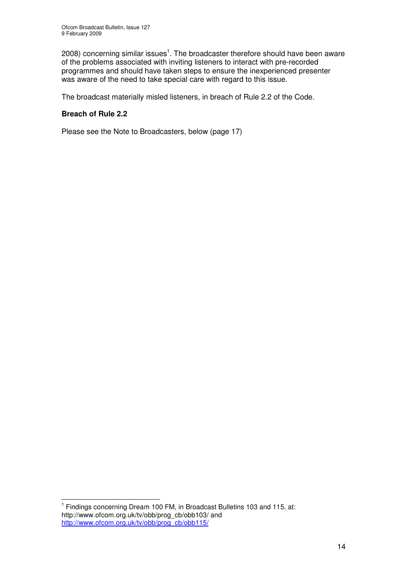2008) concerning similar issues<sup>1</sup>. The broadcaster therefore should have been aware of the problems associated with inviting listeners to interact with pre-recorded programmes and should have taken steps to ensure the inexperienced presenter was aware of the need to take special care with regard to this issue.

The broadcast materially misled listeners, in breach of Rule 2.2 of the Code.

#### **Breach of Rule 2.2**

Please see the Note to Broadcasters, below (page 17)

<sup>&</sup>lt;sup>1</sup> Findings concerning Dream 100 FM, in Broadcast Bulletins 103 and 115, at: http://www.ofcom.org.uk/tv/obb/prog\_cb/obb103/ and http://www.ofcom.org.uk/tv/obb/prog\_cb/obb115/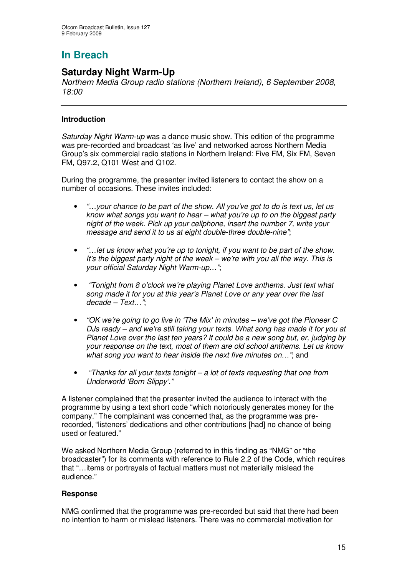## **Saturday Night Warm-Up**

*Northern Media Group radio stations (Northern Ireland), 6 September 2008, 18:00*

#### **Introduction**

*Saturday Night Warm-up* was a dance music show. This edition of the programme was pre-recorded and broadcast 'as live' and networked across Northern Media Group's six commercial radio stations in Northern Ireland: Five FM, Six FM, Seven FM, Q97.2, Q101 West and Q102.

During the programme, the presenter invited listeners to contact the show on a number of occasions. These invites included:

- *"…your chance to be part of the show. All you've got to do is text us, let us know what songs you want to hear – what you're up to on the biggest party night of the week. Pick up your cellphone, insert the number 7, write your message and send it to us at eight double-three double-nine"*;
- *"…let us know what you're up to tonight, if you want to be part of the show. It's the biggest party night of the week – we're with you all the way. This is your official Saturday Night Warm-up…"*;
- *"Tonight from 8 o'clock we're playing Planet Love anthems. Just text what song made it for you at this year's Planet Love or any year over the last decade – Text…"*;
- *"OK we're going to go live in 'The Mix' in minutes – we've got the Pioneer C DJs ready – and we're still taking your texts. What song has made it for you at Planet Love over the last ten years? It could be a new song but, er, judging by your response on the text, most of them are old school anthems. Let us know what song you want to hear inside the next five minutes on…"*; and
- *"Thanks for all your texts tonight – a lot of texts requesting that one from Underworld 'Born Slippy'."*

A listener complained that the presenter invited the audience to interact with the programme by using a text short code "which notoriously generates money for the company." The complainant was concerned that, as the programme was prerecorded, "listeners' dedications and other contributions [had] no chance of being used or featured."

We asked Northern Media Group (referred to in this finding as "NMG" or "the broadcaster") for its comments with reference to Rule 2.2 of the Code, which requires that "…items or portrayals of factual matters must not materially mislead the audience."

#### **Response**

NMG confirmed that the programme was pre-recorded but said that there had been no intention to harm or mislead listeners. There was no commercial motivation for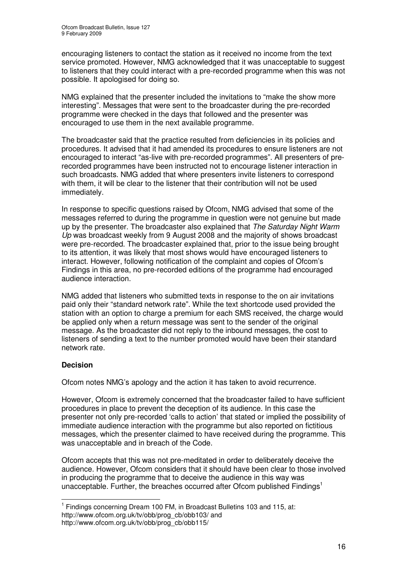encouraging listeners to contact the station as it received no income from the text service promoted. However, NMG acknowledged that it was unacceptable to suggest to listeners that they could interact with a pre-recorded programme when this was not possible. It apologised for doing so.

NMG explained that the presenter included the invitations to "make the show more interesting". Messages that were sent to the broadcaster during the pre-recorded programme were checked in the days that followed and the presenter was encouraged to use them in the next available programme.

The broadcaster said that the practice resulted from deficiencies in its policies and procedures. It advised that it had amended its procedures to ensure listeners are not encouraged to interact "as-live with pre-recorded programmes". All presenters of prerecorded programmes have been instructed not to encourage listener interaction in such broadcasts. NMG added that where presenters invite listeners to correspond with them, it will be clear to the listener that their contribution will not be used immediately.

In response to specific questions raised by Ofcom, NMG advised that some of the messages referred to during the programme in question were not genuine but made up by the presenter. The broadcaster also explained that *The Saturday Night Warm Up* was broadcast weekly from 9 August 2008 and the majority of shows broadcast were pre-recorded. The broadcaster explained that, prior to the issue being brought to its attention, it was likely that most shows would have encouraged listeners to interact. However, following notification of the complaint and copies of Ofcom's Findings in this area, no pre-recorded editions of the programme had encouraged audience interaction.

NMG added that listeners who submitted texts in response to the on air invitations paid only their "standard network rate". While the text shortcode used provided the station with an option to charge a premium for each SMS received, the charge would be applied only when a return message was sent to the sender of the original message. As the broadcaster did not reply to the inbound messages, the cost to listeners of sending a text to the number promoted would have been their standard network rate.

#### **Decision**

Ofcom notes NMG's apology and the action it has taken to avoid recurrence.

However, Ofcom is extremely concerned that the broadcaster failed to have sufficient procedures in place to prevent the deception of its audience. In this case the presenter not only pre-recorded 'calls to action' that stated or implied the possibility of immediate audience interaction with the programme but also reported on fictitious messages, which the presenter claimed to have received during the programme. This was unacceptable and in breach of the Code.

Ofcom accepts that this was not pre-meditated in order to deliberately deceive the audience. However, Ofcom considers that it should have been clear to those involved in producing the programme that to deceive the audience in this way was unacceptable. Further, the breaches occurred after Ofcom published Findings<sup>1</sup>

<sup>&</sup>lt;sup>1</sup> Findings concerning Dream 100 FM, in Broadcast Bulletins 103 and 115, at: http://www.ofcom.org.uk/tv/obb/prog\_cb/obb103/ and http://www.ofcom.org.uk/tv/obb/prog\_cb/obb115/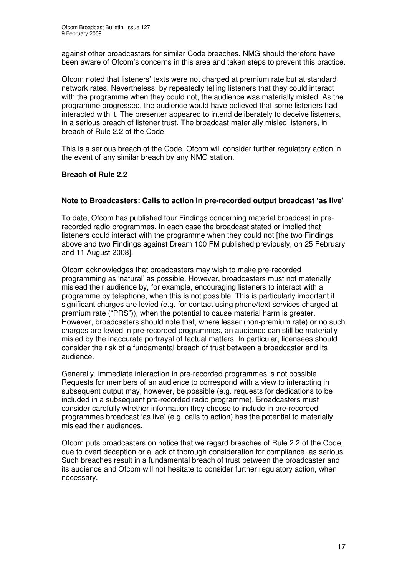against other broadcasters for similar Code breaches. NMG should therefore have been aware of Ofcom's concerns in this area and taken steps to prevent this practice.

Ofcom noted that listeners' texts were not charged at premium rate but at standard network rates. Nevertheless, by repeatedly telling listeners that they could interact with the programme when they could not, the audience was materially misled. As the programme progressed, the audience would have believed that some listeners had interacted with it. The presenter appeared to intend deliberately to deceive listeners, in a serious breach of listener trust. The broadcast materially misled listeners, in breach of Rule 2.2 of the Code.

This is a serious breach of the Code. Ofcom will consider further regulatory action in the event of any similar breach by any NMG station.

#### **Breach of Rule 2.2**

#### **Note to Broadcasters: Calls to action in pre-recorded output broadcast 'as live'**

To date, Ofcom has published four Findings concerning material broadcast in prerecorded radio programmes. In each case the broadcast stated or implied that listeners could interact with the programme when they could not [the two Findings above and two Findings against Dream 100 FM published previously, on 25 February and 11 August 2008].

Ofcom acknowledges that broadcasters may wish to make pre-recorded programming as 'natural' as possible. However, broadcasters must not materially mislead their audience by, for example, encouraging listeners to interact with a programme by telephone, when this is not possible. This is particularly important if significant charges are levied (e.g. for contact using phone/text services charged at premium rate ("PRS")), when the potential to cause material harm is greater. However, broadcasters should note that, where lesser (non-premium rate) or no such charges are levied in pre-recorded programmes, an audience can still be materially misled by the inaccurate portrayal of factual matters. In particular, licensees should consider the risk of a fundamental breach of trust between a broadcaster and its audience.

Generally, immediate interaction in pre-recorded programmes is not possible. Requests for members of an audience to correspond with a view to interacting in subsequent output may, however, be possible (e.g. requests for dedications to be included in a subsequent pre-recorded radio programme). Broadcasters must consider carefully whether information they choose to include in pre-recorded programmes broadcast 'as live' (e.g. calls to action) has the potential to materially mislead their audiences.

Ofcom puts broadcasters on notice that we regard breaches of Rule 2.2 of the Code, due to overt deception or a lack of thorough consideration for compliance, as serious. Such breaches result in a fundamental breach of trust between the broadcaster and its audience and Ofcom will not hesitate to consider further regulatory action, when necessary.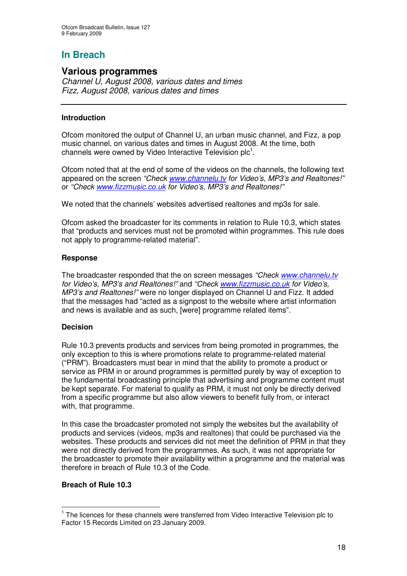#### **Various programmes**

*Channel U, August 2008, various dates and times Fizz, August 2008, various dates and times*

#### **Introduction**

Ofcom monitored the output of Channel U, an urban music channel, and Fizz, a pop music channel, on various dates and times in August 2008. At the time, both channels were owned by Video Interactive Television plc $^{\rm 1}.$ 

Ofcom noted that at the end of some of the videos on the channels, the following text appeared on the screen *"Check www.channelu.tv for Video's, MP3's and Realtones!"* or *"Check www.fizzmusic.co.uk for Video's, MP3's and Realtones!"*

We noted that the channels' websites advertised realtones and mp3s for sale.

Ofcom asked the broadcaster for its comments in relation to Rule 10.3, which states that "products and services must not be promoted within programmes. This rule does not apply to programme-related material".

#### **Response**

The broadcaster responded that the on screen messages *"Check www.channelu.tv for Video's, MP3's and Realtones!"* and *"Check www.fizzmusic.co.uk for Video's, MP3's and Realtones!"* were no longer displayed on Channel U and Fizz. It added that the messages had "acted as a signpost to the website where artist information and news is available and as such, [were] programme related items".

#### **Decision**

Rule 10.3 prevents products and services from being promoted in programmes, the only exception to this is where promotions relate to programme-related material ("PRM"). Broadcasters must bear in mind that the ability to promote a product or service as PRM in or around programmes is permitted purely by way of exception to the fundamental broadcasting principle that advertising and programme content must be kept separate. For material to qualify as PRM, it must not only be directly derived from a specific programme but also allow viewers to benefit fully from, or interact with, that programme.

In this case the broadcaster promoted not simply the websites but the availability of products and services (videos, mp3s and realtones) that could be purchased via the websites. These products and services did not meet the definition of PRM in that they were not directly derived from the programmes. As such, it was not appropriate for the broadcaster to promote their availability within a programme and the material was therefore in breach of Rule 10.3 of the Code.

#### **Breach of Rule 10.3**

<sup>&</sup>lt;sup>1</sup> The licences for these channels were transferred from Video Interactive Television plc to Factor 15 Records Limited on 23 January 2009.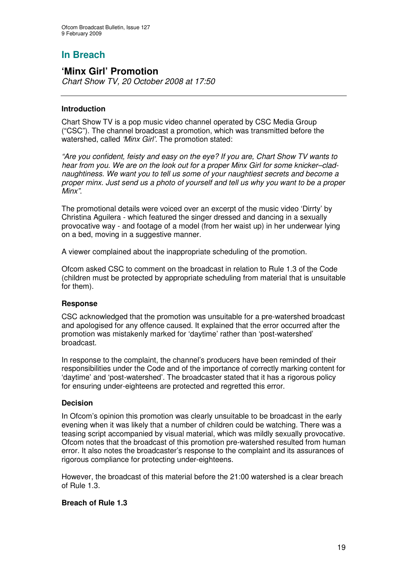### **'Minx Girl' Promotion**

*Chart Show TV, 20 October 2008 at 17:50*

#### **Introduction**

Chart Show TV is a pop music video channel operated by CSC Media Group ("CSC"). The channel broadcast a promotion, which was transmitted before the watershed, called *'Minx Girl'.* The promotion stated:

*"Are you confident, feisty and easy on the eye? If you are, Chart Show TV wants to hear from you. We are on the look out for a proper Minx Girl for some knicker–cladnaughtiness. We want you to tell us some of your naughtiest secrets and become a proper minx. Just send us a photo of yourself and tell us why you want to be a proper Minx"*.

The promotional details were voiced over an excerpt of the music video 'Dirrty' by Christina Aguilera - which featured the singer dressed and dancing in a sexually provocative way - and footage of a model (from her waist up) in her underwear lying on a bed, moving in a suggestive manner.

A viewer complained about the inappropriate scheduling of the promotion.

Ofcom asked CSC to comment on the broadcast in relation to Rule 1.3 of the Code (children must be protected by appropriate scheduling from material that is unsuitable for them).

#### **Response**

CSC acknowledged that the promotion was unsuitable for a pre-watershed broadcast and apologised for any offence caused. It explained that the error occurred after the promotion was mistakenly marked for 'daytime' rather than 'post-watershed' broadcast.

In response to the complaint, the channel's producers have been reminded of their responsibilities under the Code and of the importance of correctly marking content for 'daytime' and 'post-watershed'. The broadcaster stated that it has a rigorous policy for ensuring under-eighteens are protected and regretted this error.

#### **Decision**

In Ofcom's opinion this promotion was clearly unsuitable to be broadcast in the early evening when it was likely that a number of children could be watching. There was a teasing script accompanied by visual material, which was mildly sexually provocative. Ofcom notes that the broadcast of this promotion pre-watershed resulted from human error. It also notes the broadcaster's response to the complaint and its assurances of rigorous compliance for protecting under-eighteens.

However, the broadcast of this material before the 21:00 watershed is a clear breach of Rule 1.3.

#### **Breach of Rule 1.3**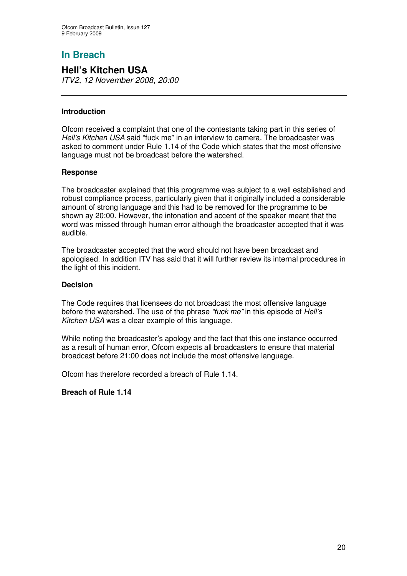**Hell's Kitchen USA** *ITV2, 12 November 2008, 20:00*

#### **Introduction**

Ofcom received a complaint that one of the contestants taking part in this series of *Hell's Kitchen USA* said "fuck me" in an interview to camera. The broadcaster was asked to comment under Rule 1.14 of the Code which states that the most offensive language must not be broadcast before the watershed.

#### **Response**

The broadcaster explained that this programme was subject to a well established and robust compliance process, particularly given that it originally included a considerable amount of strong language and this had to be removed for the programme to be shown ay 20:00. However, the intonation and accent of the speaker meant that the word was missed through human error although the broadcaster accepted that it was audible.

The broadcaster accepted that the word should not have been broadcast and apologised. In addition ITV has said that it will further review its internal procedures in the light of this incident.

#### **Decision**

The Code requires that licensees do not broadcast the most offensive language before the watershed. The use of the phrase *"fuck me"* in this episode of *Hell's Kitchen USA* was a clear example of this language.

While noting the broadcaster's apology and the fact that this one instance occurred as a result of human error, Ofcom expects all broadcasters to ensure that material broadcast before 21:00 does not include the most offensive language.

Ofcom has therefore recorded a breach of Rule 1.14.

#### **Breach of Rule 1.14**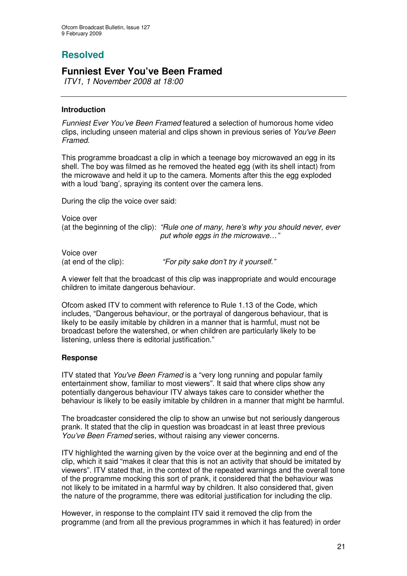## **Resolved**

## **Funniest Ever You've Been Framed**

*ITV1, 1 November 2008 at 18:00*

#### **Introduction**

*Funniest Ever You've Been Framed* featured a selection of humorous home video clips, including unseen material and clips shown in previous series of *You've Been Framed.*

This programme broadcast a clip in which a teenage boy microwaved an egg in its shell. The boy was filmed as he removed the heated egg (with its shell intact) from the microwave and held it up to the camera. Moments after this the egg exploded with a loud 'bang', spraying its content over the camera lens.

During the clip the voice over said:

Voice over (at the beginning of the clip): *"Rule one of many, here's why you should never, ever put whole eggs in the microwave…"*

Voice over

(at end of the clip): *"For pity sake don't try it yourself."*

A viewer felt that the broadcast of this clip was inappropriate and would encourage children to imitate dangerous behaviour.

Ofcom asked ITV to comment with reference to Rule 1.13 of the Code, which includes, "Dangerous behaviour, or the portrayal of dangerous behaviour, that is likely to be easily imitable by children in a manner that is harmful, must not be broadcast before the watershed, or when children are particularly likely to be listening, unless there is editorial justification."

#### **Response**

ITV stated that *You've Been Framed* is a "very long running and popular family entertainment show, familiar to most viewers". It said that where clips show any potentially dangerous behaviour ITV always takes care to consider whether the behaviour is likely to be easily imitable by children in a manner that might be harmful.

The broadcaster considered the clip to show an unwise but not seriously dangerous prank. It stated that the clip in question was broadcast in at least three previous *You've Been Framed* series, without raising any viewer concerns.

ITV highlighted the warning given by the voice over at the beginning and end of the clip, which it said "makes it clear that this is not an activity that should be imitated by viewers". ITV stated that, in the context of the repeated warnings and the overall tone of the programme mocking this sort of prank, it considered that the behaviour was not likely to be imitated in a harmful way by children. It also considered that, given the nature of the programme, there was editorial justification for including the clip.

However, in response to the complaint ITV said it removed the clip from the programme (and from all the previous programmes in which it has featured) in order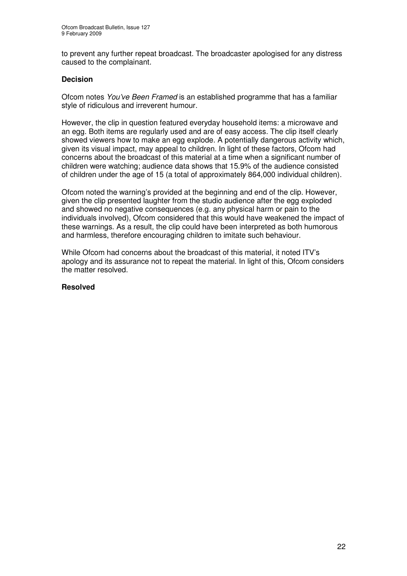to prevent any further repeat broadcast. The broadcaster apologised for any distress caused to the complainant.

#### **Decision**

Ofcom notes *You've Been Framed* is an established programme that has a familiar style of ridiculous and irreverent humour.

However, the clip in question featured everyday household items: a microwave and an egg. Both items are regularly used and are of easy access. The clip itself clearly showed viewers how to make an egg explode. A potentially dangerous activity which, given its visual impact, may appeal to children. In light of these factors, Ofcom had concerns about the broadcast of this material at a time when a significant number of children were watching; audience data shows that 15.9% of the audience consisted of children under the age of 15 (a total of approximately 864,000 individual children).

Ofcom noted the warning's provided at the beginning and end of the clip. However, given the clip presented laughter from the studio audience after the egg exploded and showed no negative consequences (e.g. any physical harm or pain to the individuals involved), Ofcom considered that this would have weakened the impact of these warnings. As a result, the clip could have been interpreted as both humorous and harmless, therefore encouraging children to imitate such behaviour.

While Ofcom had concerns about the broadcast of this material, it noted ITV's apology and its assurance not to repeat the material. In light of this, Ofcom considers the matter resolved.

#### **Resolved**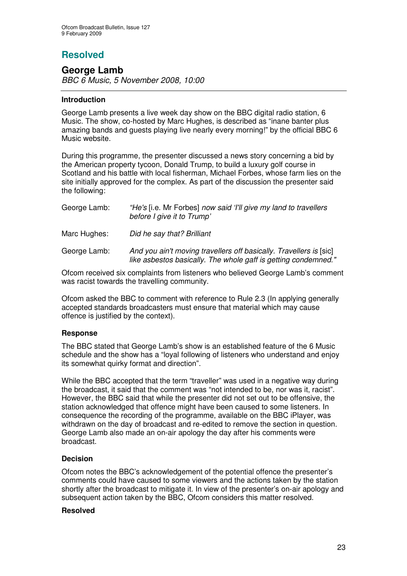## **Resolved**

## **George Lamb**

*BBC 6 Music, 5 November 2008, 10:00*

#### **Introduction**

George Lamb presents a live week day show on the BBC digital radio station, 6 Music. The show, co-hosted by Marc Hughes, is described as "inane banter plus amazing bands and guests playing live nearly every morning!" by the official BBC 6 Music website.

During this programme, the presenter discussed a news story concerning a bid by the American property tycoon, Donald Trump, to build a luxury golf course in Scotland and his battle with local fisherman, Michael Forbes, whose farm lies on the site initially approved for the complex. As part of the discussion the presenter said the following:

| George Lamb: | "He's [i.e. Mr Forbes] now said 'I'll give my land to travellers<br>before I give it to Trump'                                       |
|--------------|--------------------------------------------------------------------------------------------------------------------------------------|
| Marc Hughes: | Did he say that? Brilliant                                                                                                           |
| George Lamb: | And you ain't moving travellers off basically. Travellers is [sic]<br>like asbestos basically. The whole gaff is getting condemned." |
|              |                                                                                                                                      |

Ofcom received six complaints from listeners who believed George Lamb's comment was racist towards the travelling community.

Ofcom asked the BBC to comment with reference to Rule 2.3 (In applying generally accepted standards broadcasters must ensure that material which may cause offence is justified by the context).

#### **Response**

The BBC stated that George Lamb's show is an established feature of the 6 Music schedule and the show has a "loyal following of listeners who understand and enjoy its somewhat quirky format and direction".

While the BBC accepted that the term "traveller" was used in a negative way during the broadcast, it said that the comment was "not intended to be, nor was it, racist". However, the BBC said that while the presenter did not set out to be offensive, the station acknowledged that offence might have been caused to some listeners. In consequence the recording of the programme, available on the BBC iPlayer, was withdrawn on the day of broadcast and re-edited to remove the section in question. George Lamb also made an on-air apology the day after his comments were broadcast.

#### **Decision**

Ofcom notes the BBC's acknowledgement of the potential offence the presenter's comments could have caused to some viewers and the actions taken by the station shortly after the broadcast to mitigate it. In view of the presenter's on-air apology and subsequent action taken by the BBC, Ofcom considers this matter resolved.

#### **Resolved**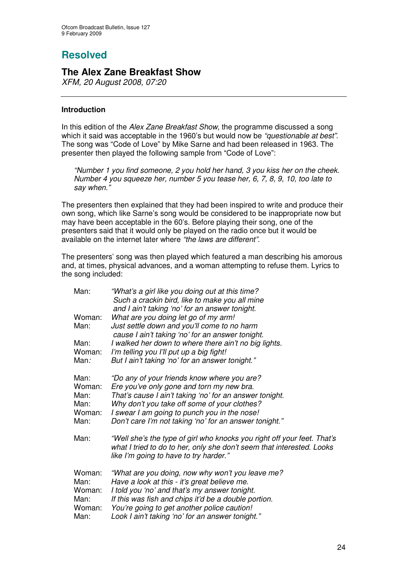# **Resolved**

### **The Alex Zane Breakfast Show**

*XFM, 20 August 2008, 07:20*

#### **Introduction**

In this edition of the *Alex Zane Breakfast Show*, the programme discussed a song which it said was acceptable in the 1960's but would now be *"questionable at best"*. The song was "Code of Love" by Mike Sarne and had been released in 1963. The presenter then played the following sample from "Code of Love":

*"Number 1 you find someone, 2 you hold her hand, 3 you kiss her on the cheek. Number 4 you squeeze her, number 5 you tease her, 6, 7, 8, 9, 10, too late to say when."*

The presenters then explained that they had been inspired to write and produce their own song, which like Sarne's song would be considered to be inappropriate now but may have been acceptable in the 60's. Before playing their song, one of the presenters said that it would only be played on the radio once but it would be available on the internet later where *"the laws are different".*

The presenters' song was then played which featured a man describing his amorous and, at times, physical advances, and a woman attempting to refuse them. Lyrics to the song included:

| Man:           | "What's a girl like you doing out at this time?<br>Such a crackin bird, like to make you all mine<br>and I ain't taking 'no' for an answer tonight.                                        |
|----------------|--------------------------------------------------------------------------------------------------------------------------------------------------------------------------------------------|
| Woman:         | What are you doing let go of my arm!                                                                                                                                                       |
| Man:           | Just settle down and you'll come to no harm<br>cause I ain't taking 'no' for an answer tonight.                                                                                            |
| Man:           | I walked her down to where there ain't no big lights.                                                                                                                                      |
| Woman:         | I'm telling you I'll put up a big fight!                                                                                                                                                   |
| Man:           | But I ain't taking 'no' for an answer tonight."                                                                                                                                            |
| Man:           | "Do any of your friends know where you are?                                                                                                                                                |
| Woman:         | Ere you've only gone and torn my new bra.                                                                                                                                                  |
| Man:           | That's cause I ain't taking 'no' for an answer tonight.                                                                                                                                    |
| Man:           | Why don't you take off some of your clothes?                                                                                                                                               |
| Woman:<br>Man: | I swear I am going to punch you in the nose!<br>Don't care I'm not taking 'no' for an answer tonight."                                                                                     |
|                |                                                                                                                                                                                            |
| Man:           | "Well she's the type of girl who knocks you right off your feet. That's<br>what I tried to do to her, only she don't seem that interested. Looks<br>like I'm going to have to try harder." |
| Woman:         | "What are you doing, now why won't you leave me?                                                                                                                                           |
| Man:           | Have a look at this - it's great believe me.                                                                                                                                               |
| Woman:         | I told you 'no' and that's my answer tonight.                                                                                                                                              |
| Man:           | If this was fish and chips it'd be a double portion.                                                                                                                                       |
| Woman:         | You're going to get another police caution!                                                                                                                                                |
| Man:           | Look I ain't taking 'no' for an answer tonight."                                                                                                                                           |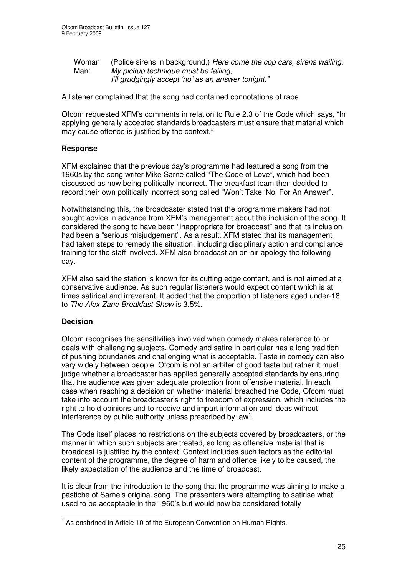Woman: (Police sirens in background.) *Here come the cop cars, sirens wailing.* Man: *My pickup technique must be failing, I'll grudgingly accept 'no' as an answer tonight."*

A listener complained that the song had contained connotations of rape.

Ofcom requested XFM's comments in relation to Rule 2.3 of the Code which says, "In applying generally accepted standards broadcasters must ensure that material which may cause offence is justified by the context."

#### **Response**

XFM explained that the previous day's programme had featured a song from the 1960s by the song writer Mike Sarne called "The Code of Love", which had been discussed as now being politically incorrect. The breakfast team then decided to record their own politically incorrect song called "Won't Take 'No' For An Answer".

Notwithstanding this, the broadcaster stated that the programme makers had not sought advice in advance from XFM's management about the inclusion of the song. It considered the song to have been "inappropriate for broadcast" and that its inclusion had been a "serious misjudgement". As a result, XFM stated that its management had taken steps to remedy the situation, including disciplinary action and compliance training for the staff involved. XFM also broadcast an on-air apology the following day.

XFM also said the station is known for its cutting edge content, and is not aimed at a conservative audience. As such regular listeners would expect content which is at times satirical and irreverent. It added that the proportion of listeners aged under-18 to *The Alex Zane Breakfast Show* is 3.5%.

#### **Decision**

Ofcom recognises the sensitivities involved when comedy makes reference to or deals with challenging subjects. Comedy and satire in particular has a long tradition of pushing boundaries and challenging what is acceptable. Taste in comedy can also vary widely between people. Ofcom is not an arbiter of good taste but rather it must judge whether a broadcaster has applied generally accepted standards by ensuring that the audience was given adequate protection from offensive material. In each case when reaching a decision on whether material breached the Code, Ofcom must take into account the broadcaster's right to freedom of expression, which includes the right to hold opinions and to receive and impart information and ideas without interference by public authority unless prescribed by law<sup>1</sup>.

The Code itself places no restrictions on the subjects covered by broadcasters, or the manner in which such subjects are treated, so long as offensive material that is broadcast is justified by the context. Context includes such factors as the editorial content of the programme, the degree of harm and offence likely to be caused, the likely expectation of the audience and the time of broadcast.

It is clear from the introduction to the song that the programme was aiming to make a pastiche of Sarne's original song. The presenters were attempting to satirise what used to be acceptable in the 1960's but would now be considered totally

<sup>&</sup>lt;sup>1</sup> As enshrined in Article 10 of the European Convention on Human Rights.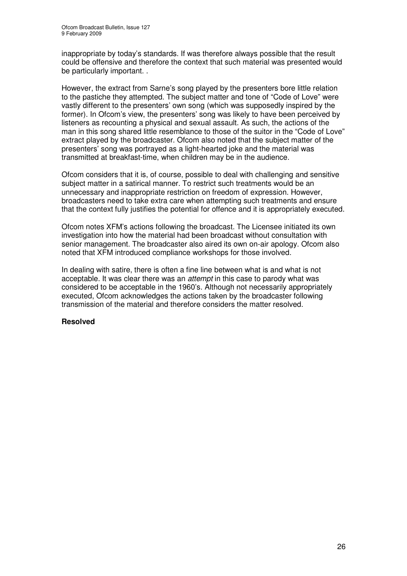inappropriate by today's standards. If was therefore always possible that the result could be offensive and therefore the context that such material was presented would be particularly important. .

However, the extract from Sarne's song played by the presenters bore little relation to the pastiche they attempted. The subject matter and tone of "Code of Love" were vastly different to the presenters' own song (which was supposedly inspired by the former). In Ofcom's view, the presenters' song was likely to have been perceived by listeners as recounting a physical and sexual assault. As such, the actions of the man in this song shared little resemblance to those of the suitor in the "Code of Love" extract played by the broadcaster. Ofcom also noted that the subject matter of the presenters' song was portrayed as a light-hearted joke and the material was transmitted at breakfast-time, when children may be in the audience.

Ofcom considers that it is, of course, possible to deal with challenging and sensitive subject matter in a satirical manner. To restrict such treatments would be an unnecessary and inappropriate restriction on freedom of expression. However, broadcasters need to take extra care when attempting such treatments and ensure that the context fully justifies the potential for offence and it is appropriately executed.

Ofcom notes XFM's actions following the broadcast. The Licensee initiated its own investigation into how the material had been broadcast without consultation with senior management. The broadcaster also aired its own on-air apology. Ofcom also noted that XFM introduced compliance workshops for those involved.

In dealing with satire, there is often a fine line between what is and what is not acceptable. It was clear there was an *attempt* in this case to parody what was considered to be acceptable in the 1960's. Although not necessarily appropriately executed, Ofcom acknowledges the actions taken by the broadcaster following transmission of the material and therefore considers the matter resolved.

#### **Resolved**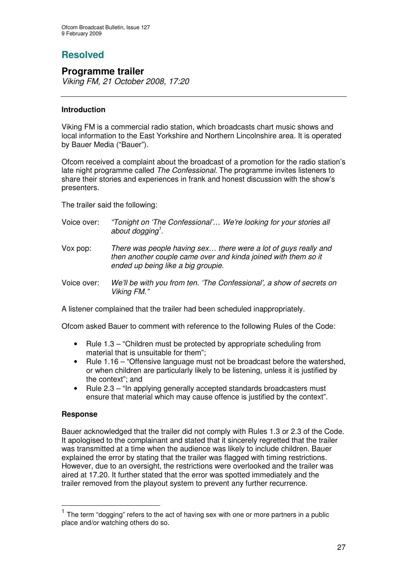## **Resolved**

## **Programme trailer**

*Viking FM, 21 October 2008, 17:20*

#### **Introduction**

Viking FM is a commercial radio station, which broadcasts chart music shows and local information to the East Yorkshire and Northern Lincolnshire area. It is operated by Bauer Media ("Bauer").

Ofcom received a complaint about the broadcast of a promotion for the radio station's late night programme called *The Confessional*. The programme invites listeners to share their stories and experiences in frank and honest discussion with the show's presenters.

The trailer said the following:

- Voice over: *"Tonight on 'The Confessional'… We're looking for your stories all about dogging 1 .*
- Vox pop: *There was people having sex… there were a lot of guys really and then another couple came over and kinda joined with them so it ended up being like a big groupie.*
- Voice over: *We'll be with you from ten. 'The Confessional', a show of secrets on Viking FM."*

A listener complained that the trailer had been scheduled inappropriately.

Ofcom asked Bauer to comment with reference to the following Rules of the Code:

- Rule 1.3 "Children must be protected by appropriate scheduling from material that is unsuitable for them";
- Rule 1.16 "Offensive language must not be broadcast before the watershed, or when children are particularly likely to be listening, unless it is justified by the context"; and
- Rule 2.3 "In applying generally accepted standards broadcasters must ensure that material which may cause offence is justified by the context".

#### **Response**

Bauer acknowledged that the trailer did not comply with Rules 1.3 or 2.3 of the Code. It apologised to the complainant and stated that it sincerely regretted that the trailer was transmitted at a time when the audience was likely to include children. Bauer explained the error by stating that the trailer was flagged with timing restrictions. However, due to an oversight, the restrictions were overlooked and the trailer was aired at 17.20. It further stated that the error was spotted immediately and the trailer removed from the playout system to prevent any further recurrence.

<sup>1</sup> The term "dogging" refers to the act of having sex with one or more partners in a public place and/or watching others do so.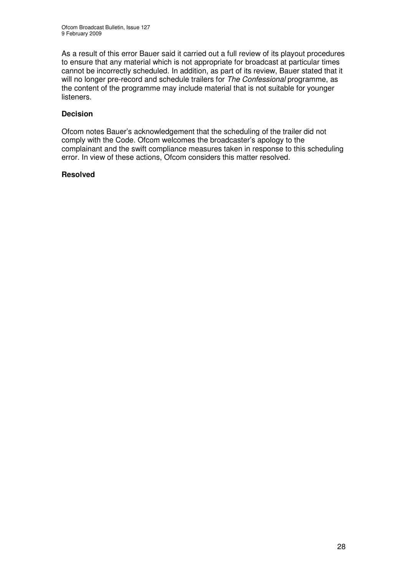As a result of this error Bauer said it carried out a full review of its playout procedures to ensure that any material which is not appropriate for broadcast at particular times cannot be incorrectly scheduled. In addition, as part of its review, Bauer stated that it will no longer pre-record and schedule trailers for *The Confessional* programme, as the content of the programme may include material that is not suitable for younger listeners.

#### **Decision**

Ofcom notes Bauer's acknowledgement that the scheduling of the trailer did not comply with the Code. Ofcom welcomes the broadcaster's apology to the complainant and the swift compliance measures taken in response to this scheduling error. In view of these actions, Ofcom considers this matter resolved.

#### **Resolved**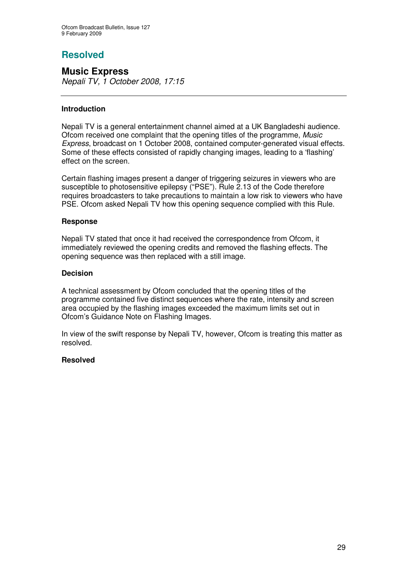## **Resolved**

**Music Express** *Nepali TV, 1 October 2008, 17:15*

#### **Introduction**

Nepali TV is a general entertainment channel aimed at a UK Bangladeshi audience. Ofcom received one complaint that the opening titles of the programme, *Music Express*, broadcast on 1 October 2008, contained computer-generated visual effects. Some of these effects consisted of rapidly changing images, leading to a 'flashing' effect on the screen.

Certain flashing images present a danger of triggering seizures in viewers who are susceptible to photosensitive epilepsy ("PSE"). Rule 2.13 of the Code therefore requires broadcasters to take precautions to maintain a low risk to viewers who have PSE. Ofcom asked Nepali TV how this opening sequence complied with this Rule.

#### **Response**

Nepali TV stated that once it had received the correspondence from Ofcom, it immediately reviewed the opening credits and removed the flashing effects. The opening sequence was then replaced with a still image.

#### **Decision**

A technical assessment by Ofcom concluded that the opening titles of the programme contained five distinct sequences where the rate, intensity and screen area occupied by the flashing images exceeded the maximum limits set out in Ofcom's Guidance Note on Flashing Images.

In view of the swift response by Nepali TV, however, Ofcom is treating this matter as resolved.

#### **Resolved**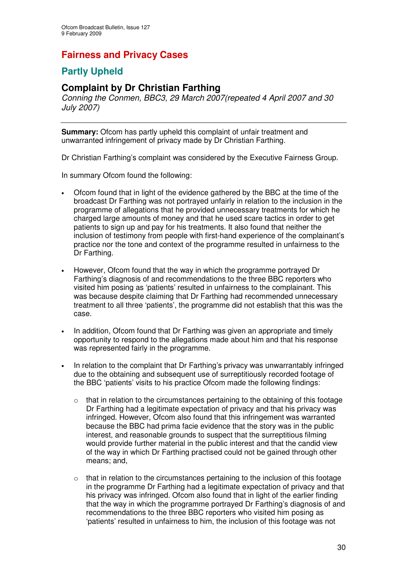## **Fairness and Privacy Cases**

## **Partly Upheld**

## **Complaint by Dr Christian Farthing**

*Conning the Conmen, BBC3, 29 March 2007(repeated 4 April 2007 and 30 July 2007)*

**Summary:** Ofcom has partly upheld this complaint of unfair treatment and unwarranted infringement of privacy made by Dr Christian Farthing.

Dr Christian Farthing's complaint was considered by the Executive Fairness Group.

In summary Ofcom found the following:

- Ofcom found that in light of the evidence gathered by the BBC at the time of the broadcast Dr Farthing was not portrayed unfairly in relation to the inclusion in the programme of allegations that he provided unnecessary treatments for which he charged large amounts of money and that he used scare tactics in order to get patients to sign up and pay for his treatments. It also found that neither the inclusion of testimony from people with first-hand experience of the complainant's practice nor the tone and context of the programme resulted in unfairness to the Dr Farthing.
- However, Ofcom found that the way in which the programme portrayed Dr Farthing's diagnosis of and recommendations to the three BBC reporters who visited him posing as 'patients' resulted in unfairness to the complainant. This was because despite claiming that Dr Farthing had recommended unnecessary treatment to all three 'patients', the programme did not establish that this was the case.
- In addition, Ofcom found that Dr Farthing was given an appropriate and timely opportunity to respond to the allegations made about him and that his response was represented fairly in the programme.
- In relation to the complaint that Dr Farthing's privacy was unwarrantably infringed due to the obtaining and subsequent use of surreptitiously recorded footage of the BBC 'patients' visits to his practice Ofcom made the following findings:
	- o that in relation to the circumstances pertaining to the obtaining of this footage Dr Farthing had a legitimate expectation of privacy and that his privacy was infringed. However, Ofcom also found that this infringement was warranted because the BBC had prima facie evidence that the story was in the public interest, and reasonable grounds to suspect that the surreptitious filming would provide further material in the public interest and that the candid view of the way in which Dr Farthing practised could not be gained through other means; and,
	- $\circ$  that in relation to the circumstances pertaining to the inclusion of this footage in the programme Dr Farthing had a legitimate expectation of privacy and that his privacy was infringed. Ofcom also found that in light of the earlier finding that the way in which the programme portrayed Dr Farthing's diagnosis of and recommendations to the three BBC reporters who visited him posing as 'patients' resulted in unfairness to him, the inclusion of this footage was not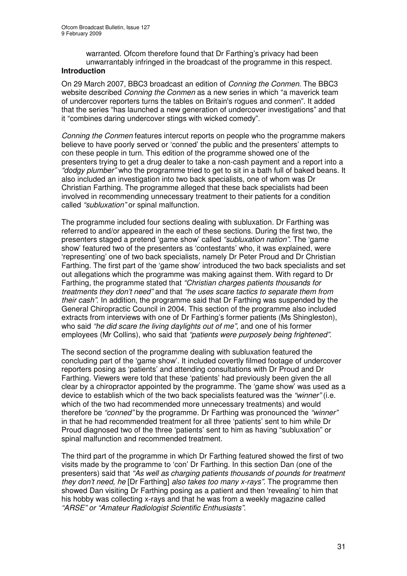warranted. Ofcom therefore found that Dr Farthing's privacy had been unwarrantably infringed in the broadcast of the programme in this respect.

#### **Introduction**

On 29 March 2007, BBC3 broadcast an edition of *Conning the Conmen*. The BBC3 website described *Conning the Conmen* as a new series in which "a maverick team of undercover reporters turns the tables on Britain's rogues and conmen". It added that the series "has launched a new generation of undercover investigations" and that it "combines daring undercover stings with wicked comedy".

*Conning the Conmen* features intercut reports on people who the programme makers believe to have poorly served or 'conned' the public and the presenters' attempts to con these people in turn. This edition of the programme showed one of the presenters trying to get a drug dealer to take a non-cash payment and a report into a *"dodgy plumber"* who the programme tried to get to sit in a bath full of baked beans. It also included an investigation into two back specialists, one of whom was Dr Christian Farthing. The programme alleged that these back specialists had been involved in recommending unnecessary treatment to their patients for a condition called *"subluxation"* or spinal malfunction.

The programme included four sections dealing with subluxation. Dr Farthing was referred to and/or appeared in the each of these sections. During the first two, the presenters staged a pretend 'game show' called *"subluxation nation"*. The 'game show' featured two of the presenters as 'contestants' who, it was explained, were 'representing' one of two back specialists, namely Dr Peter Proud and Dr Christian Farthing. The first part of the 'game show' introduced the two back specialists and set out allegations which the programme was making against them. With regard to Dr Farthing, the programme stated that *"Christian charges patients thousands for treatments they don't need"* and that *"he uses scare tactics to separate them from their cash"*. In addition, the programme said that Dr Farthing was suspended by the General Chiropractic Council in 2004. This section of the programme also included extracts from interviews with one of Dr Farthing's former patients (Ms Shingleston), who said *"he did scare the living daylights out of me"*, and one of his former employees (Mr Collins), who said that *"patients were purposely being frightened"*.

The second section of the programme dealing with subluxation featured the concluding part of the 'game show'. It included covertly filmed footage of undercover reporters posing as 'patients' and attending consultations with Dr Proud and Dr Farthing. Viewers were told that these 'patients' had previously been given the all clear by a chiropractor appointed by the programme. The 'game show' was used as a device to establish which of the two back specialists featured was the *"winner"* (i.e. which of the two had recommended more unnecessary treatments) and would therefore be *"conned"* by the programme. Dr Farthing was pronounced the *"winner"* in that he had recommended treatment for all three 'patients' sent to him while Dr Proud diagnosed two of the three 'patients' sent to him as having "subluxation" or spinal malfunction and recommended treatment.

The third part of the programme in which Dr Farthing featured showed the first of two visits made by the programme to 'con' Dr Farthing. In this section Dan (one of the presenters) said that *"As well as charging patients thousands of pounds for treatment they don't need, he* [Dr Farthing] *also takes too many x-rays".* The programme then showed Dan visiting Dr Farthing posing as a patient and then 'revealing' to him that his hobby was collecting x-rays and that he was from a weekly magazine called *"ARSE" or "Amateur Radiologist Scientific Enthusiasts"*.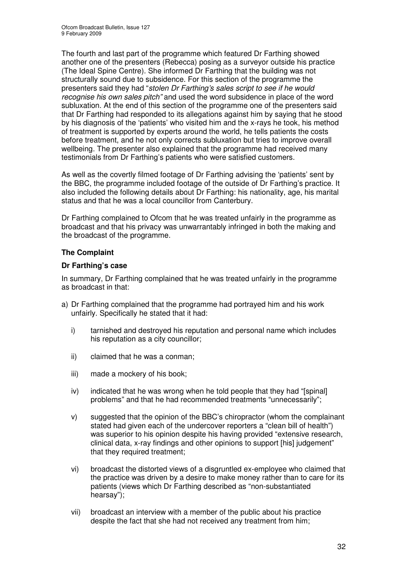The fourth and last part of the programme which featured Dr Farthing showed another one of the presenters (Rebecca) posing as a surveyor outside his practice (The Ideal Spine Centre). She informed Dr Farthing that the building was not structurally sound due to subsidence. For this section of the programme the presenters said they had "*stolen Dr Farthing's sales script to see if he would recognise his own sales pitch"* and used the word subsidence in place of the word subluxation. At the end of this section of the programme one of the presenters said that Dr Farthing had responded to its allegations against him by saying that he stood by his diagnosis of the 'patients' who visited him and the x-rays he took, his method of treatment is supported by experts around the world, he tells patients the costs before treatment, and he not only corrects subluxation but tries to improve overall wellbeing. The presenter also explained that the programme had received many testimonials from Dr Farthing's patients who were satisfied customers.

As well as the covertly filmed footage of Dr Farthing advising the 'patients' sent by the BBC, the programme included footage of the outside of Dr Farthing's practice. It also included the following details about Dr Farthing: his nationality, age, his marital status and that he was a local councillor from Canterbury.

Dr Farthing complained to Ofcom that he was treated unfairly in the programme as broadcast and that his privacy was unwarrantably infringed in both the making and the broadcast of the programme.

#### **The Complaint**

#### **Dr Farthing's case**

In summary, Dr Farthing complained that he was treated unfairly in the programme as broadcast in that:

- a) Dr Farthing complained that the programme had portrayed him and his work unfairly. Specifically he stated that it had:
	- i) tarnished and destroyed his reputation and personal name which includes his reputation as a city councillor;
	- ii) claimed that he was a conman;
	- iii) made a mockery of his book;
	- iv) indicated that he was wrong when he told people that they had "[spinal] problems" and that he had recommended treatments "unnecessarily";
	- v) suggested that the opinion of the BBC's chiropractor (whom the complainant stated had given each of the undercover reporters a "clean bill of health") was superior to his opinion despite his having provided "extensive research, clinical data, x-ray findings and other opinions to support [his] judgement" that they required treatment;
	- vi) broadcast the distorted views of a disgruntled ex-employee who claimed that the practice was driven by a desire to make money rather than to care for its patients (views which Dr Farthing described as "non-substantiated hearsay");
	- vii) broadcast an interview with a member of the public about his practice despite the fact that she had not received any treatment from him;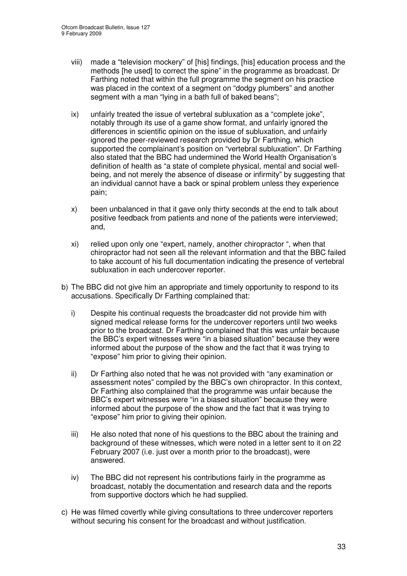- viii) made a "television mockery" of [his] findings, [his] education process and the methods [he used] to correct the spine" in the programme as broadcast. Dr Farthing noted that within the full programme the segment on his practice was placed in the context of a segment on "dodgy plumbers" and another segment with a man "lying in a bath full of baked beans";
- ix) unfairly treated the issue of vertebral subluxation as a "complete joke", notably through its use of a game show format, and unfairly ignored the differences in scientific opinion on the issue of subluxation, and unfairly ignored the peer-reviewed research provided by Dr Farthing, which supported the complainant's position on "vertebral subluxation". Dr Farthing also stated that the BBC had undermined the World Health Organisation's definition of health as "a state of complete physical, mental and social wellbeing, and not merely the absence of disease or infirmity" by suggesting that an individual cannot have a back or spinal problem unless they experience pain;
- x) been unbalanced in that it gave only thirty seconds at the end to talk about positive feedback from patients and none of the patients were interviewed; and,
- xi) relied upon only one "expert, namely, another chiropractor ", when that chiropractor had not seen all the relevant information and that the BBC failed to take account of his full documentation indicating the presence of vertebral subluxation in each undercover reporter.
- b) The BBC did not give him an appropriate and timely opportunity to respond to its accusations. Specifically Dr Farthing complained that:
	- i) Despite his continual requests the broadcaster did not provide him with signed medical release forms for the undercover reporters until two weeks prior to the broadcast. Dr Farthing complained that this was unfair because the BBC's expert witnesses were "in a biased situation" because they were informed about the purpose of the show and the fact that it was trying to "expose" him prior to giving their opinion.
	- ii) Dr Farthing also noted that he was not provided with "any examination or assessment notes" compiled by the BBC's own chiropractor. In this context, Dr Farthing also complained that the programme was unfair because the BBC's expert witnesses were "in a biased situation" because they were informed about the purpose of the show and the fact that it was trying to "expose" him prior to giving their opinion.
	- iii) He also noted that none of his questions to the BBC about the training and background of these witnesses, which were noted in a letter sent to it on 22 February 2007 (i.e. just over a month prior to the broadcast), were answered.
	- iv) The BBC did not represent his contributions fairly in the programme as broadcast, notably the documentation and research data and the reports from supportive doctors which he had supplied.
- c) He was filmed covertly while giving consultations to three undercover reporters without securing his consent for the broadcast and without justification.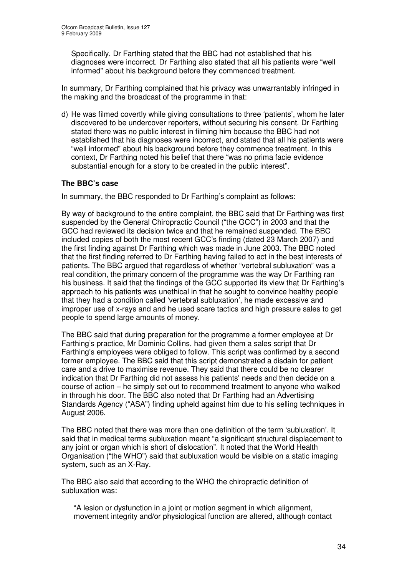Specifically, Dr Farthing stated that the BBC had not established that his diagnoses were incorrect. Dr Farthing also stated that all his patients were "well informed" about his background before they commenced treatment.

In summary, Dr Farthing complained that his privacy was unwarrantably infringed in the making and the broadcast of the programme in that:

d) He was filmed covertly while giving consultations to three 'patients', whom he later discovered to be undercover reporters, without securing his consent. Dr Farthing stated there was no public interest in filming him because the BBC had not established that his diagnoses were incorrect, and stated that all his patients were "well informed" about his background before they commence treatment. In this context, Dr Farthing noted his belief that there "was no prima facie evidence substantial enough for a story to be created in the public interest".

#### **The BBC's case**

In summary, the BBC responded to Dr Farthing's complaint as follows:

By way of background to the entire complaint, the BBC said that Dr Farthing was first suspended by the General Chiropractic Council ("the GCC") in 2003 and that the GCC had reviewed its decision twice and that he remained suspended. The BBC included copies of both the most recent GCC's finding (dated 23 March 2007) and the first finding against Dr Farthing which was made in June 2003. The BBC noted that the first finding referred to Dr Farthing having failed to act in the best interests of patients. The BBC argued that regardless of whether "vertebral subluxation" was a real condition, the primary concern of the programme was the way Dr Farthing ran his business. It said that the findings of the GCC supported its view that Dr Farthing's approach to his patients was unethical in that he sought to convince healthy people that they had a condition called 'vertebral subluxation', he made excessive and improper use of x-rays and and he used scare tactics and high pressure sales to get people to spend large amounts of money.

The BBC said that during preparation for the programme a former employee at Dr Farthing's practice, Mr Dominic Collins, had given them a sales script that Dr Farthing's employees were obliged to follow. This script was confirmed by a second former employee. The BBC said that this script demonstrated a disdain for patient care and a drive to maximise revenue. They said that there could be no clearer indication that Dr Farthing did not assess his patients' needs and then decide on a course of action – he simply set out to recommend treatment to anyone who walked in through his door. The BBC also noted that Dr Farthing had an Advertising Standards Agency ("ASA") finding upheld against him due to his selling techniques in August 2006.

The BBC noted that there was more than one definition of the term 'subluxation'. It said that in medical terms subluxation meant "a significant structural displacement to any joint or organ which is short of dislocation". It noted that the World Health Organisation ("the WHO") said that subluxation would be visible on a static imaging system, such as an X-Ray.

The BBC also said that according to the WHO the chiropractic definition of subluxation was:

"A lesion or dysfunction in a joint or motion segment in which alignment, movement integrity and/or physiological function are altered, although contact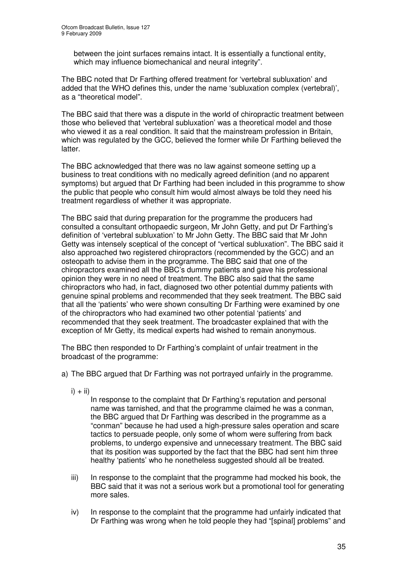between the joint surfaces remains intact. It is essentially a functional entity, which may influence biomechanical and neural integrity".

The BBC noted that Dr Farthing offered treatment for 'vertebral subluxation' and added that the WHO defines this, under the name 'subluxation complex (vertebral)', as a "theoretical model".

The BBC said that there was a dispute in the world of chiropractic treatment between those who believed that 'vertebral subluxation' was a theoretical model and those who viewed it as a real condition. It said that the mainstream profession in Britain, which was regulated by the GCC, believed the former while Dr Farthing believed the latter.

The BBC acknowledged that there was no law against someone setting up a business to treat conditions with no medically agreed definition (and no apparent symptoms) but argued that Dr Farthing had been included in this programme to show the public that people who consult him would almost always be told they need his treatment regardless of whether it was appropriate.

The BBC said that during preparation for the programme the producers had consulted a consultant orthopaedic surgeon, Mr John Getty, and put Dr Farthing's definition of 'vertebral subluxation' to Mr John Getty. The BBC said that Mr John Getty was intensely sceptical of the concept of "vertical subluxation". The BBC said it also approached two registered chiropractors (recommended by the GCC) and an osteopath to advise them in the programme. The BBC said that one of the chiropractors examined all the BBC's dummy patients and gave his professional opinion they were in no need of treatment. The BBC also said that the same chiropractors who had, in fact, diagnosed two other potential dummy patients with genuine spinal problems and recommended that they seek treatment. The BBC said that all the 'patients' who were shown consulting Dr Farthing were examined by one of the chiropractors who had examined two other potential 'patients' and recommended that they seek treatment. The broadcaster explained that with the exception of Mr Getty, its medical experts had wished to remain anonymous.

The BBC then responded to Dr Farthing's complaint of unfair treatment in the broadcast of the programme:

- a) The BBC argued that Dr Farthing was not portrayed unfairly in the programme.
	- $i) + ii)$

In response to the complaint that Dr Farthing's reputation and personal name was tarnished, and that the programme claimed he was a conman, the BBC argued that Dr Farthing was described in the programme as a "conman" because he had used a high-pressure sales operation and scare tactics to persuade people, only some of whom were suffering from back problems, to undergo expensive and unnecessary treatment. The BBC said that its position was supported by the fact that the BBC had sent him three healthy 'patients' who he nonetheless suggested should all be treated.

- iii) In response to the complaint that the programme had mocked his book, the BBC said that it was not a serious work but a promotional tool for generating more sales.
- iv) In response to the complaint that the programme had unfairly indicated that Dr Farthing was wrong when he told people they had "[spinal] problems" and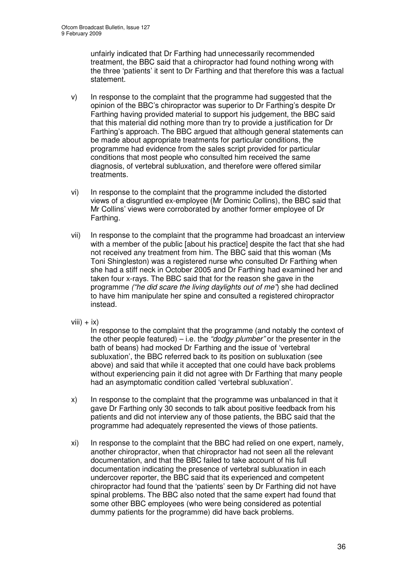unfairly indicated that Dr Farthing had unnecessarily recommended treatment, the BBC said that a chiropractor had found nothing wrong with the three 'patients' it sent to Dr Farthing and that therefore this was a factual statement.

- v) In response to the complaint that the programme had suggested that the opinion of the BBC's chiropractor was superior to Dr Farthing's despite Dr Farthing having provided material to support his judgement, the BBC said that this material did nothing more than try to provide a justification for Dr Farthing's approach. The BBC argued that although general statements can be made about appropriate treatments for particular conditions, the programme had evidence from the sales script provided for particular conditions that most people who consulted him received the same diagnosis, of vertebral subluxation, and therefore were offered similar treatments.
- vi) In response to the complaint that the programme included the distorted views of a disgruntled ex-employee (Mr Dominic Collins), the BBC said that Mr Collins' views were corroborated by another former employee of Dr Farthing.
- vii) In response to the complaint that the programme had broadcast an interview with a member of the public [about his practice] despite the fact that she had not received any treatment from him. The BBC said that this woman (Ms Toni Shingleston) was a registered nurse who consulted Dr Farthing when she had a stiff neck in October 2005 and Dr Farthing had examined her and taken four x-rays. The BBC said that for the reason she gave in the programme *("he did scare the living daylights out of me"*) she had declined to have him manipulate her spine and consulted a registered chiropractor instead.
- viii)  $+$  ix)

In response to the complaint that the programme (and notably the context of the other people featured) – i.e. the *"dodgy plumber"* or the presenter in the bath of beans) had mocked Dr Farthing and the issue of 'vertebral subluxation', the BBC referred back to its position on subluxation (see above) and said that while it accepted that one could have back problems without experiencing pain it did not agree with Dr Farthing that many people had an asymptomatic condition called 'vertebral subluxation'.

- x) In response to the complaint that the programme was unbalanced in that it gave Dr Farthing only 30 seconds to talk about positive feedback from his patients and did not interview any of those patients, the BBC said that the programme had adequately represented the views of those patients.
- xi) In response to the complaint that the BBC had relied on one expert, namely, another chiropractor, when that chiropractor had not seen all the relevant documentation, and that the BBC failed to take account of his full documentation indicating the presence of vertebral subluxation in each undercover reporter, the BBC said that its experienced and competent chiropractor had found that the 'patients' seen by Dr Farthing did not have spinal problems. The BBC also noted that the same expert had found that some other BBC employees (who were being considered as potential dummy patients for the programme) did have back problems.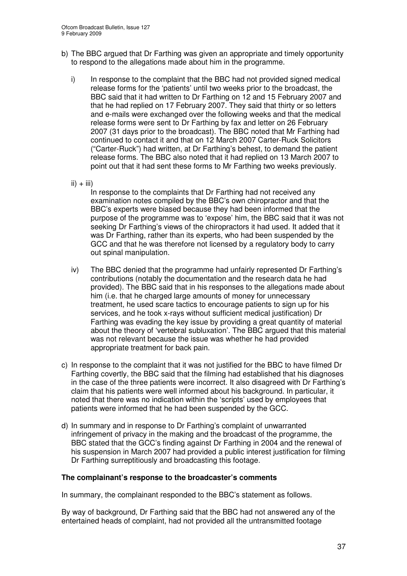- b) The BBC argued that Dr Farthing was given an appropriate and timely opportunity to respond to the allegations made about him in the programme.
	- i) In response to the complaint that the BBC had not provided signed medical release forms for the 'patients' until two weeks prior to the broadcast, the BBC said that it had written to Dr Farthing on 12 and 15 February 2007 and that he had replied on 17 February 2007. They said that thirty or so letters and e-mails were exchanged over the following weeks and that the medical release forms were sent to Dr Farthing by fax and letter on 26 February 2007 (31 days prior to the broadcast). The BBC noted that Mr Farthing had continued to contact it and that on 12 March 2007 Carter-Ruck Solicitors ("Carter-Ruck") had written, at Dr Farthing's behest, to demand the patient release forms. The BBC also noted that it had replied on 13 March 2007 to point out that it had sent these forms to Mr Farthing two weeks previously.
	- $ii) + iii)$

In response to the complaints that Dr Farthing had not received any examination notes compiled by the BBC's own chiropractor and that the BBC's experts were biased because they had been informed that the purpose of the programme was to 'expose' him, the BBC said that it was not seeking Dr Farthing's views of the chiropractors it had used. It added that it was Dr Farthing, rather than its experts, who had been suspended by the GCC and that he was therefore not licensed by a regulatory body to carry out spinal manipulation.

- iv) The BBC denied that the programme had unfairly represented Dr Farthing's contributions (notably the documentation and the research data he had provided). The BBC said that in his responses to the allegations made about him (i.e. that he charged large amounts of money for unnecessary treatment, he used scare tactics to encourage patients to sign up for his services, and he took x-rays without sufficient medical justification) Dr Farthing was evading the key issue by providing a great quantity of material about the theory of 'vertebral subluxation'. The BBC argued that this material was not relevant because the issue was whether he had provided appropriate treatment for back pain.
- c) In response to the complaint that it was not justified for the BBC to have filmed Dr Farthing covertly, the BBC said that the filming had established that his diagnoses in the case of the three patients were incorrect. It also disagreed with Dr Farthing's claim that his patients were well informed about his background. In particular, it noted that there was no indication within the 'scripts' used by employees that patients were informed that he had been suspended by the GCC.
- d) In summary and in response to Dr Farthing's complaint of unwarranted infringement of privacy in the making and the broadcast of the programme, the BBC stated that the GCC's finding against Dr Farthing in 2004 and the renewal of his suspension in March 2007 had provided a public interest justification for filming Dr Farthing surreptitiously and broadcasting this footage.

# **The complainant's response to the broadcaster's comments**

In summary, the complainant responded to the BBC's statement as follows.

By way of background, Dr Farthing said that the BBC had not answered any of the entertained heads of complaint, had not provided all the untransmitted footage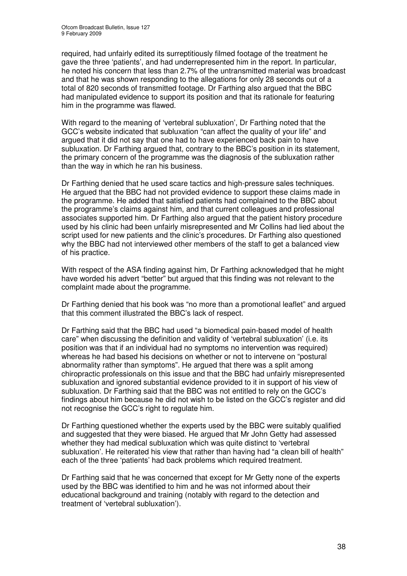required, had unfairly edited its surreptitiously filmed footage of the treatment he gave the three 'patients', and had underrepresented him in the report. In particular, he noted his concern that less than 2.7% of the untransmitted material was broadcast and that he was shown responding to the allegations for only 28 seconds out of a total of 820 seconds of transmitted footage. Dr Farthing also argued that the BBC had manipulated evidence to support its position and that its rationale for featuring him in the programme was flawed.

With regard to the meaning of 'vertebral subluxation', Dr Farthing noted that the GCC's website indicated that subluxation "can affect the quality of your life" and argued that it did not say that one had to have experienced back pain to have subluxation. Dr Farthing argued that, contrary to the BBC's position in its statement, the primary concern of the programme was the diagnosis of the subluxation rather than the way in which he ran his business.

Dr Farthing denied that he used scare tactics and high-pressure sales techniques. He argued that the BBC had not provided evidence to support these claims made in the programme. He added that satisfied patients had complained to the BBC about the programme's claims against him, and that current colleagues and professional associates supported him. Dr Farthing also argued that the patient history procedure used by his clinic had been unfairly misrepresented and Mr Collins had lied about the script used for new patients and the clinic's procedures. Dr Farthing also questioned why the BBC had not interviewed other members of the staff to get a balanced view of his practice.

With respect of the ASA finding against him, Dr Farthing acknowledged that he might have worded his advert "better" but argued that this finding was not relevant to the complaint made about the programme.

Dr Farthing denied that his book was "no more than a promotional leaflet" and argued that this comment illustrated the BBC's lack of respect.

Dr Farthing said that the BBC had used "a biomedical pain-based model of health care" when discussing the definition and validity of 'vertebral subluxation' (i.e. its position was that if an individual had no symptoms no intervention was required) whereas he had based his decisions on whether or not to intervene on "postural abnormality rather than symptoms". He argued that there was a split among chiropractic professionals on this issue and that the BBC had unfairly misrepresented subluxation and ignored substantial evidence provided to it in support of his view of subluxation. Dr Farthing said that the BBC was not entitled to rely on the GCC's findings about him because he did not wish to be listed on the GCC's register and did not recognise the GCC's right to regulate him.

Dr Farthing questioned whether the experts used by the BBC were suitably qualified and suggested that they were biased. He argued that Mr John Getty had assessed whether they had medical subluxation which was quite distinct to 'vertebral subluxation'. He reiterated his view that rather than having had "a clean bill of health" each of the three 'patients' had back problems which required treatment.

Dr Farthing said that he was concerned that except for Mr Getty none of the experts used by the BBC was identified to him and he was not informed about their educational background and training (notably with regard to the detection and treatment of 'vertebral subluxation').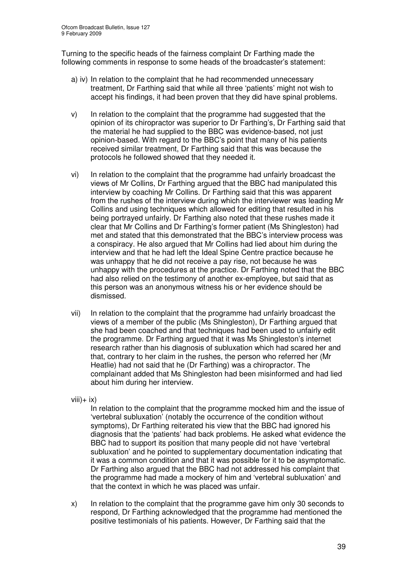Turning to the specific heads of the fairness complaint Dr Farthing made the following comments in response to some heads of the broadcaster's statement:

- a) iv) In relation to the complaint that he had recommended unnecessary treatment, Dr Farthing said that while all three 'patients' might not wish to accept his findings, it had been proven that they did have spinal problems.
- v) In relation to the complaint that the programme had suggested that the opinion of its chiropractor was superior to Dr Farthing's, Dr Farthing said that the material he had supplied to the BBC was evidence-based, not just opinion-based. With regard to the BBC's point that many of his patients received similar treatment, Dr Farthing said that this was because the protocols he followed showed that they needed it.
- vi) In relation to the complaint that the programme had unfairly broadcast the views of Mr Collins, Dr Farthing argued that the BBC had manipulated this interview by coaching Mr Collins. Dr Farthing said that this was apparent from the rushes of the interview during which the interviewer was leading Mr Collins and using techniques which allowed for editing that resulted in his being portrayed unfairly. Dr Farthing also noted that these rushes made it clear that Mr Collins and Dr Farthing's former patient (Ms Shingleston) had met and stated that this demonstrated that the BBC's interview process was a conspiracy. He also argued that Mr Collins had lied about him during the interview and that he had left the Ideal Spine Centre practice because he was unhappy that he did not receive a pay rise, not because he was unhappy with the procedures at the practice. Dr Farthing noted that the BBC had also relied on the testimony of another ex-employee, but said that as this person was an anonymous witness his or her evidence should be dismissed.
- vii) In relation to the complaint that the programme had unfairly broadcast the views of a member of the public (Ms Shingleston), Dr Farthing argued that she had been coached and that techniques had been used to unfairly edit the programme. Dr Farthing argued that it was Ms Shingleston's internet research rather than his diagnosis of subluxation which had scared her and that, contrary to her claim in the rushes, the person who referred her (Mr Heatlie) had not said that he (Dr Farthing) was a chiropractor. The complainant added that Ms Shingleston had been misinformed and had lied about him during her interview.
- $viii) + ix)$

In relation to the complaint that the programme mocked him and the issue of 'vertebral subluxation' (notably the occurrence of the condition without symptoms), Dr Farthing reiterated his view that the BBC had ignored his diagnosis that the 'patients' had back problems. He asked what evidence the BBC had to support its position that many people did not have 'vertebral subluxation' and he pointed to supplementary documentation indicating that it was a common condition and that it was possible for it to be asymptomatic. Dr Farthing also argued that the BBC had not addressed his complaint that the programme had made a mockery of him and 'vertebral subluxation' and that the context in which he was placed was unfair.

x) In relation to the complaint that the programme gave him only 30 seconds to respond, Dr Farthing acknowledged that the programme had mentioned the positive testimonials of his patients. However, Dr Farthing said that the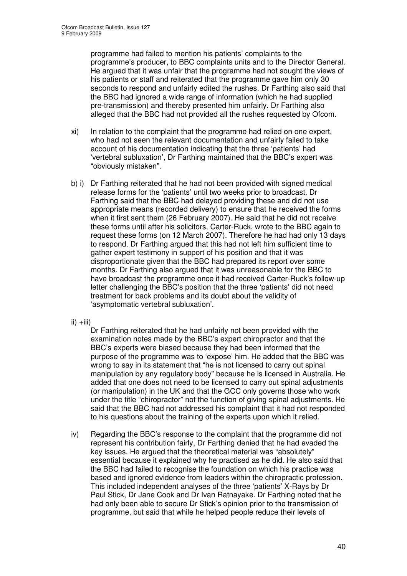programme had failed to mention his patients' complaints to the programme's producer, to BBC complaints units and to the Director General. He argued that it was unfair that the programme had not sought the views of his patients or staff and reiterated that the programme gave him only 30 seconds to respond and unfairly edited the rushes. Dr Farthing also said that the BBC had ignored a wide range of information (which he had supplied pre-transmission) and thereby presented him unfairly. Dr Farthing also alleged that the BBC had not provided all the rushes requested by Ofcom.

- xi) In relation to the complaint that the programme had relied on one expert, who had not seen the relevant documentation and unfairly failed to take account of his documentation indicating that the three 'patients' had 'vertebral subluxation', Dr Farthing maintained that the BBC's expert was "obviously mistaken".
- b) i) Dr Farthing reiterated that he had not been provided with signed medical release forms for the 'patients' until two weeks prior to broadcast. Dr Farthing said that the BBC had delayed providing these and did not use appropriate means (recorded delivery) to ensure that he received the forms when it first sent them (26 February 2007). He said that he did not receive these forms until after his solicitors, Carter-Ruck, wrote to the BBC again to request these forms (on 12 March 2007). Therefore he had had only 13 days to respond. Dr Farthing argued that this had not left him sufficient time to gather expert testimony in support of his position and that it was disproportionate given that the BBC had prepared its report over some months. Dr Farthing also argued that it was unreasonable for the BBC to have broadcast the programme once it had received Carter-Ruck's follow-up letter challenging the BBC's position that the three 'patients' did not need treatment for back problems and its doubt about the validity of 'asymptomatic vertebral subluxation'.
- $ii) +iii)$

Dr Farthing reiterated that he had unfairly not been provided with the examination notes made by the BBC's expert chiropractor and that the BBC's experts were biased because they had been informed that the purpose of the programme was to 'expose' him. He added that the BBC was wrong to say in its statement that "he is not licensed to carry out spinal manipulation by any regulatory body" because he is licensed in Australia. He added that one does not need to be licensed to carry out spinal adjustments (or manipulation) in the UK and that the GCC only governs those who work under the title "chiropractor" not the function of giving spinal adjustments. He said that the BBC had not addressed his complaint that it had not responded to his questions about the training of the experts upon which it relied.

iv) Regarding the BBC's response to the complaint that the programme did not represent his contribution fairly, Dr Farthing denied that he had evaded the key issues. He argued that the theoretical material was "absolutely" essential because it explained why he practised as he did. He also said that the BBC had failed to recognise the foundation on which his practice was based and ignored evidence from leaders within the chiropractic profession. This included independent analyses of the three 'patients' X-Rays by Dr Paul Stick, Dr Jane Cook and Dr Ivan Ratnayake. Dr Farthing noted that he had only been able to secure Dr Stick's opinion prior to the transmission of programme, but said that while he helped people reduce their levels of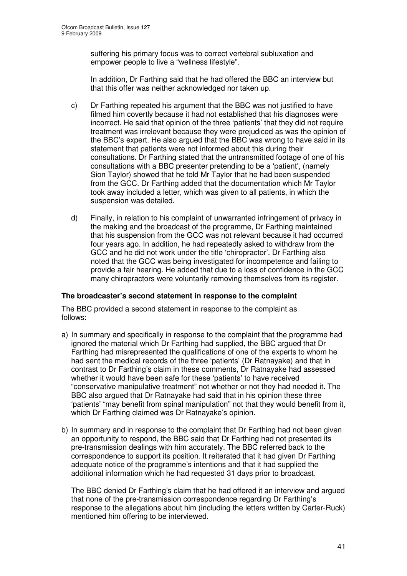suffering his primary focus was to correct vertebral subluxation and empower people to live a "wellness lifestyle".

In addition, Dr Farthing said that he had offered the BBC an interview but that this offer was neither acknowledged nor taken up.

- c) Dr Farthing repeated his argument that the BBC was not justified to have filmed him covertly because it had not established that his diagnoses were incorrect. He said that opinion of the three 'patients' that they did not require treatment was irrelevant because they were prejudiced as was the opinion of the BBC's expert. He also argued that the BBC was wrong to have said in its statement that patients were not informed about this during their consultations. Dr Farthing stated that the untransmitted footage of one of his consultations with a BBC presenter pretending to be a 'patient', (namely Sion Taylor) showed that he told Mr Taylor that he had been suspended from the GCC. Dr Farthing added that the documentation which Mr Taylor took away included a letter, which was given to all patients, in which the suspension was detailed.
- d) Finally, in relation to his complaint of unwarranted infringement of privacy in the making and the broadcast of the programme, Dr Farthing maintained that his suspension from the GCC was not relevant because it had occurred four years ago. In addition, he had repeatedly asked to withdraw from the GCC and he did not work under the title 'chiropractor'. Dr Farthing also noted that the GCC was being investigated for incompetence and failing to provide a fair hearing. He added that due to a loss of confidence in the GCC many chiropractors were voluntarily removing themselves from its register.

# **The broadcaster's second statement in response to the complaint**

The BBC provided a second statement in response to the complaint as follows:

- a) In summary and specifically in response to the complaint that the programme had ignored the material which Dr Farthing had supplied, the BBC argued that Dr Farthing had misrepresented the qualifications of one of the experts to whom he had sent the medical records of the three 'patients' (Dr Ratnayake) and that in contrast to Dr Farthing's claim in these comments, Dr Ratnayake had assessed whether it would have been safe for these 'patients' to have received "conservative manipulative treatment" not whether or not they had needed it. The BBC also argued that Dr Ratnayake had said that in his opinion these three 'patients' "may benefit from spinal manipulation" not that they would benefit from it, which Dr Farthing claimed was Dr Ratnayake's opinion.
- b) In summary and in response to the complaint that Dr Farthing had not been given an opportunity to respond, the BBC said that Dr Farthing had not presented its pre-transmission dealings with him accurately. The BBC referred back to the correspondence to support its position. It reiterated that it had given Dr Farthing adequate notice of the programme's intentions and that it had supplied the additional information which he had requested 31 days prior to broadcast.

The BBC denied Dr Farthing's claim that he had offered it an interview and argued that none of the pre-transmission correspondence regarding Dr Farthing's response to the allegations about him (including the letters written by Carter-Ruck) mentioned him offering to be interviewed.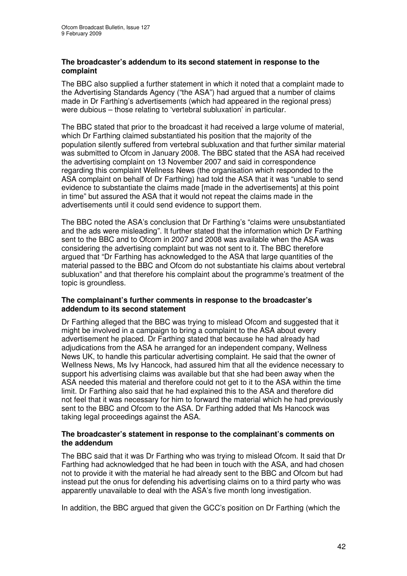# **The broadcaster's addendum to its second statement in response to the complaint**

The BBC also supplied a further statement in which it noted that a complaint made to the Advertising Standards Agency ("the ASA") had argued that a number of claims made in Dr Farthing's advertisements (which had appeared in the regional press) were dubious – those relating to 'vertebral subluxation' in particular.

The BBC stated that prior to the broadcast it had received a large volume of material, which Dr Farthing claimed substantiated his position that the majority of the population silently suffered from vertebral subluxation and that further similar material was submitted to Ofcom in January 2008. The BBC stated that the ASA had received the advertising complaint on 13 November 2007 and said in correspondence regarding this complaint Wellness News (the organisation which responded to the ASA complaint on behalf of Dr Farthing) had told the ASA that it was "unable to send evidence to substantiate the claims made [made in the advertisements] at this point in time" but assured the ASA that it would not repeat the claims made in the advertisements until it could send evidence to support them.

The BBC noted the ASA's conclusion that Dr Farthing's "claims were unsubstantiated and the ads were misleading". It further stated that the information which Dr Farthing sent to the BBC and to Ofcom in 2007 and 2008 was available when the ASA was considering the advertising complaint but was not sent to it. The BBC therefore argued that "Dr Farthing has acknowledged to the ASA that large quantities of the material passed to the BBC and Ofcom do not substantiate his claims about vertebral subluxation" and that therefore his complaint about the programme's treatment of the topic is groundless.

# **The complainant's further comments in response to the broadcaster's addendum to its second statement**

Dr Farthing alleged that the BBC was trying to mislead Ofcom and suggested that it might be involved in a campaign to bring a complaint to the ASA about every advertisement he placed. Dr Farthing stated that because he had already had adjudications from the ASA he arranged for an independent company, Wellness News UK, to handle this particular advertising complaint. He said that the owner of Wellness News, Ms Ivy Hancock, had assured him that all the evidence necessary to support his advertising claims was available but that she had been away when the ASA needed this material and therefore could not get to it to the ASA within the time limit. Dr Farthing also said that he had explained this to the ASA and therefore did not feel that it was necessary for him to forward the material which he had previously sent to the BBC and Ofcom to the ASA. Dr Farthing added that Ms Hancock was taking legal proceedings against the ASA.

# **The broadcaster's statement in response to the complainant's comments on the addendum**

The BBC said that it was Dr Farthing who was trying to mislead Ofcom. It said that Dr Farthing had acknowledged that he had been in touch with the ASA, and had chosen not to provide it with the material he had already sent to the BBC and Ofcom but had instead put the onus for defending his advertising claims on to a third party who was apparently unavailable to deal with the ASA's five month long investigation.

In addition, the BBC argued that given the GCC's position on Dr Farthing (which the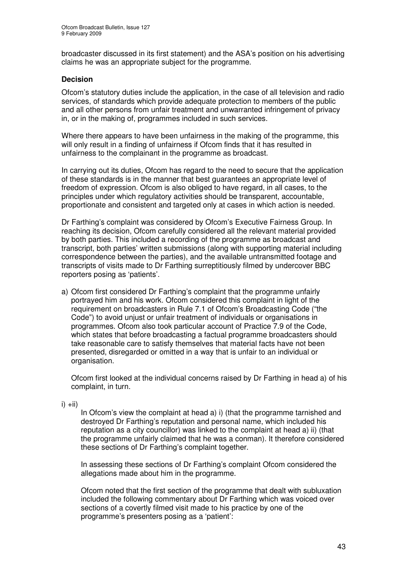broadcaster discussed in its first statement) and the ASA's position on his advertising claims he was an appropriate subject for the programme.

# **Decision**

Ofcom's statutory duties include the application, in the case of all television and radio services, of standards which provide adequate protection to members of the public and all other persons from unfair treatment and unwarranted infringement of privacy in, or in the making of, programmes included in such services.

Where there appears to have been unfairness in the making of the programme, this will only result in a finding of unfairness if Ofcom finds that it has resulted in unfairness to the complainant in the programme as broadcast.

In carrying out its duties, Ofcom has regard to the need to secure that the application of these standards is in the manner that best guarantees an appropriate level of freedom of expression. Ofcom is also obliged to have regard, in all cases, to the principles under which regulatory activities should be transparent, accountable, proportionate and consistent and targeted only at cases in which action is needed.

Dr Farthing's complaint was considered by Ofcom's Executive Fairness Group. In reaching its decision, Ofcom carefully considered all the relevant material provided by both parties. This included a recording of the programme as broadcast and transcript, both parties' written submissions (along with supporting material including correspondence between the parties), and the available untransmitted footage and transcripts of visits made to Dr Farthing surreptitiously filmed by undercover BBC reporters posing as 'patients'.

a) Ofcom first considered Dr Farthing's complaint that the programme unfairly portrayed him and his work. Ofcom considered this complaint in light of the requirement on broadcasters in Rule 7.1 of Ofcom's Broadcasting Code ("the Code") to avoid unjust or unfair treatment of individuals or organisations in programmes. Ofcom also took particular account of Practice 7.9 of the Code, which states that before broadcasting a factual programme broadcasters should take reasonable care to satisfy themselves that material facts have not been presented, disregarded or omitted in a way that is unfair to an individual or organisation.

Ofcom first looked at the individual concerns raised by Dr Farthing in head a) of his complaint, in turn.

 $i) + ii)$ 

In Ofcom's view the complaint at head a) i) (that the programme tarnished and destroyed Dr Farthing's reputation and personal name, which included his reputation as a city councillor) was linked to the complaint at head a) ii) (that the programme unfairly claimed that he was a conman). It therefore considered these sections of Dr Farthing's complaint together.

In assessing these sections of Dr Farthing's complaint Ofcom considered the allegations made about him in the programme.

Ofcom noted that the first section of the programme that dealt with subluxation included the following commentary about Dr Farthing which was voiced over sections of a covertly filmed visit made to his practice by one of the programme's presenters posing as a 'patient':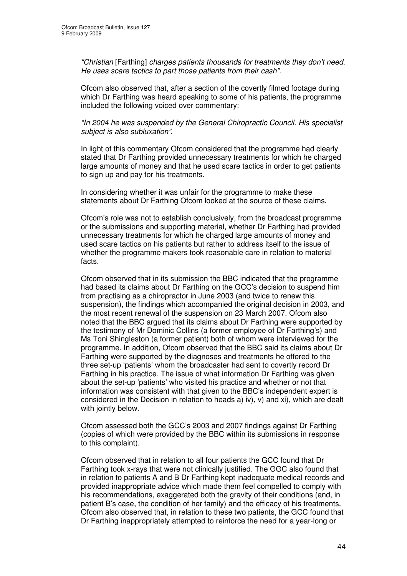*"Christian* [Farthing] *charges patients thousands for treatments they don't need. He uses scare tactics to part those patients from their cash".*

Ofcom also observed that, after a section of the covertly filmed footage during which Dr Farthing was heard speaking to some of his patients, the programme included the following voiced over commentary:

*"In 2004 he was suspended by the General Chiropractic Council. His specialist subject is also subluxation".*

In light of this commentary Ofcom considered that the programme had clearly stated that Dr Farthing provided unnecessary treatments for which he charged large amounts of money and that he used scare tactics in order to get patients to sign up and pay for his treatments.

In considering whether it was unfair for the programme to make these statements about Dr Farthing Ofcom looked at the source of these claims.

Ofcom's role was not to establish conclusively, from the broadcast programme or the submissions and supporting material, whether Dr Farthing had provided unnecessary treatments for which he charged large amounts of money and used scare tactics on his patients but rather to address itself to the issue of whether the programme makers took reasonable care in relation to material facts.

Ofcom observed that in its submission the BBC indicated that the programme had based its claims about Dr Farthing on the GCC's decision to suspend him from practising as a chiropractor in June 2003 (and twice to renew this suspension), the findings which accompanied the original decision in 2003, and the most recent renewal of the suspension on 23 March 2007. Ofcom also noted that the BBC argued that its claims about Dr Farthing were supported by the testimony of Mr Dominic Collins (a former employee of Dr Farthing's) and Ms Toni Shingleston (a former patient) both of whom were interviewed for the programme. In addition, Ofcom observed that the BBC said its claims about Dr Farthing were supported by the diagnoses and treatments he offered to the three set-up 'patients' whom the broadcaster had sent to covertly record Dr Farthing in his practice. The issue of what information Dr Farthing was given about the set-up 'patients' who visited his practice and whether or not that information was consistent with that given to the BBC's independent expert is considered in the Decision in relation to heads a) iv), v) and xi), which are dealt with jointly below.

Ofcom assessed both the GCC's 2003 and 2007 findings against Dr Farthing (copies of which were provided by the BBC within its submissions in response to this complaint).

Ofcom observed that in relation to all four patients the GCC found that Dr Farthing took x-rays that were not clinically justified. The GGC also found that in relation to patients A and B Dr Farthing kept inadequate medical records and provided inappropriate advice which made them feel compelled to comply with his recommendations, exaggerated both the gravity of their conditions (and, in patient B's case, the condition of her family) and the efficacy of his treatments. Ofcom also observed that, in relation to these two patients, the GCC found that Dr Farthing inappropriately attempted to reinforce the need for a year-long or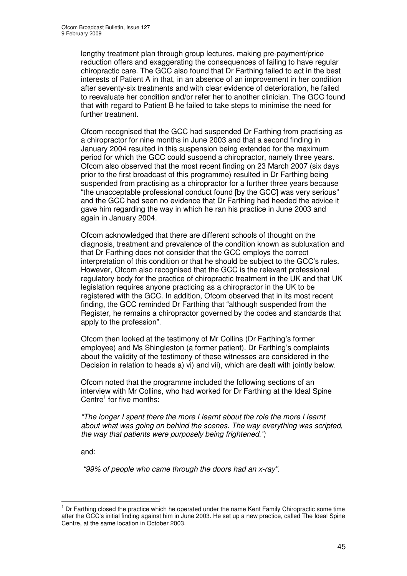lengthy treatment plan through group lectures, making pre-payment/price reduction offers and exaggerating the consequences of failing to have regular chiropractic care. The GCC also found that Dr Farthing failed to act in the best interests of Patient A in that, in an absence of an improvement in her condition after seventy-six treatments and with clear evidence of deterioration, he failed to reevaluate her condition and/or refer her to another clinician. The GCC found that with regard to Patient B he failed to take steps to minimise the need for further treatment.

Ofcom recognised that the GCC had suspended Dr Farthing from practising as a chiropractor for nine months in June 2003 and that a second finding in January 2004 resulted in this suspension being extended for the maximum period for which the GCC could suspend a chiropractor, namely three years. Ofcom also observed that the most recent finding on 23 March 2007 (six days prior to the first broadcast of this programme) resulted in Dr Farthing being suspended from practising as a chiropractor for a further three years because "the unacceptable professional conduct found [by the GCC] was very serious" and the GCC had seen no evidence that Dr Farthing had heeded the advice it gave him regarding the way in which he ran his practice in June 2003 and again in January 2004.

Ofcom acknowledged that there are different schools of thought on the diagnosis, treatment and prevalence of the condition known as subluxation and that Dr Farthing does not consider that the GCC employs the correct interpretation of this condition or that he should be subject to the GCC's rules. However, Ofcom also recognised that the GCC is the relevant professional regulatory body for the practice of chiropractic treatment in the UK and that UK legislation requires anyone practicing as a chiropractor in the UK to be registered with the GCC. In addition, Ofcom observed that in its most recent finding, the GCC reminded Dr Farthing that "although suspended from the Register, he remains a chiropractor governed by the codes and standards that apply to the profession".

Ofcom then looked at the testimony of Mr Collins (Dr Farthing's former employee) and Ms Shingleston (a former patient). Dr Farthing's complaints about the validity of the testimony of these witnesses are considered in the Decision in relation to heads a) vi) and vii), which are dealt with jointly below.

Ofcom noted that the programme included the following sections of an interview with Mr Collins, who had worked for Dr Farthing at the Ideal Spine Centre<sup>1</sup> for five months:

*"The longer I spent there the more I learnt about the role the more I learnt about what was going on behind the scenes. The way everything was scripted, the way that patients were purposely being frightened.";*

and:

*"99% of people who came through the doors had an x-ray".*

<sup>&</sup>lt;sup>1</sup> Dr Farthing closed the practice which he operated under the name Kent Family Chiropractic some time after the GCC's initial finding against him in June 2003. He set up a new practice, called The Ideal Spine Centre, at the same location in October 2003.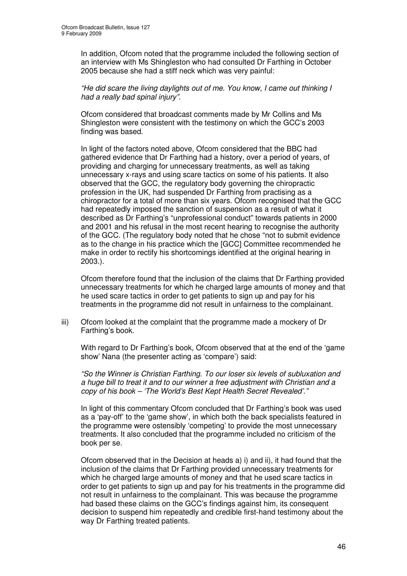In addition, Ofcom noted that the programme included the following section of an interview with Ms Shingleston who had consulted Dr Farthing in October 2005 because she had a stiff neck which was very painful:

*"He did scare the living daylights out of me. You know, I came out thinking I had a really bad spinal injury".*

Ofcom considered that broadcast comments made by Mr Collins and Ms Shingleston were consistent with the testimony on which the GCC's 2003 finding was based.

In light of the factors noted above, Ofcom considered that the BBC had gathered evidence that Dr Farthing had a history, over a period of years, of providing and charging for unnecessary treatments, as well as taking unnecessary x-rays and using scare tactics on some of his patients. It also observed that the GCC, the regulatory body governing the chiropractic profession in the UK, had suspended Dr Farthing from practising as a chiropractor for a total of more than six years. Ofcom recognised that the GCC had repeatedly imposed the sanction of suspension as a result of what it described as Dr Farthing's "unprofessional conduct" towards patients in 2000 and 2001 and his refusal in the most recent hearing to recognise the authority of the GCC. (The regulatory body noted that he chose "not to submit evidence as to the change in his practice which the [GCC] Committee recommended he make in order to rectify his shortcomings identified at the original hearing in 2003.).

Ofcom therefore found that the inclusion of the claims that Dr Farthing provided unnecessary treatments for which he charged large amounts of money and that he used scare tactics in order to get patients to sign up and pay for his treatments in the programme did not result in unfairness to the complainant.

iii) Ofcom looked at the complaint that the programme made a mockery of Dr Farthing's book.

With regard to Dr Farthing's book, Ofcom observed that at the end of the 'game show' Nana (the presenter acting as 'compare') said:

*"So the Winner is Christian Farthing. To our loser six levels of subluxation and a huge bill to treat it and to our winner a free adjustment with Christian and a copy of his book – 'The World's Best Kept Health Secret Revealed'."*

In light of this commentary Ofcom concluded that Dr Farthing's book was used as a 'pay-off' to the 'game show', in which both the back specialists featured in the programme were ostensibly 'competing' to provide the most unnecessary treatments. It also concluded that the programme included no criticism of the book per se.

Ofcom observed that in the Decision at heads a) i) and ii), it had found that the inclusion of the claims that Dr Farthing provided unnecessary treatments for which he charged large amounts of money and that he used scare tactics in order to get patients to sign up and pay for his treatments in the programme did not result in unfairness to the complainant. This was because the programme had based these claims on the GCC's findings against him, its consequent decision to suspend him repeatedly and credible first-hand testimony about the way Dr Farthing treated patients.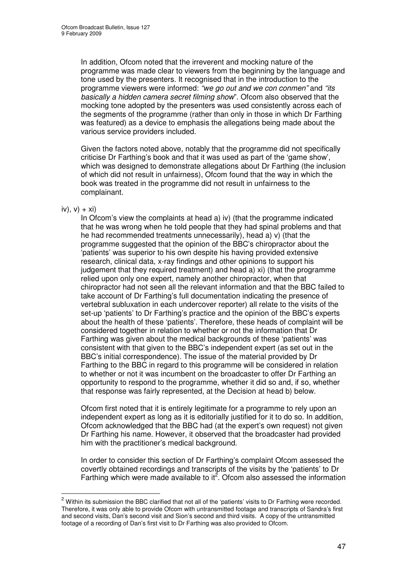In addition, Ofcom noted that the irreverent and mocking nature of the programme was made clear to viewers from the beginning by the language and tone used by the presenters. It recognised that in the introduction to the programme viewers were informed: *"we go out and we con conmen"* and *"its basically a hidden camera secret filming show*". Ofcom also observed that the mocking tone adopted by the presenters was used consistently across each of the segments of the programme (rather than only in those in which Dr Farthing was featured) as a device to emphasis the allegations being made about the various service providers included.

Given the factors noted above, notably that the programme did not specifically criticise Dr Farthing's book and that it was used as part of the 'game show', which was designed to demonstrate allegations about Dr Farthing (the inclusion of which did not result in unfairness), Ofcom found that the way in which the book was treated in the programme did not result in unfairness to the complainant.

# $iv)$ ,  $v) + xi$

In Ofcom's view the complaints at head a) iv) (that the programme indicated that he was wrong when he told people that they had spinal problems and that he had recommended treatments unnecessarily), head a) v) (that the programme suggested that the opinion of the BBC's chiropractor about the 'patients' was superior to his own despite his having provided extensive research, clinical data, x-ray findings and other opinions to support his judgement that they required treatment) and head a) xi) (that the programme relied upon only one expert, namely another chiropractor, when that chiropractor had not seen all the relevant information and that the BBC failed to take account of Dr Farthing's full documentation indicating the presence of vertebral subluxation in each undercover reporter) all relate to the visits of the set-up 'patients' to Dr Farthing's practice and the opinion of the BBC's experts about the health of these 'patients'. Therefore, these heads of complaint will be considered together in relation to whether or not the information that Dr Farthing was given about the medical backgrounds of these 'patients' was consistent with that given to the BBC's independent expert (as set out in the BBC's initial correspondence). The issue of the material provided by Dr Farthing to the BBC in regard to this programme will be considered in relation to whether or not it was incumbent on the broadcaster to offer Dr Farthing an opportunity to respond to the programme, whether it did so and, if so, whether that response was fairly represented, at the Decision at head b) below.

Ofcom first noted that it is entirely legitimate for a programme to rely upon an independent expert as long as it is editorially justified for it to do so. In addition, Ofcom acknowledged that the BBC had (at the expert's own request) not given Dr Farthing his name. However, it observed that the broadcaster had provided him with the practitioner's medical background.

In order to consider this section of Dr Farthing's complaint Ofcom assessed the covertly obtained recordings and transcripts of the visits by the 'patients' to Dr Farthing which were made available to it<sup>2</sup>. Ofcom also assessed the information

<sup>&</sup>lt;sup>2</sup> Within its submission the BBC clarified that not all of the 'patients' visits to Dr Farthing were recorded. Therefore, it was only able to provide Ofcom with untransmitted footage and transcripts of Sandra's first and second visits, Dan's second visit and Sion's second and third visits. A copy of the untransmitted footage of a recording of Dan's first visit to Dr Farthing was also provided to Ofcom.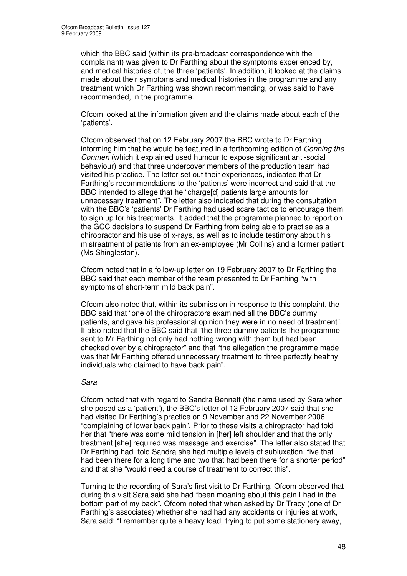which the BBC said (within its pre-broadcast correspondence with the complainant) was given to Dr Farthing about the symptoms experienced by, and medical histories of, the three 'patients'. In addition, it looked at the claims made about their symptoms and medical histories in the programme and any treatment which Dr Farthing was shown recommending, or was said to have recommended, in the programme.

Ofcom looked at the information given and the claims made about each of the 'patients'.

Ofcom observed that on 12 February 2007 the BBC wrote to Dr Farthing informing him that he would be featured in a forthcoming edition of *Conning the Conmen* (which it explained used humour to expose significant anti-social behaviour) and that three undercover members of the production team had visited his practice. The letter set out their experiences, indicated that Dr Farthing's recommendations to the 'patients' were incorrect and said that the BBC intended to allege that he "charge[d] patients large amounts for unnecessary treatment". The letter also indicated that during the consultation with the BBC's 'patients' Dr Farthing had used scare tactics to encourage them to sign up for his treatments. It added that the programme planned to report on the GCC decisions to suspend Dr Farthing from being able to practise as a chiropractor and his use of x-rays, as well as to include testimony about his mistreatment of patients from an ex-employee (Mr Collins) and a former patient (Ms Shingleston).

Ofcom noted that in a follow-up letter on 19 February 2007 to Dr Farthing the BBC said that each member of the team presented to Dr Farthing "with symptoms of short-term mild back pain".

Ofcom also noted that, within its submission in response to this complaint, the BBC said that "one of the chiropractors examined all the BBC's dummy patients, and gave his professional opinion they were in no need of treatment". It also noted that the BBC said that "the three dummy patients the programme sent to Mr Farthing not only had nothing wrong with them but had been checked over by a chiropractor" and that "the allegation the programme made was that Mr Farthing offered unnecessary treatment to three perfectly healthy individuals who claimed to have back pain".

# *Sara*

Ofcom noted that with regard to Sandra Bennett (the name used by Sara when she posed as a 'patient'), the BBC's letter of 12 February 2007 said that she had visited Dr Farthing's practice on 9 November and 22 November 2006 "complaining of lower back pain". Prior to these visits a chiropractor had told her that "there was some mild tension in [her] left shoulder and that the only treatment [she] required was massage and exercise". The letter also stated that Dr Farthing had "told Sandra she had multiple levels of subluxation, five that had been there for a long time and two that had been there for a shorter period" and that she "would need a course of treatment to correct this".

Turning to the recording of Sara's first visit to Dr Farthing, Ofcom observed that during this visit Sara said she had "been moaning about this pain I had in the bottom part of my back". Ofcom noted that when asked by Dr Tracy (one of Dr Farthing's associates) whether she had had any accidents or injuries at work, Sara said: "I remember quite a heavy load, trying to put some stationery away,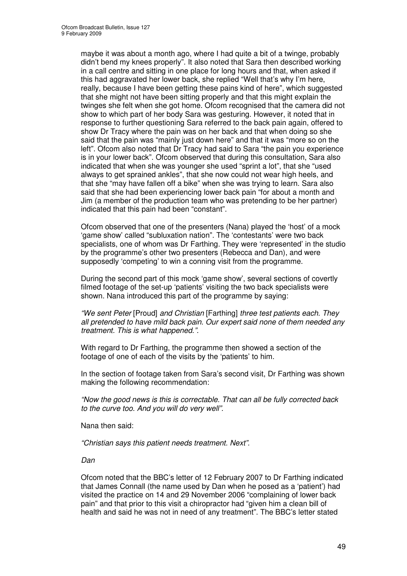maybe it was about a month ago, where I had quite a bit of a twinge, probably didn't bend my knees properly". It also noted that Sara then described working in a call centre and sitting in one place for long hours and that, when asked if this had aggravated her lower back, she replied "Well that's why I'm here, really, because I have been getting these pains kind of here", which suggested that she might not have been sitting properly and that this might explain the twinges she felt when she got home. Ofcom recognised that the camera did not show to which part of her body Sara was gesturing. However, it noted that in response to further questioning Sara referred to the back pain again, offered to show Dr Tracy where the pain was on her back and that when doing so she said that the pain was "mainly just down here" and that it was "more so on the left". Ofcom also noted that Dr Tracy had said to Sara "the pain you experience is in your lower back". Ofcom observed that during this consultation, Sara also indicated that when she was younger she used "sprint a lot", that she "used always to get sprained ankles", that she now could not wear high heels, and that she "may have fallen off a bike" when she was trying to learn. Sara also said that she had been experiencing lower back pain "for about a month and Jim (a member of the production team who was pretending to be her partner) indicated that this pain had been "constant".

Ofcom observed that one of the presenters (Nana) played the 'host' of a mock 'game show' called "subluxation nation". The 'contestants' were two back specialists, one of whom was Dr Farthing. They were 'represented' in the studio by the programme's other two presenters (Rebecca and Dan), and were supposedly 'competing' to win a conning visit from the programme.

During the second part of this mock 'game show', several sections of covertly filmed footage of the set-up 'patients' visiting the two back specialists were shown. Nana introduced this part of the programme by saying:

*"We sent Peter* [Proud] *and Christian* [Farthing] *three test patients each. They all pretended to have mild back pain. Our expert said none of them needed any treatment. This is what happened.".*

With regard to Dr Farthing, the programme then showed a section of the footage of one of each of the visits by the 'patients' to him.

In the section of footage taken from Sara's second visit, Dr Farthing was shown making the following recommendation:

*"Now the good news is this is correctable. That can all be fully corrected back to the curve too. And you will do very well".*

Nana then said:

*"Christian says this patient needs treatment. Next".*

*Dan*

Ofcom noted that the BBC's letter of 12 February 2007 to Dr Farthing indicated that James Connall (the name used by Dan when he posed as a 'patient') had visited the practice on 14 and 29 November 2006 "complaining of lower back pain" and that prior to this visit a chiropractor had "given him a clean bill of health and said he was not in need of any treatment". The BBC's letter stated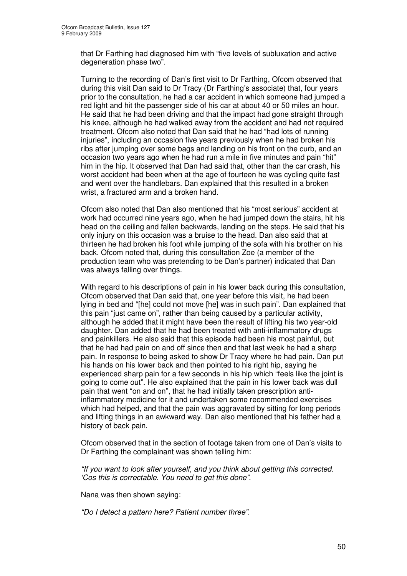that Dr Farthing had diagnosed him with "five levels of subluxation and active degeneration phase two".

Turning to the recording of Dan's first visit to Dr Farthing, Ofcom observed that during this visit Dan said to Dr Tracy (Dr Farthing's associate) that, four years prior to the consultation, he had a car accident in which someone had jumped a red light and hit the passenger side of his car at about 40 or 50 miles an hour. He said that he had been driving and that the impact had gone straight through his knee, although he had walked away from the accident and had not required treatment. Ofcom also noted that Dan said that he had "had lots of running injuries", including an occasion five years previously when he had broken his ribs after jumping over some bags and landing on his front on the curb, and an occasion two years ago when he had run a mile in five minutes and pain "hit" him in the hip. It observed that Dan had said that, other than the car crash, his worst accident had been when at the age of fourteen he was cycling quite fast and went over the handlebars. Dan explained that this resulted in a broken wrist, a fractured arm and a broken hand.

Ofcom also noted that Dan also mentioned that his "most serious" accident at work had occurred nine years ago, when he had jumped down the stairs, hit his head on the ceiling and fallen backwards, landing on the steps. He said that his only injury on this occasion was a bruise to the head. Dan also said that at thirteen he had broken his foot while jumping of the sofa with his brother on his back. Ofcom noted that, during this consultation Zoe (a member of the production team who was pretending to be Dan's partner) indicated that Dan was always falling over things.

With regard to his descriptions of pain in his lower back during this consultation, Ofcom observed that Dan said that, one year before this visit, he had been lying in bed and "[he] could not move [he] was in such pain". Dan explained that this pain "just came on", rather than being caused by a particular activity, although he added that it might have been the result of lifting his two year-old daughter. Dan added that he had been treated with anti-inflammatory drugs and painkillers. He also said that this episode had been his most painful, but that he had had pain on and off since then and that last week he had a sharp pain. In response to being asked to show Dr Tracy where he had pain, Dan put his hands on his lower back and then pointed to his right hip, saying he experienced sharp pain for a few seconds in his hip which "feels like the joint is going to come out". He also explained that the pain in his lower back was dull pain that went "on and on", that he had initially taken prescription antiinflammatory medicine for it and undertaken some recommended exercises which had helped, and that the pain was aggravated by sitting for long periods and lifting things in an awkward way. Dan also mentioned that his father had a history of back pain.

Ofcom observed that in the section of footage taken from one of Dan's visits to Dr Farthing the complainant was shown telling him:

*"If you want to look after yourself, and you think about getting this corrected. 'Cos this is correctable. You need to get this done".*

Nana was then shown saying:

*"Do I detect a pattern here? Patient number three".*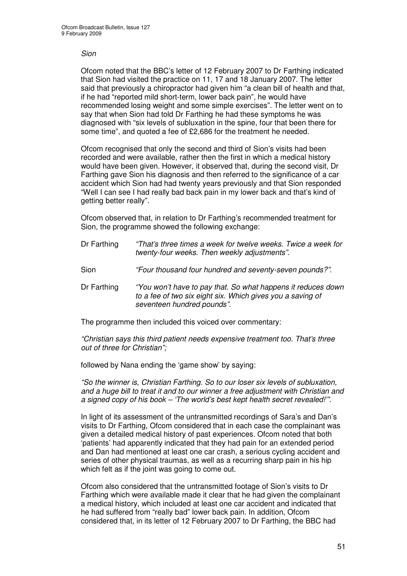#### *Sion*

Ofcom noted that the BBC's letter of 12 February 2007 to Dr Farthing indicated that Sion had visited the practice on 11, 17 and 18 January 2007. The letter said that previously a chiropractor had given him "a clean bill of health and that, if he had "reported mild short-term, lower back pain", he would have recommended losing weight and some simple exercises". The letter went on to say that when Sion had told Dr Farthing he had these symptoms he was diagnosed with "six levels of subluxation in the spine, four that been there for some time", and quoted a fee of £2,686 for the treatment he needed.

Ofcom recognised that only the second and third of Sion's visits had been recorded and were available, rather then the first in which a medical history would have been given. However, it observed that, during the second visit, Dr Farthing gave Sion his diagnosis and then referred to the significance of a car accident which Sion had had twenty years previously and that Sion responded "Well I can see I had really bad back pain in my lower back and that's kind of getting better really".

Ofcom observed that, in relation to Dr Farthing's recommended treatment for Sion, the programme showed the following exchange:

| Dr Farthing | "That's three times a week for twelve weeks. Twice a week for<br>twenty-four weeks. Then weekly adjustments".                                            |
|-------------|----------------------------------------------------------------------------------------------------------------------------------------------------------|
| Sion        | "Four thousand four hundred and seventy-seven pounds?".                                                                                                  |
| Dr Farthing | "You won't have to pay that. So what happens it reduces down<br>to a fee of two six eight six. Which gives you a saving of<br>seventeen hundred pounds". |

The programme then included this voiced over commentary:

*"Christian says this third patient needs expensive treatment too. That's three out of three for Christian";*

followed by Nana ending the 'game show' by saying:

*"So the winner is, Christian Farthing. So to our loser six levels of subluxation, and a huge bill to treat it and to our winner a free adjustment with Christian and a signed copy of his book – 'The world's best kept health secret revealed!'".*

In light of its assessment of the untransmitted recordings of Sara's and Dan's visits to Dr Farthing, Ofcom considered that in each case the complainant was given a detailed medical history of past experiences. Ofcom noted that both 'patients' had apparently indicated that they had pain for an extended period and Dan had mentioned at least one car crash, a serious cycling accident and series of other physical traumas, as well as a recurring sharp pain in his hip which felt as if the joint was going to come out.

Ofcom also considered that the untransmitted footage of Sion's visits to Dr Farthing which were available made it clear that he had given the complainant a medical history, which included at least one car accident and indicated that he had suffered from "really bad" lower back pain. In addition, Ofcom considered that, in its letter of 12 February 2007 to Dr Farthing, the BBC had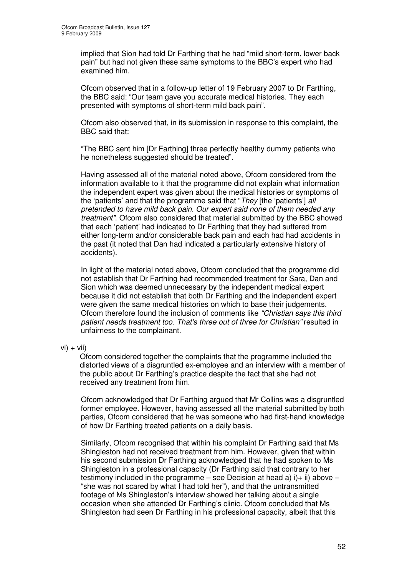implied that Sion had told Dr Farthing that he had "mild short-term, lower back pain" but had not given these same symptoms to the BBC's expert who had examined him.

Ofcom observed that in a follow-up letter of 19 February 2007 to Dr Farthing, the BBC said: "Our team gave you accurate medical histories. They each presented with symptoms of short-term mild back pain".

Ofcom also observed that, in its submission in response to this complaint, the BBC said that:

"The BBC sent him [Dr Farthing] three perfectly healthy dummy patients who he nonetheless suggested should be treated".

Having assessed all of the material noted above, Ofcom considered from the information available to it that the programme did not explain what information the independent expert was given about the medical histories or symptoms of the 'patients' and that the programme said that "*They* [the 'patients'] *all pretended to have mild back pain. Our expert said none of them needed any treatment"*. Ofcom also considered that material submitted by the BBC showed that each 'patient' had indicated to Dr Farthing that they had suffered from either long-term and/or considerable back pain and each had had accidents in the past (it noted that Dan had indicated a particularly extensive history of accidents).

In light of the material noted above, Ofcom concluded that the programme did not establish that Dr Farthing had recommended treatment for Sara, Dan and Sion which was deemed unnecessary by the independent medical expert because it did not establish that both Dr Farthing and the independent expert were given the same medical histories on which to base their judgements. Ofcom therefore found the inclusion of comments like *"Christian says this third patient needs treatment too. That's three out of three for Christian"* resulted in unfairness to the complainant.

 $vi) + viii)$ 

Ofcom considered together the complaints that the programme included the distorted views of a disgruntled ex-employee and an interview with a member of the public about Dr Farthing's practice despite the fact that she had not received any treatment from him.

Ofcom acknowledged that Dr Farthing argued that Mr Collins was a disgruntled former employee. However, having assessed all the material submitted by both parties, Ofcom considered that he was someone who had first-hand knowledge of how Dr Farthing treated patients on a daily basis.

Similarly, Ofcom recognised that within his complaint Dr Farthing said that Ms Shingleston had not received treatment from him. However, given that within his second submission Dr Farthing acknowledged that he had spoken to Ms Shingleston in a professional capacity (Dr Farthing said that contrary to her testimony included in the programme – see Decision at head a)  $i$ ) + ii) above – "she was not scared by what I had told her"), and that the untransmitted footage of Ms Shingleston's interview showed her talking about a single occasion when she attended Dr Farthing's clinic. Ofcom concluded that Ms Shingleston had seen Dr Farthing in his professional capacity, albeit that this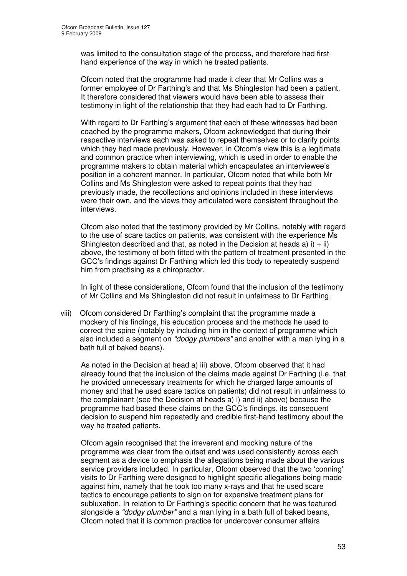was limited to the consultation stage of the process, and therefore had firsthand experience of the way in which he treated patients.

Ofcom noted that the programme had made it clear that Mr Collins was a former employee of Dr Farthing's and that Ms Shingleston had been a patient. It therefore considered that viewers would have been able to assess their testimony in light of the relationship that they had each had to Dr Farthing.

With regard to Dr Farthing's argument that each of these witnesses had been coached by the programme makers, Ofcom acknowledged that during their respective interviews each was asked to repeat themselves or to clarify points which they had made previously. However, in Ofcom's view this is a legitimate and common practice when interviewing, which is used in order to enable the programme makers to obtain material which encapsulates an interviewee's position in a coherent manner. In particular, Ofcom noted that while both Mr Collins and Ms Shingleston were asked to repeat points that they had previously made, the recollections and opinions included in these interviews were their own, and the views they articulated were consistent throughout the interviews.

Ofcom also noted that the testimony provided by Mr Collins, notably with regard to the use of scare tactics on patients, was consistent with the experience Ms Shingleston described and that, as noted in the Decision at heads a)  $i$  + ii) above, the testimony of both fitted with the pattern of treatment presented in the GCC's findings against Dr Farthing which led this body to repeatedly suspend him from practising as a chiropractor.

In light of these considerations, Ofcom found that the inclusion of the testimony of Mr Collins and Ms Shingleston did not result in unfairness to Dr Farthing.

viii) Ofcom considered Dr Farthing's complaint that the programme made a mockery of his findings, his education process and the methods he used to correct the spine (notably by including him in the context of programme which also included a segment on *"dodgy plumbers"* and another with a man lying in a bath full of baked beans).

As noted in the Decision at head a) iii) above, Ofcom observed that it had already found that the inclusion of the claims made against Dr Farthing (i.e. that he provided unnecessary treatments for which he charged large amounts of money and that he used scare tactics on patients) did not result in unfairness to the complainant (see the Decision at heads a) i) and ii) above) because the programme had based these claims on the GCC's findings, its consequent decision to suspend him repeatedly and credible first-hand testimony about the way he treated patients.

Ofcom again recognised that the irreverent and mocking nature of the programme was clear from the outset and was used consistently across each segment as a device to emphasis the allegations being made about the various service providers included. In particular, Ofcom observed that the two 'conning' visits to Dr Farthing were designed to highlight specific allegations being made against him, namely that he took too many x-rays and that he used scare tactics to encourage patients to sign on for expensive treatment plans for subluxation. In relation to Dr Farthing's specific concern that he was featured alongside a *"dodgy plumber"* and a man lying in a bath full of baked beans, Ofcom noted that it is common practice for undercover consumer affairs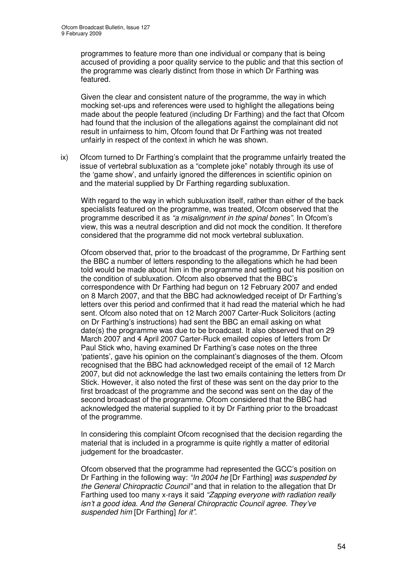programmes to feature more than one individual or company that is being accused of providing a poor quality service to the public and that this section of the programme was clearly distinct from those in which Dr Farthing was featured.

Given the clear and consistent nature of the programme, the way in which mocking set-ups and references were used to highlight the allegations being made about the people featured (including Dr Farthing) and the fact that Ofcom had found that the inclusion of the allegations against the complainant did not result in unfairness to him, Ofcom found that Dr Farthing was not treated unfairly in respect of the context in which he was shown.

ix) Ofcom turned to Dr Farthing's complaint that the programme unfairly treated the issue of vertebral subluxation as a "complete joke" notably through its use of the 'game show', and unfairly ignored the differences in scientific opinion on and the material supplied by Dr Farthing regarding subluxation.

With regard to the way in which subluxation itself, rather than either of the back specialists featured on the programme, was treated, Ofcom observed that the programme described it as *"a misalignment in the spinal bones"*. In Ofcom's view, this was a neutral description and did not mock the condition. It therefore considered that the programme did not mock vertebral subluxation.

Ofcom observed that, prior to the broadcast of the programme, Dr Farthing sent the BBC a number of letters responding to the allegations which he had been told would be made about him in the programme and setting out his position on the condition of subluxation. Ofcom also observed that the BBC's correspondence with Dr Farthing had begun on 12 February 2007 and ended on 8 March 2007, and that the BBC had acknowledged receipt of Dr Farthing's letters over this period and confirmed that it had read the material which he had sent. Ofcom also noted that on 12 March 2007 Carter-Ruck Solicitors (acting on Dr Farthing's instructions) had sent the BBC an email asking on what date(s) the programme was due to be broadcast. It also observed that on 29 March 2007 and 4 April 2007 Carter-Ruck emailed copies of letters from Dr Paul Stick who, having examined Dr Farthing's case notes on the three 'patients', gave his opinion on the complainant's diagnoses of the them. Ofcom recognised that the BBC had acknowledged receipt of the email of 12 March 2007, but did not acknowledge the last two emails containing the letters from Dr Stick. However, it also noted the first of these was sent on the day prior to the first broadcast of the programme and the second was sent on the day of the second broadcast of the programme. Ofcom considered that the BBC had acknowledged the material supplied to it by Dr Farthing prior to the broadcast of the programme.

In considering this complaint Ofcom recognised that the decision regarding the material that is included in a programme is quite rightly a matter of editorial judgement for the broadcaster.

Ofcom observed that the programme had represented the GCC's position on Dr Farthing in the following way: *"In 2004 he* [Dr Farthing] *was suspended by the General Chiropractic Council"* and that in relation to the allegation that Dr Farthing used too many x-rays it said *"Zapping everyone with radiation really isn't a good idea. And the General Chiropractic Council agree. They've suspended him* [Dr Farthing] *for it"*.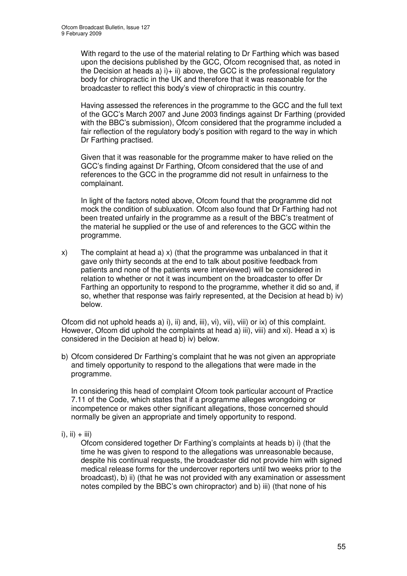With regard to the use of the material relating to Dr Farthing which was based upon the decisions published by the GCC, Ofcom recognised that, as noted in the Decision at heads a)  $i$ ) + ii) above, the GCC is the professional regulatory body for chiropractic in the UK and therefore that it was reasonable for the broadcaster to reflect this body's view of chiropractic in this country.

Having assessed the references in the programme to the GCC and the full text of the GCC's March 2007 and June 2003 findings against Dr Farthing (provided with the BBC's submission), Ofcom considered that the programme included a fair reflection of the regulatory body's position with regard to the way in which Dr Farthing practised.

Given that it was reasonable for the programme maker to have relied on the GCC's finding against Dr Farthing, Ofcom considered that the use of and references to the GCC in the programme did not result in unfairness to the complainant.

In light of the factors noted above, Ofcom found that the programme did not mock the condition of subluxation. Ofcom also found that Dr Farthing had not been treated unfairly in the programme as a result of the BBC's treatment of the material he supplied or the use of and references to the GCC within the programme.

x) The complaint at head a) x) (that the programme was unbalanced in that it gave only thirty seconds at the end to talk about positive feedback from patients and none of the patients were interviewed) will be considered in relation to whether or not it was incumbent on the broadcaster to offer Dr Farthing an opportunity to respond to the programme, whether it did so and, if so, whether that response was fairly represented, at the Decision at head b) iv) below.

Ofcom did not uphold heads a) i), ii) and, iii), vi), vii), viii) or ix) of this complaint. However, Ofcom did uphold the complaints at head a) iii), viii) and xi). Head a x) is considered in the Decision at head b) iv) below.

b) Ofcom considered Dr Farthing's complaint that he was not given an appropriate and timely opportunity to respond to the allegations that were made in the programme.

In considering this head of complaint Ofcom took particular account of Practice 7.11 of the Code, which states that if a programme alleges wrongdoing or incompetence or makes other significant allegations, those concerned should normally be given an appropriate and timely opportunity to respond.

 $i)$ ,  $ii) + iii)$ 

Ofcom considered together Dr Farthing's complaints at heads b) i) (that the time he was given to respond to the allegations was unreasonable because, despite his continual requests, the broadcaster did not provide him with signed medical release forms for the undercover reporters until two weeks prior to the broadcast), b) ii) (that he was not provided with any examination or assessment notes compiled by the BBC's own chiropractor) and b) iii) (that none of his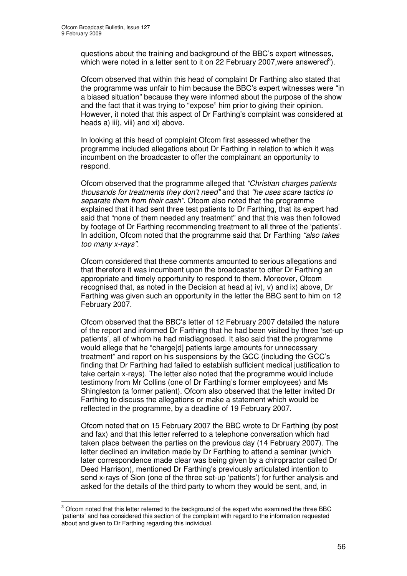questions about the training and background of the BBC's expert witnesses, which were noted in a letter sent to it on 22 February 2007, were answered<sup>3</sup>).

Ofcom observed that within this head of complaint Dr Farthing also stated that the programme was unfair to him because the BBC's expert witnesses were "in a biased situation" because they were informed about the purpose of the show and the fact that it was trying to "expose" him prior to giving their opinion. However, it noted that this aspect of Dr Farthing's complaint was considered at heads a) iii), viii) and xi) above.

In looking at this head of complaint Ofcom first assessed whether the programme included allegations about Dr Farthing in relation to which it was incumbent on the broadcaster to offer the complainant an opportunity to respond.

Ofcom observed that the programme alleged that *"Christian charges patients thousands for treatments they don't need"* and that *"he uses scare tactics to separate them from their cash"*. Ofcom also noted that the programme explained that it had sent three test patients to Dr Farthing, that its expert had said that "none of them needed any treatment" and that this was then followed by footage of Dr Farthing recommending treatment to all three of the 'patients'. In addition, Ofcom noted that the programme said that Dr Farthing *"also takes too many x-rays".*

Ofcom considered that these comments amounted to serious allegations and that therefore it was incumbent upon the broadcaster to offer Dr Farthing an appropriate and timely opportunity to respond to them. Moreover, Ofcom recognised that, as noted in the Decision at head a) iv), v) and ix) above, Dr Farthing was given such an opportunity in the letter the BBC sent to him on 12 February 2007.

Ofcom observed that the BBC's letter of 12 February 2007 detailed the nature of the report and informed Dr Farthing that he had been visited by three 'set-up patients', all of whom he had misdiagnosed. It also said that the programme would allege that he "charge[d] patients large amounts for unnecessary treatment" and report on his suspensions by the GCC (including the GCC's finding that Dr Farthing had failed to establish sufficient medical justification to take certain x-rays). The letter also noted that the programme would include testimony from Mr Collins (one of Dr Farthing's former employees) and Ms Shingleston (a former patient). Ofcom also observed that the letter invited Dr Farthing to discuss the allegations or make a statement which would be reflected in the programme, by a deadline of 19 February 2007.

Ofcom noted that on 15 February 2007 the BBC wrote to Dr Farthing (by post and fax) and that this letter referred to a telephone conversation which had taken place between the parties on the previous day (14 February 2007). The letter declined an invitation made by Dr Farthing to attend a seminar (which later correspondence made clear was being given by a chiropractor called Dr Deed Harrison), mentioned Dr Farthing's previously articulated intention to send x-rays of Sion (one of the three set-up 'patients') for further analysis and asked for the details of the third party to whom they would be sent, and, in

<sup>&</sup>lt;sup>3</sup> Ofcom noted that this letter referred to the background of the expert who examined the three BBC 'patients' and has considered this section of the complaint with regard to the information requested about and given to Dr Farthing regarding this individual.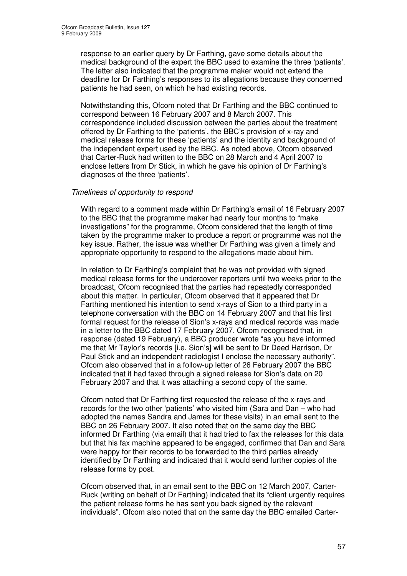response to an earlier query by Dr Farthing, gave some details about the medical background of the expert the BBC used to examine the three 'patients'. The letter also indicated that the programme maker would not extend the deadline for Dr Farthing's responses to its allegations because they concerned patients he had seen, on which he had existing records.

Notwithstanding this, Ofcom noted that Dr Farthing and the BBC continued to correspond between 16 February 2007 and 8 March 2007. This correspondence included discussion between the parties about the treatment offered by Dr Farthing to the 'patients', the BBC's provision of x-ray and medical release forms for these 'patients' and the identity and background of the independent expert used by the BBC. As noted above, Ofcom observed that Carter-Ruck had written to the BBC on 28 March and 4 April 2007 to enclose letters from Dr Stick, in which he gave his opinion of Dr Farthing's diagnoses of the three 'patients'.

# *Timeliness of opportunity to respond*

With regard to a comment made within Dr Farthing's email of 16 February 2007 to the BBC that the programme maker had nearly four months to "make investigations" for the programme, Ofcom considered that the length of time taken by the programme maker to produce a report or programme was not the key issue. Rather, the issue was whether Dr Farthing was given a timely and appropriate opportunity to respond to the allegations made about him.

In relation to Dr Farthing's complaint that he was not provided with signed medical release forms for the undercover reporters until two weeks prior to the broadcast, Ofcom recognised that the parties had repeatedly corresponded about this matter. In particular, Ofcom observed that it appeared that Dr Farthing mentioned his intention to send x-rays of Sion to a third party in a telephone conversation with the BBC on 14 February 2007 and that his first formal request for the release of Sion's x-rays and medical records was made in a letter to the BBC dated 17 February 2007. Ofcom recognised that, in response (dated 19 February), a BBC producer wrote "as you have informed me that Mr Taylor's records [i.e. Sion's] will be sent to Dr Deed Harrison, Dr Paul Stick and an independent radiologist I enclose the necessary authority". Ofcom also observed that in a follow-up letter of 26 February 2007 the BBC indicated that it had faxed through a signed release for Sion's data on 20 February 2007 and that it was attaching a second copy of the same.

Ofcom noted that Dr Farthing first requested the release of the x-rays and records for the two other 'patients' who visited him (Sara and Dan – who had adopted the names Sandra and James for these visits) in an email sent to the BBC on 26 February 2007. It also noted that on the same day the BBC informed Dr Farthing (via email) that it had tried to fax the releases for this data but that his fax machine appeared to be engaged, confirmed that Dan and Sara were happy for their records to be forwarded to the third parties already identified by Dr Farthing and indicated that it would send further copies of the release forms by post.

Ofcom observed that, in an email sent to the BBC on 12 March 2007, Carter-Ruck (writing on behalf of Dr Farthing) indicated that its "client urgently requires the patient release forms he has sent you back signed by the relevant individuals". Ofcom also noted that on the same day the BBC emailed Carter-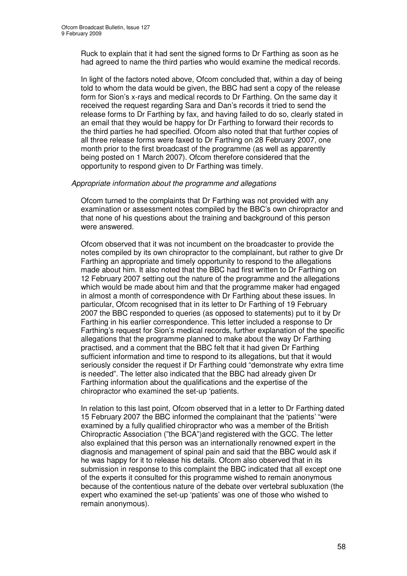Ruck to explain that it had sent the signed forms to Dr Farthing as soon as he had agreed to name the third parties who would examine the medical records.

In light of the factors noted above, Ofcom concluded that, within a day of being told to whom the data would be given, the BBC had sent a copy of the release form for Sion's x-rays and medical records to Dr Farthing. On the same day it received the request regarding Sara and Dan's records it tried to send the release forms to Dr Farthing by fax, and having failed to do so, clearly stated in an email that they would be happy for Dr Farthing to forward their records to the third parties he had specified. Ofcom also noted that that further copies of all three release forms were faxed to Dr Farthing on 28 February 2007, one month prior to the first broadcast of the programme (as well as apparently being posted on 1 March 2007). Ofcom therefore considered that the opportunity to respond given to Dr Farthing was timely.

#### *Appropriate information about the programme and allegations*

Ofcom turned to the complaints that Dr Farthing was not provided with any examination or assessment notes compiled by the BBC's own chiropractor and that none of his questions about the training and background of this person were answered.

Ofcom observed that it was not incumbent on the broadcaster to provide the notes compiled by its own chiropractor to the complainant, but rather to give Dr Farthing an appropriate and timely opportunity to respond to the allegations made about him. It also noted that the BBC had first written to Dr Farthing on 12 February 2007 setting out the nature of the programme and the allegations which would be made about him and that the programme maker had engaged in almost a month of correspondence with Dr Farthing about these issues. In particular, Ofcom recognised that in its letter to Dr Farthing of 19 February 2007 the BBC responded to queries (as opposed to statements) put to it by Dr Farthing in his earlier correspondence. This letter included a response to Dr Farthing's request for Sion's medical records, further explanation of the specific allegations that the programme planned to make about the way Dr Farthing practised, and a comment that the BBC felt that it had given Dr Farthing sufficient information and time to respond to its allegations, but that it would seriously consider the request if Dr Farthing could "demonstrate why extra time is needed". The letter also indicated that the BBC had already given Dr Farthing information about the qualifications and the expertise of the chiropractor who examined the set-up 'patients.

In relation to this last point, Ofcom observed that in a letter to Dr Farthing dated 15 February 2007 the BBC informed the complainant that the 'patients' "were examined by a fully qualified chiropractor who was a member of the British Chiropractic Association ("the BCA")and registered with the GCC. The letter also explained that this person was an internationally renowned expert in the diagnosis and management of spinal pain and said that the BBC would ask if he was happy for it to release his details. Ofcom also observed that in its submission in response to this complaint the BBC indicated that all except one of the experts it consulted for this programme wished to remain anonymous because of the contentious nature of the debate over vertebral subluxation (the expert who examined the set-up 'patients' was one of those who wished to remain anonymous).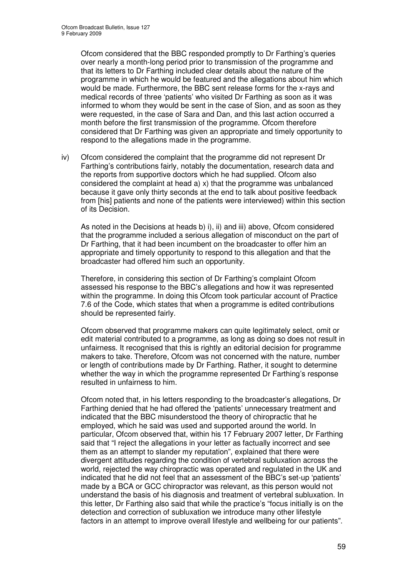Ofcom considered that the BBC responded promptly to Dr Farthing's queries over nearly a month-long period prior to transmission of the programme and that its letters to Dr Farthing included clear details about the nature of the programme in which he would be featured and the allegations about him which would be made. Furthermore, the BBC sent release forms for the x-rays and medical records of three 'patients' who visited Dr Farthing as soon as it was informed to whom they would be sent in the case of Sion, and as soon as they were requested, in the case of Sara and Dan, and this last action occurred a month before the first transmission of the programme. Ofcom therefore considered that Dr Farthing was given an appropriate and timely opportunity to respond to the allegations made in the programme.

iv) Ofcom considered the complaint that the programme did not represent Dr Farthing's contributions fairly, notably the documentation, research data and the reports from supportive doctors which he had supplied. Ofcom also considered the complaint at head a) x) that the programme was unbalanced because it gave only thirty seconds at the end to talk about positive feedback from [his] patients and none of the patients were interviewed) within this section of its Decision.

As noted in the Decisions at heads b) i), ii) and iii) above, Ofcom considered that the programme included a serious allegation of misconduct on the part of Dr Farthing, that it had been incumbent on the broadcaster to offer him an appropriate and timely opportunity to respond to this allegation and that the broadcaster had offered him such an opportunity.

Therefore, in considering this section of Dr Farthing's complaint Ofcom assessed his response to the BBC's allegations and how it was represented within the programme. In doing this Ofcom took particular account of Practice 7.6 of the Code, which states that when a programme is edited contributions should be represented fairly.

Ofcom observed that programme makers can quite legitimately select, omit or edit material contributed to a programme, as long as doing so does not result in unfairness. It recognised that this is rightly an editorial decision for programme makers to take. Therefore, Ofcom was not concerned with the nature, number or length of contributions made by Dr Farthing. Rather, it sought to determine whether the way in which the programme represented Dr Farthing's response resulted in unfairness to him.

Ofcom noted that, in his letters responding to the broadcaster's allegations, Dr Farthing denied that he had offered the 'patients' unnecessary treatment and indicated that the BBC misunderstood the theory of chiropractic that he employed, which he said was used and supported around the world. In particular, Ofcom observed that, within his 17 February 2007 letter, Dr Farthing said that "I reject the allegations in your letter as factually incorrect and see them as an attempt to slander my reputation", explained that there were divergent attitudes regarding the condition of vertebral subluxation across the world, rejected the way chiropractic was operated and regulated in the UK and indicated that he did not feel that an assessment of the BBC's set-up 'patients' made by a BCA or GCC chiropractor was relevant, as this person would not understand the basis of his diagnosis and treatment of vertebral subluxation. In this letter, Dr Farthing also said that while the practice's "focus initially is on the detection and correction of subluxation we introduce many other lifestyle factors in an attempt to improve overall lifestyle and wellbeing for our patients".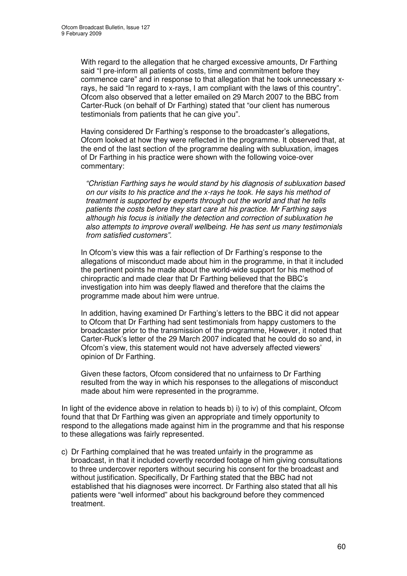With regard to the allegation that he charged excessive amounts, Dr Farthing said "I pre-inform all patients of costs, time and commitment before they commence care" and in response to that allegation that he took unnecessary xrays, he said "In regard to x-rays, I am compliant with the laws of this country". Ofcom also observed that a letter emailed on 29 March 2007 to the BBC from Carter-Ruck (on behalf of Dr Farthing) stated that "our client has numerous testimonials from patients that he can give you".

Having considered Dr Farthing's response to the broadcaster's allegations, Ofcom looked at how they were reflected in the programme. It observed that, at the end of the last section of the programme dealing with subluxation, images of Dr Farthing in his practice were shown with the following voice-over commentary:

*"Christian Farthing says he would stand by his diagnosis of subluxation based on our visits to his practice and the x-rays he took. He says his method of treatment is supported by experts through out the world and that he tells patients the costs before they start care at his practice. Mr Farthing says although his focus is initially the detection and correction of subluxation he also attempts to improve overall wellbeing. He has sent us many testimonials from satisfied customers".*

In Ofcom's view this was a fair reflection of Dr Farthing's response to the allegations of misconduct made about him in the programme, in that it included the pertinent points he made about the world-wide support for his method of chiropractic and made clear that Dr Farthing believed that the BBC's investigation into him was deeply flawed and therefore that the claims the programme made about him were untrue.

In addition, having examined Dr Farthing's letters to the BBC it did not appear to Ofcom that Dr Farthing had sent testimonials from happy customers to the broadcaster prior to the transmission of the programme, However, it noted that Carter-Ruck's letter of the 29 March 2007 indicated that he could do so and, in Ofcom's view, this statement would not have adversely affected viewers' opinion of Dr Farthing.

Given these factors, Ofcom considered that no unfairness to Dr Farthing resulted from the way in which his responses to the allegations of misconduct made about him were represented in the programme.

In light of the evidence above in relation to heads b) i) to iv) of this complaint, Ofcom found that that Dr Farthing was given an appropriate and timely opportunity to respond to the allegations made against him in the programme and that his response to these allegations was fairly represented.

c) Dr Farthing complained that he was treated unfairly in the programme as broadcast, in that it included covertly recorded footage of him giving consultations to three undercover reporters without securing his consent for the broadcast and without justification. Specifically, Dr Farthing stated that the BBC had not established that his diagnoses were incorrect. Dr Farthing also stated that all his patients were "well informed" about his background before they commenced treatment.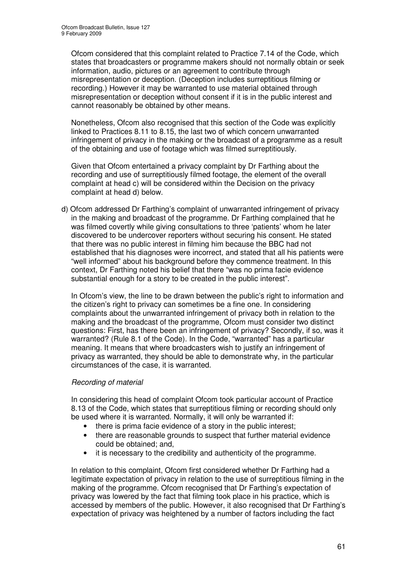Ofcom considered that this complaint related to Practice 7.14 of the Code, which states that broadcasters or programme makers should not normally obtain or seek information, audio, pictures or an agreement to contribute through misrepresentation or deception. (Deception includes surreptitious filming or recording.) However it may be warranted to use material obtained through misrepresentation or deception without consent if it is in the public interest and cannot reasonably be obtained by other means.

Nonetheless, Ofcom also recognised that this section of the Code was explicitly linked to Practices 8.11 to 8.15, the last two of which concern unwarranted infringement of privacy in the making or the broadcast of a programme as a result of the obtaining and use of footage which was filmed surreptitiously.

Given that Ofcom entertained a privacy complaint by Dr Farthing about the recording and use of surreptitiously filmed footage, the element of the overall complaint at head c) will be considered within the Decision on the privacy complaint at head d) below.

d) Ofcom addressed Dr Farthing's complaint of unwarranted infringement of privacy in the making and broadcast of the programme. Dr Farthing complained that he was filmed covertly while giving consultations to three 'patients' whom he later discovered to be undercover reporters without securing his consent. He stated that there was no public interest in filming him because the BBC had not established that his diagnoses were incorrect, and stated that all his patients were "well informed" about his background before they commence treatment. In this context, Dr Farthing noted his belief that there "was no prima facie evidence substantial enough for a story to be created in the public interest".

In Ofcom's view, the line to be drawn between the public's right to information and the citizen's right to privacy can sometimes be a fine one. In considering complaints about the unwarranted infringement of privacy both in relation to the making and the broadcast of the programme, Ofcom must consider two distinct questions: First, has there been an infringement of privacy? Secondly, if so, was it warranted? (Rule 8.1 of the Code). In the Code, "warranted" has a particular meaning. It means that where broadcasters wish to justify an infringement of privacy as warranted, they should be able to demonstrate why, in the particular circumstances of the case, it is warranted.

# *Recording of material*

In considering this head of complaint Ofcom took particular account of Practice 8.13 of the Code, which states that surreptitious filming or recording should only be used where it is warranted. Normally, it will only be warranted if:

- there is prima facie evidence of a story in the public interest;
- there are reasonable grounds to suspect that further material evidence could be obtained; and,
- it is necessary to the credibility and authenticity of the programme.

In relation to this complaint, Ofcom first considered whether Dr Farthing had a legitimate expectation of privacy in relation to the use of surreptitious filming in the making of the programme. Ofcom recognised that Dr Farthing's expectation of privacy was lowered by the fact that filming took place in his practice, which is accessed by members of the public. However, it also recognised that Dr Farthing's expectation of privacy was heightened by a number of factors including the fact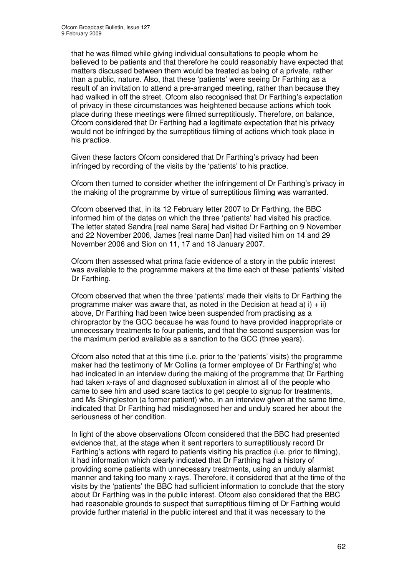that he was filmed while giving individual consultations to people whom he believed to be patients and that therefore he could reasonably have expected that matters discussed between them would be treated as being of a private, rather than a public, nature. Also, that these 'patients' were seeing Dr Farthing as a result of an invitation to attend a pre-arranged meeting, rather than because they had walked in off the street. Ofcom also recognised that Dr Farthing's expectation of privacy in these circumstances was heightened because actions which took place during these meetings were filmed surreptitiously. Therefore, on balance, Ofcom considered that Dr Farthing had a legitimate expectation that his privacy would not be infringed by the surreptitious filming of actions which took place in his practice.

Given these factors Ofcom considered that Dr Farthing's privacy had been infringed by recording of the visits by the 'patients' to his practice.

Ofcom then turned to consider whether the infringement of Dr Farthing's privacy in the making of the programme by virtue of surreptitious filming was warranted.

Ofcom observed that, in its 12 February letter 2007 to Dr Farthing, the BBC informed him of the dates on which the three 'patients' had visited his practice. The letter stated Sandra [real name Sara] had visited Dr Farthing on 9 November and 22 November 2006, James [real name Dan] had visited him on 14 and 29 November 2006 and Sion on 11, 17 and 18 January 2007.

Ofcom then assessed what prima facie evidence of a story in the public interest was available to the programme makers at the time each of these 'patients' visited Dr Farthing.

Ofcom observed that when the three 'patients' made their visits to Dr Farthing the programme maker was aware that, as noted in the Decision at head a) i)  $+$  ii) above, Dr Farthing had been twice been suspended from practising as a chiropractor by the GCC because he was found to have provided inappropriate or unnecessary treatments to four patients, and that the second suspension was for the maximum period available as a sanction to the GCC (three years).

Ofcom also noted that at this time (i.e. prior to the 'patients' visits) the programme maker had the testimony of Mr Collins (a former employee of Dr Farthing's) who had indicated in an interview during the making of the programme that Dr Farthing had taken x-rays of and diagnosed subluxation in almost all of the people who came to see him and used scare tactics to get people to signup for treatments, and Ms Shingleston (a former patient) who, in an interview given at the same time, indicated that Dr Farthing had misdiagnosed her and unduly scared her about the seriousness of her condition.

In light of the above observations Ofcom considered that the BBC had presented evidence that, at the stage when it sent reporters to surreptitiously record Dr Farthing's actions with regard to patients visiting his practice (i.e. prior to filming), it had information which clearly indicated that Dr Farthing had a history of providing some patients with unnecessary treatments, using an unduly alarmist manner and taking too many x-rays. Therefore, it considered that at the time of the visits by the 'patients' the BBC had sufficient information to conclude that the story about Dr Farthing was in the public interest. Ofcom also considered that the BBC had reasonable grounds to suspect that surreptitious filming of Dr Farthing would provide further material in the public interest and that it was necessary to the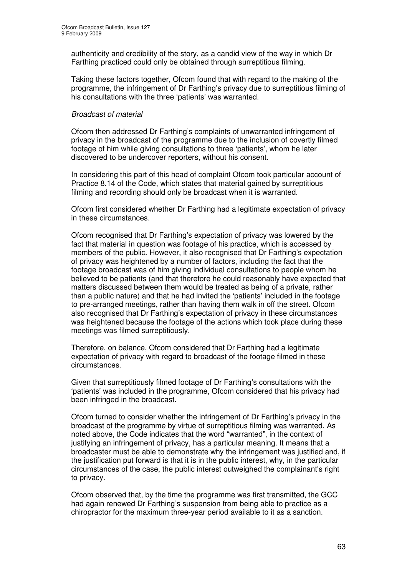authenticity and credibility of the story, as a candid view of the way in which Dr Farthing practiced could only be obtained through surreptitious filming.

Taking these factors together, Ofcom found that with regard to the making of the programme, the infringement of Dr Farthing's privacy due to surreptitious filming of his consultations with the three 'patients' was warranted.

# *Broadcast of material*

Ofcom then addressed Dr Farthing's complaints of unwarranted infringement of privacy in the broadcast of the programme due to the inclusion of covertly filmed footage of him while giving consultations to three 'patients', whom he later discovered to be undercover reporters, without his consent.

In considering this part of this head of complaint Ofcom took particular account of Practice 8.14 of the Code, which states that material gained by surreptitious filming and recording should only be broadcast when it is warranted.

Ofcom first considered whether Dr Farthing had a legitimate expectation of privacy in these circumstances.

Ofcom recognised that Dr Farthing's expectation of privacy was lowered by the fact that material in question was footage of his practice, which is accessed by members of the public. However, it also recognised that Dr Farthing's expectation of privacy was heightened by a number of factors, including the fact that the footage broadcast was of him giving individual consultations to people whom he believed to be patients (and that therefore he could reasonably have expected that matters discussed between them would be treated as being of a private, rather than a public nature) and that he had invited the 'patients' included in the footage to pre-arranged meetings, rather than having them walk in off the street. Ofcom also recognised that Dr Farthing's expectation of privacy in these circumstances was heightened because the footage of the actions which took place during these meetings was filmed surreptitiously.

Therefore, on balance, Ofcom considered that Dr Farthing had a legitimate expectation of privacy with regard to broadcast of the footage filmed in these circumstances.

Given that surreptitiously filmed footage of Dr Farthing's consultations with the 'patients' was included in the programme, Ofcom considered that his privacy had been infringed in the broadcast.

Ofcom turned to consider whether the infringement of Dr Farthing's privacy in the broadcast of the programme by virtue of surreptitious filming was warranted. As noted above, the Code indicates that the word "warranted", in the context of justifying an infringement of privacy, has a particular meaning. It means that a broadcaster must be able to demonstrate why the infringement was justified and, if the justification put forward is that it is in the public interest, why, in the particular circumstances of the case, the public interest outweighed the complainant's right to privacy.

Ofcom observed that, by the time the programme was first transmitted, the GCC had again renewed Dr Farthing's suspension from being able to practice as a chiropractor for the maximum three-year period available to it as a sanction.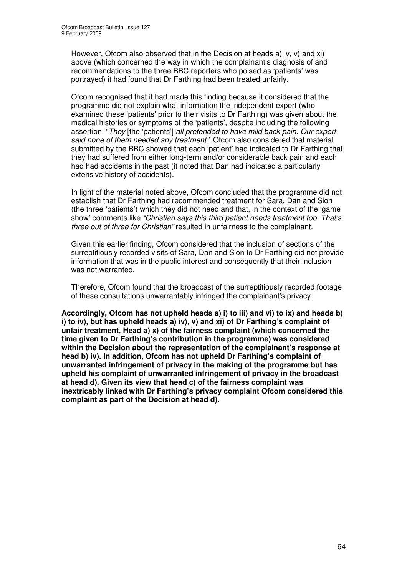However, Ofcom also observed that in the Decision at heads a) iv, v) and xi) above (which concerned the way in which the complainant's diagnosis of and recommendations to the three BBC reporters who poised as 'patients' was portrayed) it had found that Dr Farthing had been treated unfairly.

Ofcom recognised that it had made this finding because it considered that the programme did not explain what information the independent expert (who examined these 'patients' prior to their visits to Dr Farthing) was given about the medical histories or symptoms of the 'patients', despite including the following assertion: "*They* [the 'patients'] *all pretended to have mild back pain. Our expert said none of them needed any treatment"*. Ofcom also considered that material submitted by the BBC showed that each 'patient' had indicated to Dr Farthing that they had suffered from either long-term and/or considerable back pain and each had had accidents in the past (it noted that Dan had indicated a particularly extensive history of accidents).

In light of the material noted above, Ofcom concluded that the programme did not establish that Dr Farthing had recommended treatment for Sara, Dan and Sion (the three 'patients') which they did not need and that, in the context of the 'game show' comments like *"Christian says this third patient needs treatment too. That's three out of three for Christian"* resulted in unfairness to the complainant.

Given this earlier finding, Ofcom considered that the inclusion of sections of the surreptitiously recorded visits of Sara, Dan and Sion to Dr Farthing did not provide information that was in the public interest and consequently that their inclusion was not warranted.

Therefore, Ofcom found that the broadcast of the surreptitiously recorded footage of these consultations unwarrantably infringed the complainant's privacy.

**Accordingly, Ofcom has not upheld heads a) i) to iii) and vi) to ix) and heads b) i) to iv), but has upheld heads a) iv), v) and xi) of Dr Farthing's complaint of unfair treatment. Head a) x) of the fairness complaint (which concerned the time given to Dr Farthing's contribution in the programme) was considered within the Decision about the representation of the complainant's response at head b) iv). In addition, Ofcom has not upheld Dr Farthing's complaint of unwarranted infringement of privacy in the making of the programme but has upheld his complaint of unwarranted infringement of privacy in the broadcast at head d). Given its view that head c) of the fairness complaint was inextricably linked with Dr Farthing's privacy complaint Ofcom considered this complaint as part of the Decision at head d).**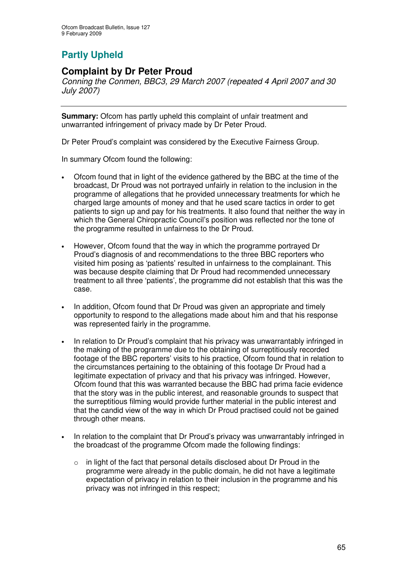# **Partly Upheld**

# **Complaint by Dr Peter Proud**

*Conning the Conmen, BBC3, 29 March 2007 (repeated 4 April 2007 and 30 July 2007)*

**Summary:** Ofcom has partly upheld this complaint of unfair treatment and unwarranted infringement of privacy made by Dr Peter Proud.

Dr Peter Proud's complaint was considered by the Executive Fairness Group.

In summary Ofcom found the following:

- Ofcom found that in light of the evidence gathered by the BBC at the time of the broadcast, Dr Proud was not portrayed unfairly in relation to the inclusion in the programme of allegations that he provided unnecessary treatments for which he charged large amounts of money and that he used scare tactics in order to get patients to sign up and pay for his treatments. It also found that neither the way in which the General Chiropractic Council's position was reflected nor the tone of the programme resulted in unfairness to the Dr Proud.
- However, Ofcom found that the way in which the programme portrayed Dr Proud's diagnosis of and recommendations to the three BBC reporters who visited him posing as 'patients' resulted in unfairness to the complainant. This was because despite claiming that Dr Proud had recommended unnecessary treatment to all three 'patients', the programme did not establish that this was the case.
- In addition, Ofcom found that Dr Proud was given an appropriate and timely opportunity to respond to the allegations made about him and that his response was represented fairly in the programme.
- In relation to Dr Proud's complaint that his privacy was unwarrantably infringed in the making of the programme due to the obtaining of surreptitiously recorded footage of the BBC reporters' visits to his practice, Ofcom found that in relation to the circumstances pertaining to the obtaining of this footage Dr Proud had a legitimate expectation of privacy and that his privacy was infringed. However, Ofcom found that this was warranted because the BBC had prima facie evidence that the story was in the public interest, and reasonable grounds to suspect that the surreptitious filming would provide further material in the public interest and that the candid view of the way in which Dr Proud practised could not be gained through other means.
- In relation to the complaint that Dr Proud's privacy was unwarrantably infringed in the broadcast of the programme Ofcom made the following findings:
	- in light of the fact that personal details disclosed about Dr Proud in the programme were already in the public domain, he did not have a legitimate expectation of privacy in relation to their inclusion in the programme and his privacy was not infringed in this respect;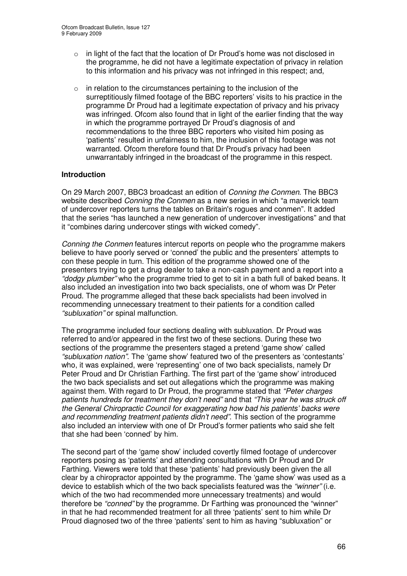- $\circ$  in light of the fact that the location of Dr Proud's home was not disclosed in the programme, he did not have a legitimate expectation of privacy in relation to this information and his privacy was not infringed in this respect; and,
- $\circ$  in relation to the circumstances pertaining to the inclusion of the surreptitiously filmed footage of the BBC reporters' visits to his practice in the programme Dr Proud had a legitimate expectation of privacy and his privacy was infringed. Ofcom also found that in light of the earlier finding that the way in which the programme portrayed Dr Proud's diagnosis of and recommendations to the three BBC reporters who visited him posing as 'patients' resulted in unfairness to him, the inclusion of this footage was not warranted. Ofcom therefore found that Dr Proud's privacy had been unwarrantably infringed in the broadcast of the programme in this respect.

# **Introduction**

On 29 March 2007, BBC3 broadcast an edition of *Conning the Conmen*. The BBC3 website described *Conning the Conmen* as a new series in which "a maverick team of undercover reporters turns the tables on Britain's rogues and conmen". It added that the series "has launched a new generation of undercover investigations" and that it "combines daring undercover stings with wicked comedy".

*Conning the Conmen* features intercut reports on people who the programme makers believe to have poorly served or 'conned' the public and the presenters' attempts to con these people in turn. This edition of the programme showed one of the presenters trying to get a drug dealer to take a non-cash payment and a report into a *"dodgy plumber"* who the programme tried to get to sit in a bath full of baked beans. It also included an investigation into two back specialists, one of whom was Dr Peter Proud. The programme alleged that these back specialists had been involved in recommending unnecessary treatment to their patients for a condition called *"subluxation"* or spinal malfunction.

The programme included four sections dealing with subluxation. Dr Proud was referred to and/or appeared in the first two of these sections. During these two sections of the programme the presenters staged a pretend 'game show' called *"subluxation nation"*. The 'game show' featured two of the presenters as 'contestants' who, it was explained, were 'representing' one of two back specialists, namely Dr Peter Proud and Dr Christian Farthing. The first part of the 'game show' introduced the two back specialists and set out allegations which the programme was making against them. With regard to Dr Proud, the programme stated that *"Peter charges patients hundreds for treatment they don't need"* and that *"This year he was struck off the General Chiropractic Council for exaggerating how bad his patients' backs were and recommending treatment patients didn't need"*. This section of the programme also included an interview with one of Dr Proud's former patients who said she felt that she had been 'conned' by him.

The second part of the 'game show' included covertly filmed footage of undercover reporters posing as 'patients' and attending consultations with Dr Proud and Dr Farthing. Viewers were told that these 'patients' had previously been given the all clear by a chiropractor appointed by the programme. The 'game show' was used as a device to establish which of the two back specialists featured was the *"winner"* (i.e. which of the two had recommended more unnecessary treatments) and would therefore be *"conned"* by the programme. Dr Farthing was pronounced the "winner" in that he had recommended treatment for all three 'patients' sent to him while Dr Proud diagnosed two of the three 'patients' sent to him as having "subluxation" or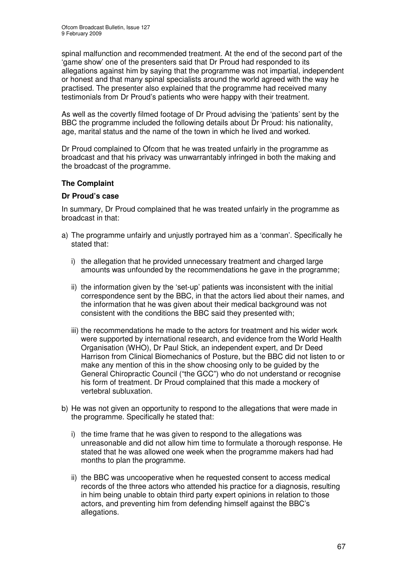spinal malfunction and recommended treatment. At the end of the second part of the 'game show' one of the presenters said that Dr Proud had responded to its allegations against him by saying that the programme was not impartial, independent or honest and that many spinal specialists around the world agreed with the way he practised. The presenter also explained that the programme had received many testimonials from Dr Proud's patients who were happy with their treatment.

As well as the covertly filmed footage of Dr Proud advising the 'patients' sent by the BBC the programme included the following details about Dr Proud: his nationality, age, marital status and the name of the town in which he lived and worked.

Dr Proud complained to Ofcom that he was treated unfairly in the programme as broadcast and that his privacy was unwarrantably infringed in both the making and the broadcast of the programme.

# **The Complaint**

# **Dr Proud's case**

In summary, Dr Proud complained that he was treated unfairly in the programme as broadcast in that:

- a) The programme unfairly and unjustly portrayed him as a 'conman'. Specifically he stated that:
	- i) the allegation that he provided unnecessary treatment and charged large amounts was unfounded by the recommendations he gave in the programme;
	- ii) the information given by the 'set-up' patients was inconsistent with the initial correspondence sent by the BBC, in that the actors lied about their names, and the information that he was given about their medical background was not consistent with the conditions the BBC said they presented with;
	- iii) the recommendations he made to the actors for treatment and his wider work were supported by international research, and evidence from the World Health Organisation (WHO), Dr Paul Stick, an independent expert, and Dr Deed Harrison from Clinical Biomechanics of Posture, but the BBC did not listen to or make any mention of this in the show choosing only to be guided by the General Chiropractic Council ("the GCC") who do not understand or recognise his form of treatment. Dr Proud complained that this made a mockery of vertebral subluxation.
- b) He was not given an opportunity to respond to the allegations that were made in the programme. Specifically he stated that:
	- i) the time frame that he was given to respond to the allegations was unreasonable and did not allow him time to formulate a thorough response. He stated that he was allowed one week when the programme makers had had months to plan the programme.
	- ii) the BBC was uncooperative when he requested consent to access medical records of the three actors who attended his practice for a diagnosis, resulting in him being unable to obtain third party expert opinions in relation to those actors, and preventing him from defending himself against the BBC's allegations.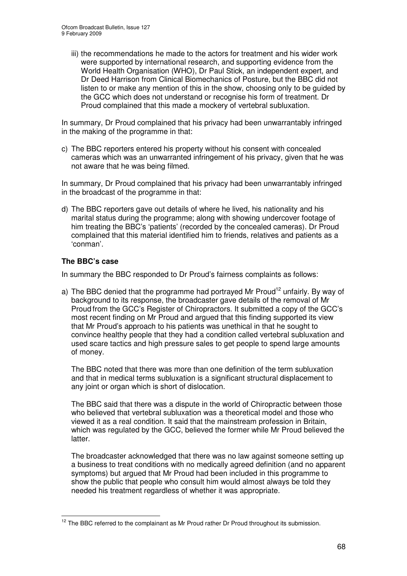iii) the recommendations he made to the actors for treatment and his wider work were supported by international research, and supporting evidence from the World Health Organisation (WHO), Dr Paul Stick, an independent expert, and Dr Deed Harrison from Clinical Biomechanics of Posture, but the BBC did not listen to or make any mention of this in the show, choosing only to be guided by the GCC which does not understand or recognise his form of treatment. Dr Proud complained that this made a mockery of vertebral subluxation.

In summary, Dr Proud complained that his privacy had been unwarrantably infringed in the making of the programme in that:

c) The BBC reporters entered his property without his consent with concealed cameras which was an unwarranted infringement of his privacy, given that he was not aware that he was being filmed.

In summary, Dr Proud complained that his privacy had been unwarrantably infringed in the broadcast of the programme in that:

d) The BBC reporters gave out details of where he lived, his nationality and his marital status during the programme; along with showing undercover footage of him treating the BBC's 'patients' (recorded by the concealed cameras). Dr Proud complained that this material identified him to friends, relatives and patients as a 'conman'.

# **The BBC's case**

In summary the BBC responded to Dr Proud's fairness complaints as follows:

a) The BBC denied that the programme had portrayed Mr Proud<sup>12</sup> unfairly. By way of background to its response, the broadcaster gave details of the removal of Mr Proud from the GCC's Register of Chiropractors. It submitted a copy of the GCC's most recent finding on Mr Proud and argued that this finding supported its view that Mr Proud's approach to his patients was unethical in that he sought to convince healthy people that they had a condition called vertebral subluxation and used scare tactics and high pressure sales to get people to spend large amounts of money.

The BBC noted that there was more than one definition of the term subluxation and that in medical terms subluxation is a significant structural displacement to any joint or organ which is short of dislocation.

The BBC said that there was a dispute in the world of Chiropractic between those who believed that vertebral subluxation was a theoretical model and those who viewed it as a real condition. It said that the mainstream profession in Britain, which was regulated by the GCC, believed the former while Mr Proud believed the latter.

The broadcaster acknowledged that there was no law against someone setting up a business to treat conditions with no medically agreed definition (and no apparent symptoms) but argued that Mr Proud had been included in this programme to show the public that people who consult him would almost always be told they needed his treatment regardless of whether it was appropriate.

<sup>&</sup>lt;sup>12</sup> The BBC referred to the complainant as Mr Proud rather Dr Proud throughout its submission.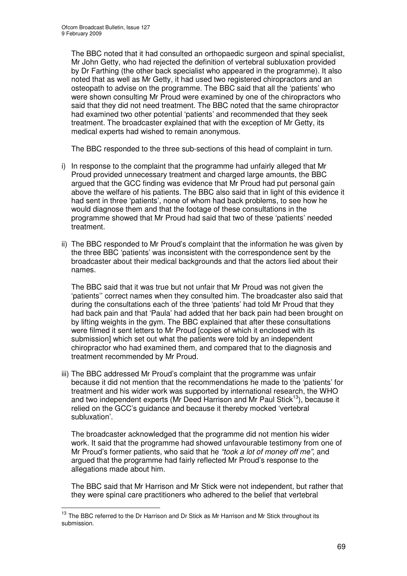The BBC noted that it had consulted an orthopaedic surgeon and spinal specialist, Mr John Getty, who had rejected the definition of vertebral subluxation provided by Dr Farthing (the other back specialist who appeared in the programme). It also noted that as well as Mr Getty, it had used two registered chiropractors and an osteopath to advise on the programme. The BBC said that all the 'patients' who were shown consulting Mr Proud were examined by one of the chiropractors who said that they did not need treatment. The BBC noted that the same chiropractor had examined two other potential 'patients' and recommended that they seek treatment. The broadcaster explained that with the exception of Mr Getty, its medical experts had wished to remain anonymous.

The BBC responded to the three sub-sections of this head of complaint in turn.

- i) In response to the complaint that the programme had unfairly alleged that Mr Proud provided unnecessary treatment and charged large amounts, the BBC argued that the GCC finding was evidence that Mr Proud had put personal gain above the welfare of his patients. The BBC also said that in light of this evidence it had sent in three 'patients', none of whom had back problems, to see how he would diagnose them and that the footage of these consultations in the programme showed that Mr Proud had said that two of these 'patients' needed treatment.
- ii) The BBC responded to Mr Proud's complaint that the information he was given by the three BBC 'patients' was inconsistent with the correspondence sent by the broadcaster about their medical backgrounds and that the actors lied about their names.

The BBC said that it was true but not unfair that Mr Proud was not given the 'patients'' correct names when they consulted him. The broadcaster also said that during the consultations each of the three 'patients' had told Mr Proud that they had back pain and that 'Paula' had added that her back pain had been brought on by lifting weights in the gym. The BBC explained that after these consultations were filmed it sent letters to Mr Proud [copies of which it enclosed with its submission] which set out what the patients were told by an independent chiropractor who had examined them, and compared that to the diagnosis and treatment recommended by Mr Proud.

iii) The BBC addressed Mr Proud's complaint that the programme was unfair because it did not mention that the recommendations he made to the 'patients' for treatment and his wider work was supported by international research, the WHO and two independent experts (Mr Deed Harrison and Mr Paul Stick<sup>13</sup>), because it relied on the GCC's guidance and because it thereby mocked 'vertebral subluxation'.

The broadcaster acknowledged that the programme did not mention his wider work. It said that the programme had showed unfavourable testimony from one of Mr Proud's former patients, who said that he *"took a lot of money off me",* and argued that the programme had fairly reflected Mr Proud's response to the allegations made about him.

The BBC said that Mr Harrison and Mr Stick were not independent, but rather that they were spinal care practitioners who adhered to the belief that vertebral

<sup>&</sup>lt;sup>13</sup> The BBC referred to the Dr Harrison and Dr Stick as Mr Harrison and Mr Stick throughout its submission.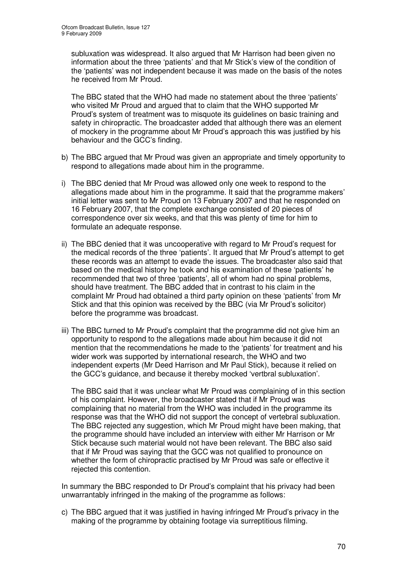subluxation was widespread. It also argued that Mr Harrison had been given no information about the three 'patients' and that Mr Stick's view of the condition of the 'patients' was not independent because it was made on the basis of the notes he received from Mr Proud.

The BBC stated that the WHO had made no statement about the three 'patients' who visited Mr Proud and argued that to claim that the WHO supported Mr Proud's system of treatment was to misquote its guidelines on basic training and safety in chiropractic. The broadcaster added that although there was an element of mockery in the programme about Mr Proud's approach this was justified by his behaviour and the GCC's finding.

- b) The BBC argued that Mr Proud was given an appropriate and timely opportunity to respond to allegations made about him in the programme.
- i) The BBC denied that Mr Proud was allowed only one week to respond to the allegations made about him in the programme. It said that the programme makers' initial letter was sent to Mr Proud on 13 February 2007 and that he responded on 16 February 2007, that the complete exchange consisted of 20 pieces of correspondence over six weeks, and that this was plenty of time for him to formulate an adequate response.
- ii) The BBC denied that it was uncooperative with regard to Mr Proud's request for the medical records of the three 'patients'. It argued that Mr Proud's attempt to get these records was an attempt to evade the issues. The broadcaster also said that based on the medical history he took and his examination of these 'patients' he recommended that two of three 'patients', all of whom had no spinal problems, should have treatment. The BBC added that in contrast to his claim in the complaint Mr Proud had obtained a third party opinion on these 'patients' from Mr Stick and that this opinion was received by the BBC (via Mr Proud's solicitor) before the programme was broadcast.
- iii) The BBC turned to Mr Proud's complaint that the programme did not give him an opportunity to respond to the allegations made about him because it did not mention that the recommendations he made to the 'patients' for treatment and his wider work was supported by international research, the WHO and two independent experts (Mr Deed Harrison and Mr Paul Stick), because it relied on the GCC's guidance, and because it thereby mocked 'vertbral subluxation'.

The BBC said that it was unclear what Mr Proud was complaining of in this section of his complaint. However, the broadcaster stated that if Mr Proud was complaining that no material from the WHO was included in the programme its response was that the WHO did not support the concept of vertebral subluxation. The BBC rejected any suggestion, which Mr Proud might have been making, that the programme should have included an interview with either Mr Harrison or Mr Stick because such material would not have been relevant. The BBC also said that if Mr Proud was saying that the GCC was not qualified to pronounce on whether the form of chiropractic practised by Mr Proud was safe or effective it rejected this contention.

In summary the BBC responded to Dr Proud's complaint that his privacy had been unwarrantably infringed in the making of the programme as follows:

c) The BBC argued that it was justified in having infringed Mr Proud's privacy in the making of the programme by obtaining footage via surreptitious filming.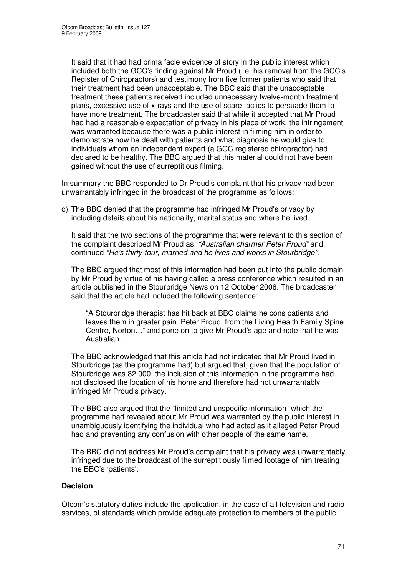It said that it had had prima facie evidence of story in the public interest which included both the GCC's finding against Mr Proud (i.e. his removal from the GCC's Register of Chiropractors) and testimony from five former patients who said that their treatment had been unacceptable. The BBC said that the unacceptable treatment these patients received included unnecessary twelve-month treatment plans, excessive use of x-rays and the use of scare tactics to persuade them to have more treatment. The broadcaster said that while it accepted that Mr Proud had had a reasonable expectation of privacy in his place of work, the infringement was warranted because there was a public interest in filming him in order to demonstrate how he dealt with patients and what diagnosis he would give to individuals whom an independent expert (a GCC registered chiropractor) had declared to be healthy. The BBC argued that this material could not have been gained without the use of surreptitious filming.

In summary the BBC responded to Dr Proud's complaint that his privacy had been unwarrantably infringed in the broadcast of the programme as follows:

d) The BBC denied that the programme had infringed Mr Proud's privacy by including details about his nationality, marital status and where he lived.

It said that the two sections of the programme that were relevant to this section of the complaint described Mr Proud as: *"Australian charmer Peter Proud"* and continued *"He's thirty-four, married and he lives and works in Stourbridge"*.

The BBC argued that most of this information had been put into the public domain by Mr Proud by virtue of his having called a press conference which resulted in an article published in the Stourbridge News on 12 October 2006. The broadcaster said that the article had included the following sentence:

"A Stourbridge therapist has hit back at BBC claims he cons patients and leaves them in greater pain. Peter Proud, from the Living Health Family Spine Centre, Norton…" and gone on to give Mr Proud's age and note that he was Australian.

The BBC acknowledged that this article had not indicated that Mr Proud lived in Stourbridge (as the programme had) but argued that, given that the population of Stourbridge was 82,000, the inclusion of this information in the programme had not disclosed the location of his home and therefore had not unwarrantably infringed Mr Proud's privacy.

The BBC also argued that the "limited and unspecific information" which the programme had revealed about Mr Proud was warranted by the public interest in unambiguously identifying the individual who had acted as it alleged Peter Proud had and preventing any confusion with other people of the same name.

The BBC did not address Mr Proud's complaint that his privacy was unwarrantably infringed due to the broadcast of the surreptitiously filmed footage of him treating the BBC's 'patients'.

# **Decision**

Ofcom's statutory duties include the application, in the case of all television and radio services, of standards which provide adequate protection to members of the public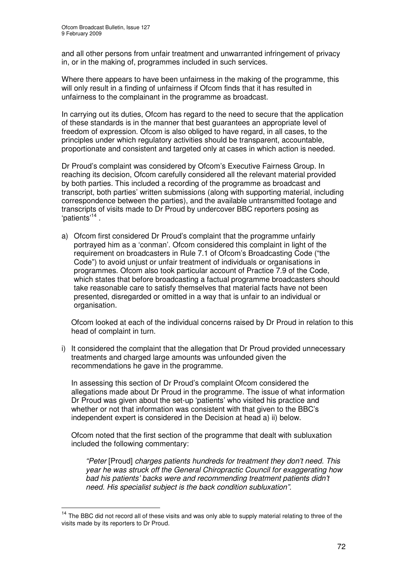and all other persons from unfair treatment and unwarranted infringement of privacy in, or in the making of, programmes included in such services.

Where there appears to have been unfairness in the making of the programme, this will only result in a finding of unfairness if Ofcom finds that it has resulted in unfairness to the complainant in the programme as broadcast.

In carrying out its duties, Ofcom has regard to the need to secure that the application of these standards is in the manner that best guarantees an appropriate level of freedom of expression. Ofcom is also obliged to have regard, in all cases, to the principles under which regulatory activities should be transparent, accountable, proportionate and consistent and targeted only at cases in which action is needed.

Dr Proud's complaint was considered by Ofcom's Executive Fairness Group. In reaching its decision, Ofcom carefully considered all the relevant material provided by both parties. This included a recording of the programme as broadcast and transcript, both parties' written submissions (along with supporting material, including correspondence between the parties), and the available untransmitted footage and transcripts of visits made to Dr Proud by undercover BBC reporters posing as 'patients'<sup>14</sup>.

a) Ofcom first considered Dr Proud's complaint that the programme unfairly portrayed him as a 'conman'. Ofcom considered this complaint in light of the requirement on broadcasters in Rule 7.1 of Ofcom's Broadcasting Code ("the Code") to avoid unjust or unfair treatment of individuals or organisations in programmes. Ofcom also took particular account of Practice 7.9 of the Code, which states that before broadcasting a factual programme broadcasters should take reasonable care to satisfy themselves that material facts have not been presented, disregarded or omitted in a way that is unfair to an individual or organisation.

Ofcom looked at each of the individual concerns raised by Dr Proud in relation to this head of complaint in turn.

i) It considered the complaint that the allegation that Dr Proud provided unnecessary treatments and charged large amounts was unfounded given the recommendations he gave in the programme.

In assessing this section of Dr Proud's complaint Ofcom considered the allegations made about Dr Proud in the programme. The issue of what information Dr Proud was given about the set-up 'patients' who visited his practice and whether or not that information was consistent with that given to the BBC's independent expert is considered in the Decision at head a) ii) below.

Ofcom noted that the first section of the programme that dealt with subluxation included the following commentary:

*"Peter* [Proud] *charges patients hundreds for treatment they don't need. This year he was struck off the General Chiropractic Council for exaggerating how bad his patients' backs were and recommending treatment patients didn't need. His specialist subject is the back condition subluxation".*

<sup>&</sup>lt;sup>14</sup> The BBC did not record all of these visits and was only able to supply material relating to three of the visits made by its reporters to Dr Proud.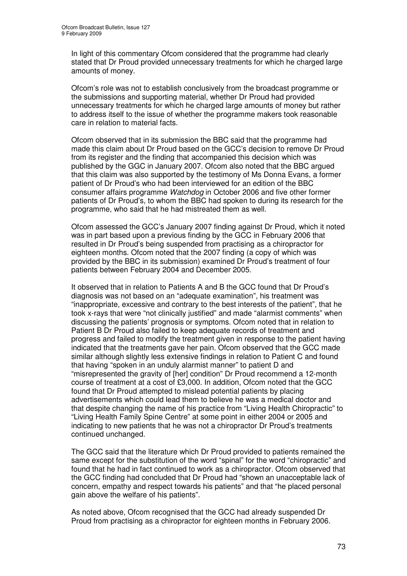In light of this commentary Ofcom considered that the programme had clearly stated that Dr Proud provided unnecessary treatments for which he charged large amounts of money.

Ofcom's role was not to establish conclusively from the broadcast programme or the submissions and supporting material, whether Dr Proud had provided unnecessary treatments for which he charged large amounts of money but rather to address itself to the issue of whether the programme makers took reasonable care in relation to material facts.

Ofcom observed that in its submission the BBC said that the programme had made this claim about Dr Proud based on the GCC's decision to remove Dr Proud from its register and the finding that accompanied this decision which was published by the GGC in January 2007. Ofcom also noted that the BBC argued that this claim was also supported by the testimony of Ms Donna Evans, a former patient of Dr Proud's who had been interviewed for an edition of the BBC consumer affairs programme *Watchdog* in October 2006 and five other former patients of Dr Proud's, to whom the BBC had spoken to during its research for the programme, who said that he had mistreated them as well.

Ofcom assessed the GCC's January 2007 finding against Dr Proud, which it noted was in part based upon a previous finding by the GCC in February 2006 that resulted in Dr Proud's being suspended from practising as a chiropractor for eighteen months. Ofcom noted that the 2007 finding (a copy of which was provided by the BBC in its submission) examined Dr Proud's treatment of four patients between February 2004 and December 2005.

It observed that in relation to Patients A and B the GCC found that Dr Proud's diagnosis was not based on an "adequate examination", his treatment was "inappropriate, excessive and contrary to the best interests of the patient", that he took x-rays that were "not clinically justified" and made "alarmist comments" when discussing the patients' prognosis or symptoms. Ofcom noted that in relation to Patient B Dr Proud also failed to keep adequate records of treatment and progress and failed to modify the treatment given in response to the patient having indicated that the treatments gave her pain. Ofcom observed that the GCC made similar although slightly less extensive findings in relation to Patient C and found that having "spoken in an unduly alarmist manner" to patient D and "misrepresented the gravity of [her] condition" Dr Proud recommend a 12-month course of treatment at a cost of £3,000. In addition, Ofcom noted that the GCC found that Dr Proud attempted to mislead potential patients by placing advertisements which could lead them to believe he was a medical doctor and that despite changing the name of his practice from "Living Health Chiropractic" to "Living Health Family Spine Centre" at some point in either 2004 or 2005 and indicating to new patients that he was not a chiropractor Dr Proud's treatments continued unchanged.

The GCC said that the literature which Dr Proud provided to patients remained the same except for the substitution of the word "spinal" for the word "chiropractic" and found that he had in fact continued to work as a chiropractor. Ofcom observed that the GCC finding had concluded that Dr Proud had "shown an unacceptable lack of concern, empathy and respect towards his patients" and that "he placed personal gain above the welfare of his patients".

As noted above, Ofcom recognised that the GCC had already suspended Dr Proud from practising as a chiropractor for eighteen months in February 2006.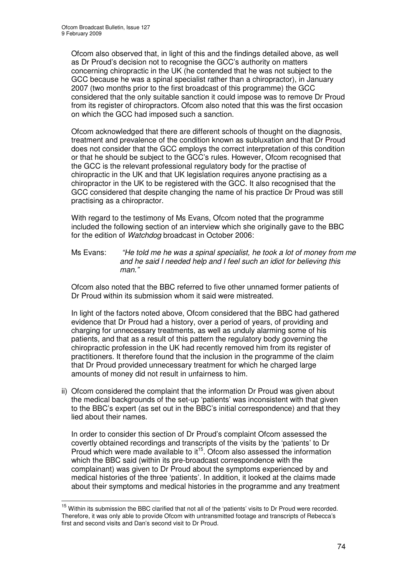Ofcom also observed that, in light of this and the findings detailed above, as well as Dr Proud's decision not to recognise the GCC's authority on matters concerning chiropractic in the UK (he contended that he was not subject to the GCC because he was a spinal specialist rather than a chiropractor), in January 2007 (two months prior to the first broadcast of this programme) the GCC considered that the only suitable sanction it could impose was to remove Dr Proud from its register of chiropractors. Ofcom also noted that this was the first occasion on which the GCC had imposed such a sanction.

Ofcom acknowledged that there are different schools of thought on the diagnosis, treatment and prevalence of the condition known as subluxation and that Dr Proud does not consider that the GCC employs the correct interpretation of this condition or that he should be subject to the GCC's rules. However, Ofcom recognised that the GCC is the relevant professional regulatory body for the practise of chiropractic in the UK and that UK legislation requires anyone practising as a chiropractor in the UK to be registered with the GCC. It also recognised that the GCC considered that despite changing the name of his practice Dr Proud was still practising as a chiropractor.

With regard to the testimony of Ms Evans, Ofcom noted that the programme included the following section of an interview which she originally gave to the BBC for the edition of *Watchdog* broadcast in October 2006:

Ms Evans: *"He told me he was a spinal specialist, he took a lot of money from me and he said I needed help and I feel such an idiot for believing this man."*

Ofcom also noted that the BBC referred to five other unnamed former patients of Dr Proud within its submission whom it said were mistreated.

In light of the factors noted above, Ofcom considered that the BBC had gathered evidence that Dr Proud had a history, over a period of years, of providing and charging for unnecessary treatments, as well as unduly alarming some of his patients, and that as a result of this pattern the regulatory body governing the chiropractic profession in the UK had recently removed him from its register of practitioners. It therefore found that the inclusion in the programme of the claim that Dr Proud provided unnecessary treatment for which he charged large amounts of money did not result in unfairness to him.

ii) Ofcom considered the complaint that the information Dr Proud was given about the medical backgrounds of the set-up 'patients' was inconsistent with that given to the BBC's expert (as set out in the BBC's initial correspondence) and that they lied about their names.

In order to consider this section of Dr Proud's complaint Ofcom assessed the covertly obtained recordings and transcripts of the visits by the 'patients' to Dr Proud which were made available to it<sup>15</sup>. Ofcom also assessed the information which the BBC said (within its pre-broadcast correspondence with the complainant) was given to Dr Proud about the symptoms experienced by and medical histories of the three 'patients'. In addition, it looked at the claims made about their symptoms and medical histories in the programme and any treatment

 $15$  Within its submission the BBC clarified that not all of the 'patients' visits to Dr Proud were recorded. Therefore, it was only able to provide Ofcom with untransmitted footage and transcripts of Rebecca's first and second visits and Dan's second visit to Dr Proud.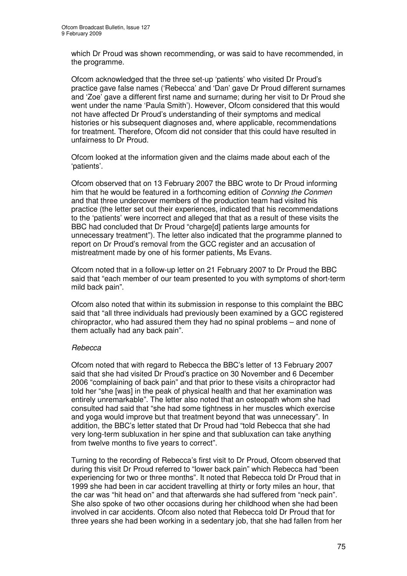which Dr Proud was shown recommending, or was said to have recommended, in the programme.

Ofcom acknowledged that the three set-up 'patients' who visited Dr Proud's practice gave false names ('Rebecca' and 'Dan' gave Dr Proud different surnames and 'Zoe' gave a different first name and surname; during her visit to Dr Proud she went under the name 'Paula Smith'). However, Ofcom considered that this would not have affected Dr Proud's understanding of their symptoms and medical histories or his subsequent diagnoses and, where applicable, recommendations for treatment. Therefore, Ofcom did not consider that this could have resulted in unfairness to Dr Proud.

Ofcom looked at the information given and the claims made about each of the 'patients'.

Ofcom observed that on 13 February 2007 the BBC wrote to Dr Proud informing him that he would be featured in a forthcoming edition of *Conning the Conmen* and that three undercover members of the production team had visited his practice (the letter set out their experiences, indicated that his recommendations to the 'patients' were incorrect and alleged that that as a result of these visits the BBC had concluded that Dr Proud "charge[d] patients large amounts for unnecessary treatment"). The letter also indicated that the programme planned to report on Dr Proud's removal from the GCC register and an accusation of mistreatment made by one of his former patients, Ms Evans.

Ofcom noted that in a follow-up letter on 21 February 2007 to Dr Proud the BBC said that "each member of our team presented to you with symptoms of short-term mild back pain".

Ofcom also noted that within its submission in response to this complaint the BBC said that "all three individuals had previously been examined by a GCC registered chiropractor, who had assured them they had no spinal problems – and none of them actually had any back pain".

### *Rebecca*

Ofcom noted that with regard to Rebecca the BBC's letter of 13 February 2007 said that she had visited Dr Proud's practice on 30 November and 6 December 2006 "complaining of back pain" and that prior to these visits a chiropractor had told her "she [was] in the peak of physical health and that her examination was entirely unremarkable". The letter also noted that an osteopath whom she had consulted had said that "she had some tightness in her muscles which exercise and yoga would improve but that treatment beyond that was unnecessary". In addition, the BBC's letter stated that Dr Proud had "told Rebecca that she had very long-term subluxation in her spine and that subluxation can take anything from twelve months to five years to correct".

Turning to the recording of Rebecca's first visit to Dr Proud, Ofcom observed that during this visit Dr Proud referred to "lower back pain" which Rebecca had "been experiencing for two or three months". It noted that Rebecca told Dr Proud that in 1999 she had been in car accident travelling at thirty or forty miles an hour, that the car was "hit head on" and that afterwards she had suffered from "neck pain". She also spoke of two other occasions during her childhood when she had been involved in car accidents. Ofcom also noted that Rebecca told Dr Proud that for three years she had been working in a sedentary job, that she had fallen from her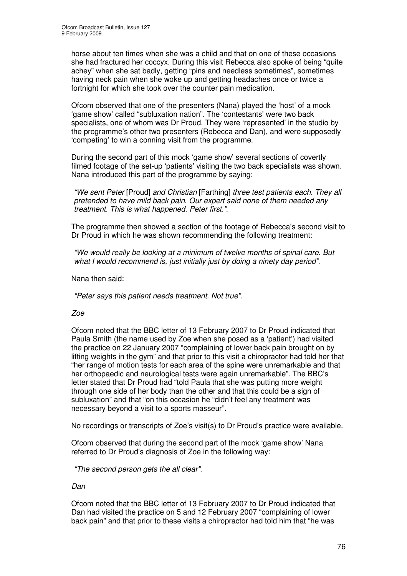horse about ten times when she was a child and that on one of these occasions she had fractured her coccyx. During this visit Rebecca also spoke of being "quite achey" when she sat badly, getting "pins and needless sometimes", sometimes having neck pain when she woke up and getting headaches once or twice a fortnight for which she took over the counter pain medication.

Ofcom observed that one of the presenters (Nana) played the 'host' of a mock 'game show' called "subluxation nation". The 'contestants' were two back specialists, one of whom was Dr Proud. They were 'represented' in the studio by the programme's other two presenters (Rebecca and Dan), and were supposedly 'competing' to win a conning visit from the programme.

During the second part of this mock 'game show' several sections of covertly filmed footage of the set-up 'patients' visiting the two back specialists was shown. Nana introduced this part of the programme by saying:

*"We sent Peter* [Proud] *and Christian* [Farthing] *three test patients each. They all pretended to have mild back pain. Our expert said none of them needed any treatment. This is what happened. Peter first.".*

The programme then showed a section of the footage of Rebecca's second visit to Dr Proud in which he was shown recommending the following treatment:

*"We would really be looking at a minimum of twelve months of spinal care. But what I would recommend is, just initially just by doing a ninety day period".*

Nana then said:

*"Peter says this patient needs treatment. Not true".*

### *Zoe*

Ofcom noted that the BBC letter of 13 February 2007 to Dr Proud indicated that Paula Smith (the name used by Zoe when she posed as a 'patient') had visited the practice on 22 January 2007 "complaining of lower back pain brought on by lifting weights in the gym" and that prior to this visit a chiropractor had told her that "her range of motion tests for each area of the spine were unremarkable and that her orthopaedic and neurological tests were again unremarkable". The BBC's letter stated that Dr Proud had "told Paula that she was putting more weight through one side of her body than the other and that this could be a sign of subluxation" and that "on this occasion he "didn't feel any treatment was necessary beyond a visit to a sports masseur".

No recordings or transcripts of Zoe's visit(s) to Dr Proud's practice were available.

Ofcom observed that during the second part of the mock 'game show' Nana referred to Dr Proud's diagnosis of Zoe in the following way:

*"The second person gets the all clear".*

*Dan*

Ofcom noted that the BBC letter of 13 February 2007 to Dr Proud indicated that Dan had visited the practice on 5 and 12 February 2007 "complaining of lower back pain" and that prior to these visits a chiropractor had told him that "he was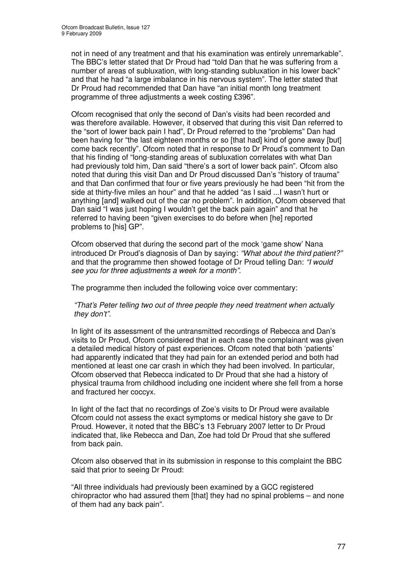not in need of any treatment and that his examination was entirely unremarkable". The BBC's letter stated that Dr Proud had "told Dan that he was suffering from a number of areas of subluxation, with long-standing subluxation in his lower back" and that he had "a large imbalance in his nervous system". The letter stated that Dr Proud had recommended that Dan have "an initial month long treatment programme of three adjustments a week costing £396".

Ofcom recognised that only the second of Dan's visits had been recorded and was therefore available. However, it observed that during this visit Dan referred to the "sort of lower back pain I had", Dr Proud referred to the "problems" Dan had been having for "the last eighteen months or so [that had] kind of gone away [but] come back recently". Ofcom noted that in response to Dr Proud's comment to Dan that his finding of "long-standing areas of subluxation correlates with what Dan had previously told him, Dan said "there's a sort of lower back pain". Ofcom also noted that during this visit Dan and Dr Proud discussed Dan's "history of trauma" and that Dan confirmed that four or five years previously he had been "hit from the side at thirty-five miles an hour" and that he added "as I said ...I wasn't hurt or anything [and] walked out of the car no problem". In addition, Ofcom observed that Dan said "I was just hoping I wouldn't get the back pain again" and that he referred to having been "given exercises to do before when [he] reported problems to [his] GP".

Ofcom observed that during the second part of the mock 'game show' Nana introduced Dr Proud's diagnosis of Dan by saying: *"What about the third patient?"* and that the programme then showed footage of Dr Proud telling Dan: *"I would see you for three adjustments a week for a month".*

The programme then included the following voice over commentary:

*"That's Peter telling two out of three people they need treatment when actually they don't".*

In light of its assessment of the untransmitted recordings of Rebecca and Dan's visits to Dr Proud, Ofcom considered that in each case the complainant was given a detailed medical history of past experiences. Ofcom noted that both 'patients' had apparently indicated that they had pain for an extended period and both had mentioned at least one car crash in which they had been involved. In particular, Ofcom observed that Rebecca indicated to Dr Proud that she had a history of physical trauma from childhood including one incident where she fell from a horse and fractured her coccyx.

In light of the fact that no recordings of Zoe's visits to Dr Proud were available Ofcom could not assess the exact symptoms or medical history she gave to Dr Proud. However, it noted that the BBC's 13 February 2007 letter to Dr Proud indicated that, like Rebecca and Dan, Zoe had told Dr Proud that she suffered from back pain.

Ofcom also observed that in its submission in response to this complaint the BBC said that prior to seeing Dr Proud:

"All three individuals had previously been examined by a GCC registered chiropractor who had assured them [that] they had no spinal problems – and none of them had any back pain".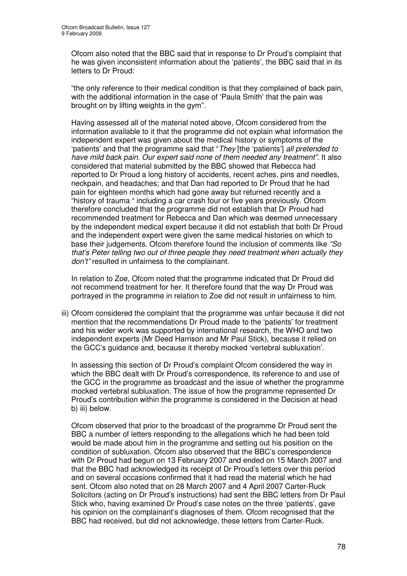Ofcom also noted that the BBC said that in response to Dr Proud's complaint that he was given inconsistent information about the 'patients', the BBC said that in its letters to Dr Proud:

"the only reference to their medical condition is that they complained of back pain, with the additional information in the case of 'Paula Smith' that the pain was brought on by lifting weights in the gym".

Having assessed all of the material noted above, Ofcom considered from the information available to it that the programme did not explain what information the independent expert was given about the medical history or symptoms of the 'patients' and that the programme said that "*They* [the 'patients'] *all pretended to have mild back pain. Our expert said none of them needed any treatment"*. It also considered that material submitted by the BBC showed that Rebecca had reported to Dr Proud a long history of accidents, recent aches, pins and needles, neckpain, and headaches; and that Dan had reported to Dr Proud that he had pain for eighteen months which had gone away but returned recently and a "history of trauma " including a car crash four or five years previously. Ofcom therefore concluded that the programme did not establish that Dr Proud had recommended treatment for Rebecca and Dan which was deemed unnecessary by the independent medical expert because it did not establish that both Dr Proud and the independent expert were given the same medical histories on which to base their judgements. Ofcom therefore found the inclusion of comments like *"So that's Peter telling two out of three people they need treatment when actually they don't"* resulted in unfairness to the complainant.

In relation to Zoe, Ofcom noted that the programme indicated that Dr Proud did not recommend treatment for her. It therefore found that the way Dr Proud was portrayed in the programme in relation to Zoe did not result in unfairness to him.

iii) Ofcom considered the complaint that the programme was unfair because it did not mention that the recommendations Dr Proud made to the 'patients' for treatment and his wider work was supported by international research, the WHO and two independent experts (Mr Deed Harrison and Mr Paul Stick), because it relied on the GCC's guidance and, because it thereby mocked 'vertebral subluxation'.

In assessing this section of Dr Proud's complaint Ofcom considered the way in which the BBC dealt with Dr Proud's correspondence, its reference to and use of the GCC in the programme as broadcast and the issue of whether the programme mocked vertebral subluxation. The issue of how the programme represented Dr Proud's contribution within the programme is considered in the Decision at head b) iii) below.

Ofcom observed that prior to the broadcast of the programme Dr Proud sent the BBC a number of letters responding to the allegations which he had been told would be made about him in the programme and setting out his position on the condition of subluxation. Ofcom also observed that the BBC's correspondence with Dr Proud had begun on 13 February 2007 and ended on 15 March 2007 and that the BBC had acknowledged its receipt of Dr Proud's letters over this period and on several occasions confirmed that it had read the material which he had sent. Ofcom also noted that on 28 March 2007 and 4 April 2007 Carter-Ruck Solicitors (acting on Dr Proud's instructions) had sent the BBC letters from Dr Paul Stick who, having examined Dr Proud's case notes on the three 'patients', gave his opinion on the complainant's diagnoses of them. Ofcom recognised that the BBC had received, but did not acknowledge, these letters from Carter-Ruck.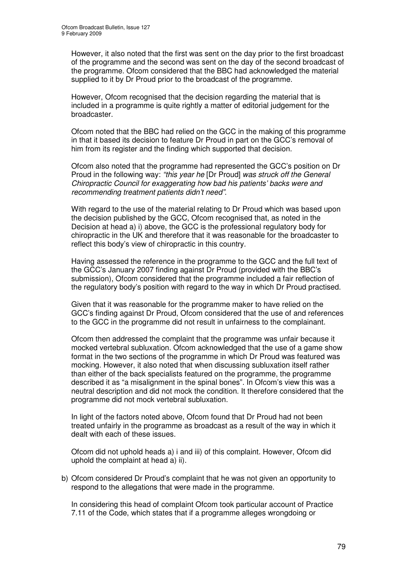However, it also noted that the first was sent on the day prior to the first broadcast of the programme and the second was sent on the day of the second broadcast of the programme. Ofcom considered that the BBC had acknowledged the material supplied to it by Dr Proud prior to the broadcast of the programme.

However, Ofcom recognised that the decision regarding the material that is included in a programme is quite rightly a matter of editorial judgement for the broadcaster.

Ofcom noted that the BBC had relied on the GCC in the making of this programme in that it based its decision to feature Dr Proud in part on the GCC's removal of him from its register and the finding which supported that decision.

Ofcom also noted that the programme had represented the GCC's position on Dr Proud in the following way: *"this year he* [Dr Proud] *was struck off the General Chiropractic Council for exaggerating how bad his patients' backs were and recommending treatment patients didn't need"*.

With regard to the use of the material relating to Dr Proud which was based upon the decision published by the GCC, Ofcom recognised that, as noted in the Decision at head a) i) above, the GCC is the professional regulatory body for chiropractic in the UK and therefore that it was reasonable for the broadcaster to reflect this body's view of chiropractic in this country.

Having assessed the reference in the programme to the GCC and the full text of the GCC's January 2007 finding against Dr Proud (provided with the BBC's submission), Ofcom considered that the programme included a fair reflection of the regulatory body's position with regard to the way in which Dr Proud practised.

Given that it was reasonable for the programme maker to have relied on the GCC's finding against Dr Proud, Ofcom considered that the use of and references to the GCC in the programme did not result in unfairness to the complainant.

Ofcom then addressed the complaint that the programme was unfair because it mocked vertebral subluxation. Ofcom acknowledged that the use of a game show format in the two sections of the programme in which Dr Proud was featured was mocking. However, it also noted that when discussing subluxation itself rather than either of the back specialists featured on the programme, the programme described it as "a misalignment in the spinal bones". In Ofcom's view this was a neutral description and did not mock the condition. It therefore considered that the programme did not mock vertebral subluxation.

In light of the factors noted above, Ofcom found that Dr Proud had not been treated unfairly in the programme as broadcast as a result of the way in which it dealt with each of these issues.

Ofcom did not uphold heads a) i and iii) of this complaint. However, Ofcom did uphold the complaint at head a) ii).

b) Ofcom considered Dr Proud's complaint that he was not given an opportunity to respond to the allegations that were made in the programme.

In considering this head of complaint Ofcom took particular account of Practice 7.11 of the Code, which states that if a programme alleges wrongdoing or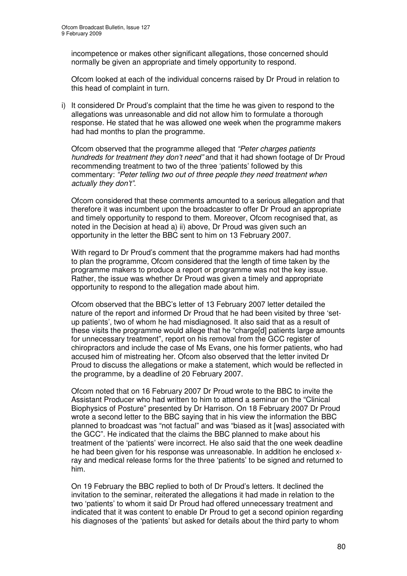incompetence or makes other significant allegations, those concerned should normally be given an appropriate and timely opportunity to respond.

Ofcom looked at each of the individual concerns raised by Dr Proud in relation to this head of complaint in turn.

i) It considered Dr Proud's complaint that the time he was given to respond to the allegations was unreasonable and did not allow him to formulate a thorough response. He stated that he was allowed one week when the programme makers had had months to plan the programme.

Ofcom observed that the programme alleged that *"Peter charges patients hundreds for treatment they don't need"* and that it had shown footage of Dr Proud recommending treatment to two of the three 'patients' followed by this commentary: *"Peter telling two out of three people they need treatment when actually they don't".*

Ofcom considered that these comments amounted to a serious allegation and that therefore it was incumbent upon the broadcaster to offer Dr Proud an appropriate and timely opportunity to respond to them. Moreover, Ofcom recognised that, as noted in the Decision at head a) ii) above, Dr Proud was given such an opportunity in the letter the BBC sent to him on 13 February 2007.

With regard to Dr Proud's comment that the programme makers had had months to plan the programme, Ofcom considered that the length of time taken by the programme makers to produce a report or programme was not the key issue. Rather, the issue was whether Dr Proud was given a timely and appropriate opportunity to respond to the allegation made about him.

Ofcom observed that the BBC's letter of 13 February 2007 letter detailed the nature of the report and informed Dr Proud that he had been visited by three 'setup patients', two of whom he had misdiagnosed. It also said that as a result of these visits the programme would allege that he "charge[d] patients large amounts for unnecessary treatment", report on his removal from the GCC register of chiropractors and include the case of Ms Evans, one his former patients, who had accused him of mistreating her. Ofcom also observed that the letter invited Dr Proud to discuss the allegations or make a statement, which would be reflected in the programme, by a deadline of 20 February 2007.

Ofcom noted that on 16 February 2007 Dr Proud wrote to the BBC to invite the Assistant Producer who had written to him to attend a seminar on the "Clinical Biophysics of Posture" presented by Dr Harrison. On 18 February 2007 Dr Proud wrote a second letter to the BBC saying that in his view the information the BBC planned to broadcast was "not factual" and was "biased as it [was] associated with the GCC". He indicated that the claims the BBC planned to make about his treatment of the 'patients' were incorrect. He also said that the one week deadline he had been given for his response was unreasonable. In addition he enclosed xray and medical release forms for the three 'patients' to be signed and returned to him.

On 19 February the BBC replied to both of Dr Proud's letters. It declined the invitation to the seminar, reiterated the allegations it had made in relation to the two 'patients' to whom it said Dr Proud had offered unnecessary treatment and indicated that it was content to enable Dr Proud to get a second opinion regarding his diagnoses of the 'patients' but asked for details about the third party to whom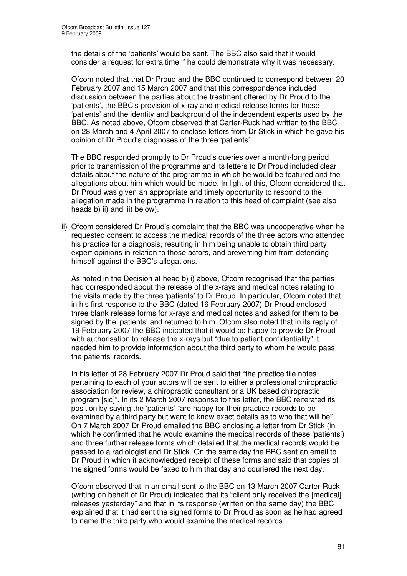the details of the 'patients' would be sent. The BBC also said that it would consider a request for extra time if he could demonstrate why it was necessary.

Ofcom noted that that Dr Proud and the BBC continued to correspond between 20 February 2007 and 15 March 2007 and that this correspondence included discussion between the parties about the treatment offered by Dr Proud to the 'patients', the BBC's provision of x-ray and medical release forms for these 'patients' and the identity and background of the independent experts used by the BBC. As noted above, Ofcom observed that Carter-Ruck had written to the BBC on 28 March and 4 April 2007 to enclose letters from Dr Stick in which he gave his opinion of Dr Proud's diagnoses of the three 'patients'.

The BBC responded promptly to Dr Proud's queries over a month-long period prior to transmission of the programme and its letters to Dr Proud included clear details about the nature of the programme in which he would be featured and the allegations about him which would be made. In light of this, Ofcom considered that Dr Proud was given an appropriate and timely opportunity to respond to the allegation made in the programme in relation to this head of complaint (see also heads b) ii) and iii) below).

ii) Ofcom considered Dr Proud's complaint that the BBC was uncooperative when he requested consent to access the medical records of the three actors who attended his practice for a diagnosis, resulting in him being unable to obtain third party expert opinions in relation to those actors, and preventing him from defending himself against the BBC's allegations.

As noted in the Decision at head b) i) above, Ofcom recognised that the parties had corresponded about the release of the x-rays and medical notes relating to the visits made by the three 'patients' to Dr Proud. In particular, Ofcom noted that in his first response to the BBC (dated 16 February 2007) Dr Proud enclosed three blank release forms for x-rays and medical notes and asked for them to be signed by the 'patients' and returned to him. Ofcom also noted that in its reply of 19 February 2007 the BBC indicated that it would be happy to provide Dr Proud with authorisation to release the x-rays but "due to patient confidentiality" it needed him to provide information about the third party to whom he would pass the patients' records.

In his letter of 28 February 2007 Dr Proud said that "the practice file notes pertaining to each of your actors will be sent to either a professional chiropractic association for review, a chiropractic consultant or a UK based chiropractic program [sic]". In its 2 March 2007 response to this letter, the BBC reiterated its position by saying the 'patients' "are happy for their practice records to be examined by a third party but want to know exact details as to who that will be". On 7 March 2007 Dr Proud emailed the BBC enclosing a letter from Dr Stick (in which he confirmed that he would examine the medical records of these 'patients') and three further release forms which detailed that the medical records would be passed to a radiologist and Dr Stick. On the same day the BBC sent an email to Dr Proud in which it acknowledged receipt of these forms and said that copies of the signed forms would be faxed to him that day and couriered the next day.

Ofcom observed that in an email sent to the BBC on 13 March 2007 Carter-Ruck (writing on behalf of Dr Proud) indicated that its "client only received the [medical] releases yesterday" and that in its response (written on the same day) the BBC explained that it had sent the signed forms to Dr Proud as soon as he had agreed to name the third party who would examine the medical records.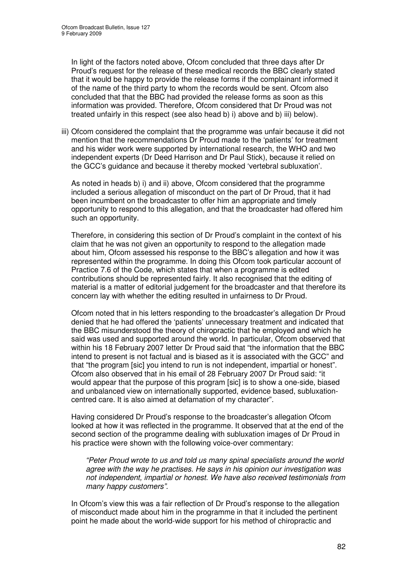In light of the factors noted above, Ofcom concluded that three days after Dr Proud's request for the release of these medical records the BBC clearly stated that it would be happy to provide the release forms if the complainant informed it of the name of the third party to whom the records would be sent. Ofcom also concluded that that the BBC had provided the release forms as soon as this information was provided. Therefore, Ofcom considered that Dr Proud was not treated unfairly in this respect (see also head b) i) above and b) iii) below).

iii) Ofcom considered the complaint that the programme was unfair because it did not mention that the recommendations Dr Proud made to the 'patients' for treatment and his wider work were supported by international research, the WHO and two independent experts (Dr Deed Harrison and Dr Paul Stick), because it relied on the GCC's guidance and because it thereby mocked 'vertebral subluxation'.

As noted in heads b) i) and ii) above, Ofcom considered that the programme included a serious allegation of misconduct on the part of Dr Proud, that it had been incumbent on the broadcaster to offer him an appropriate and timely opportunity to respond to this allegation, and that the broadcaster had offered him such an opportunity.

Therefore, in considering this section of Dr Proud's complaint in the context of his claim that he was not given an opportunity to respond to the allegation made about him, Ofcom assessed his response to the BBC's allegation and how it was represented within the programme. In doing this Ofcom took particular account of Practice 7.6 of the Code, which states that when a programme is edited contributions should be represented fairly. It also recognised that the editing of material is a matter of editorial judgement for the broadcaster and that therefore its concern lay with whether the editing resulted in unfairness to Dr Proud.

Ofcom noted that in his letters responding to the broadcaster's allegation Dr Proud denied that he had offered the 'patients' unnecessary treatment and indicated that the BBC misunderstood the theory of chiropractic that he employed and which he said was used and supported around the world. In particular, Ofcom observed that within his 18 February 2007 letter Dr Proud said that "the information that the BBC intend to present is not factual and is biased as it is associated with the GCC" and that "the program [sic] you intend to run is not independent, impartial or honest". Ofcom also observed that in his email of 28 February 2007 Dr Proud said: "it would appear that the purpose of this program [sic] is to show a one-side, biased and unbalanced view on internationally supported, evidence based, subluxationcentred care. It is also aimed at defamation of my character".

Having considered Dr Proud's response to the broadcaster's allegation Ofcom looked at how it was reflected in the programme. It observed that at the end of the second section of the programme dealing with subluxation images of Dr Proud in his practice were shown with the following voice-over commentary:

*"Peter Proud wrote to us and told us many spinal specialists around the world agree with the way he practises. He says in his opinion our investigation was not independent, impartial or honest. We have also received testimonials from many happy customers".*

In Ofcom's view this was a fair reflection of Dr Proud's response to the allegation of misconduct made about him in the programme in that it included the pertinent point he made about the world-wide support for his method of chiropractic and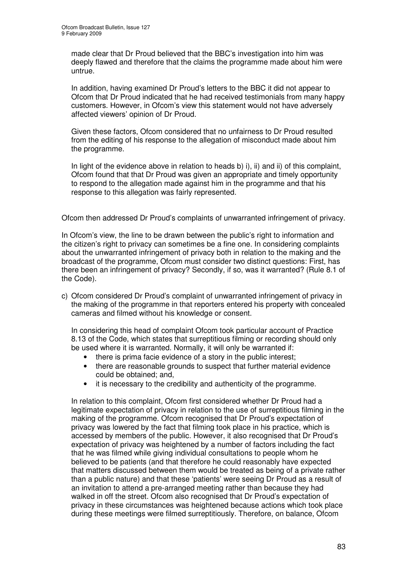made clear that Dr Proud believed that the BBC's investigation into him was deeply flawed and therefore that the claims the programme made about him were untrue.

In addition, having examined Dr Proud's letters to the BBC it did not appear to Ofcom that Dr Proud indicated that he had received testimonials from many happy customers. However, in Ofcom's view this statement would not have adversely affected viewers' opinion of Dr Proud.

Given these factors, Ofcom considered that no unfairness to Dr Proud resulted from the editing of his response to the allegation of misconduct made about him the programme.

In light of the evidence above in relation to heads b) i), ii) and ii) of this complaint, Ofcom found that that Dr Proud was given an appropriate and timely opportunity to respond to the allegation made against him in the programme and that his response to this allegation was fairly represented.

Ofcom then addressed Dr Proud's complaints of unwarranted infringement of privacy.

In Ofcom's view, the line to be drawn between the public's right to information and the citizen's right to privacy can sometimes be a fine one. In considering complaints about the unwarranted infringement of privacy both in relation to the making and the broadcast of the programme, Ofcom must consider two distinct questions: First, has there been an infringement of privacy? Secondly, if so, was it warranted? (Rule 8.1 of the Code).

c) Ofcom considered Dr Proud's complaint of unwarranted infringement of privacy in the making of the programme in that reporters entered his property with concealed cameras and filmed without his knowledge or consent.

In considering this head of complaint Ofcom took particular account of Practice 8.13 of the Code, which states that surreptitious filming or recording should only be used where it is warranted. Normally, it will only be warranted if:

- there is prima facie evidence of a story in the public interest:
- there are reasonable grounds to suspect that further material evidence could be obtained; and,
- it is necessary to the credibility and authenticity of the programme.

In relation to this complaint, Ofcom first considered whether Dr Proud had a legitimate expectation of privacy in relation to the use of surreptitious filming in the making of the programme. Ofcom recognised that Dr Proud's expectation of privacy was lowered by the fact that filming took place in his practice, which is accessed by members of the public. However, it also recognised that Dr Proud's expectation of privacy was heightened by a number of factors including the fact that he was filmed while giving individual consultations to people whom he believed to be patients (and that therefore he could reasonably have expected that matters discussed between them would be treated as being of a private rather than a public nature) and that these 'patients' were seeing Dr Proud as a result of an invitation to attend a pre-arranged meeting rather than because they had walked in off the street. Ofcom also recognised that Dr Proud's expectation of privacy in these circumstances was heightened because actions which took place during these meetings were filmed surreptitiously. Therefore, on balance, Ofcom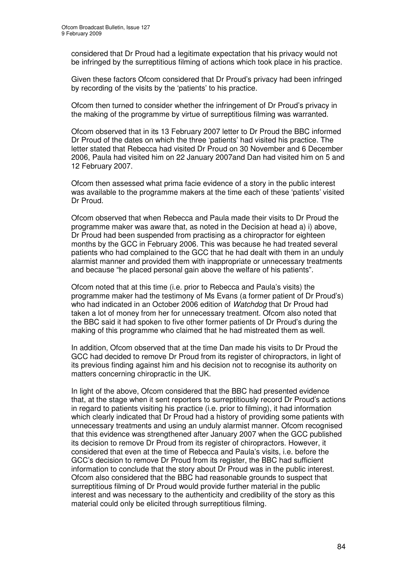considered that Dr Proud had a legitimate expectation that his privacy would not be infringed by the surreptitious filming of actions which took place in his practice.

Given these factors Ofcom considered that Dr Proud's privacy had been infringed by recording of the visits by the 'patients' to his practice.

Ofcom then turned to consider whether the infringement of Dr Proud's privacy in the making of the programme by virtue of surreptitious filming was warranted.

Ofcom observed that in its 13 February 2007 letter to Dr Proud the BBC informed Dr Proud of the dates on which the three 'patients' had visited his practice. The letter stated that Rebecca had visited Dr Proud on 30 November and 6 December 2006, Paula had visited him on 22 January 2007and Dan had visited him on 5 and 12 February 2007.

Ofcom then assessed what prima facie evidence of a story in the public interest was available to the programme makers at the time each of these 'patients' visited Dr Proud.

Ofcom observed that when Rebecca and Paula made their visits to Dr Proud the programme maker was aware that, as noted in the Decision at head a) i) above, Dr Proud had been suspended from practising as a chiropractor for eighteen months by the GCC in February 2006. This was because he had treated several patients who had complained to the GCC that he had dealt with them in an unduly alarmist manner and provided them with inappropriate or unnecessary treatments and because "he placed personal gain above the welfare of his patients".

Ofcom noted that at this time (i.e. prior to Rebecca and Paula's visits) the programme maker had the testimony of Ms Evans (a former patient of Dr Proud's) who had indicated in an October 2006 edition of *Watchdog* that Dr Proud had taken a lot of money from her for unnecessary treatment. Ofcom also noted that the BBC said it had spoken to five other former patients of Dr Proud's during the making of this programme who claimed that he had mistreated them as well.

In addition, Ofcom observed that at the time Dan made his visits to Dr Proud the GCC had decided to remove Dr Proud from its register of chiropractors, in light of its previous finding against him and his decision not to recognise its authority on matters concerning chiropractic in the UK.

In light of the above, Ofcom considered that the BBC had presented evidence that, at the stage when it sent reporters to surreptitiously record Dr Proud's actions in regard to patients visiting his practice (i.e. prior to filming), it had information which clearly indicated that Dr Proud had a history of providing some patients with unnecessary treatments and using an unduly alarmist manner. Ofcom recognised that this evidence was strengthened after January 2007 when the GCC published its decision to remove Dr Proud from its register of chiropractors. However, it considered that even at the time of Rebecca and Paula's visits, i.e. before the GCC's decision to remove Dr Proud from its register, the BBC had sufficient information to conclude that the story about Dr Proud was in the public interest. Ofcom also considered that the BBC had reasonable grounds to suspect that surreptitious filming of Dr Proud would provide further material in the public interest and was necessary to the authenticity and credibility of the story as this material could only be elicited through surreptitious filming.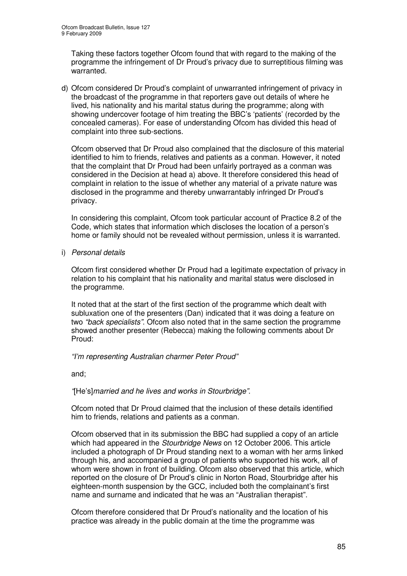Taking these factors together Ofcom found that with regard to the making of the programme the infringement of Dr Proud's privacy due to surreptitious filming was warranted.

d) Ofcom considered Dr Proud's complaint of unwarranted infringement of privacy in the broadcast of the programme in that reporters gave out details of where he lived, his nationality and his marital status during the programme; along with showing undercover footage of him treating the BBC's 'patients' (recorded by the concealed cameras). For ease of understanding Ofcom has divided this head of complaint into three sub-sections.

Ofcom observed that Dr Proud also complained that the disclosure of this material identified to him to friends, relatives and patients as a conman. However, it noted that the complaint that Dr Proud had been unfairly portrayed as a conman was considered in the Decision at head a) above. It therefore considered this head of complaint in relation to the issue of whether any material of a private nature was disclosed in the programme and thereby unwarrantably infringed Dr Proud's privacy.

In considering this complaint, Ofcom took particular account of Practice 8.2 of the Code, which states that information which discloses the location of a person's home or family should not be revealed without permission, unless it is warranted.

i) *Personal details*

Ofcom first considered whether Dr Proud had a legitimate expectation of privacy in relation to his complaint that his nationality and marital status were disclosed in the programme.

It noted that at the start of the first section of the programme which dealt with subluxation one of the presenters (Dan) indicated that it was doing a feature on two *"back specialists"*. Ofcom also noted that in the same section the programme showed another presenter (Rebecca) making the following comments about Dr Proud:

### *"I'm representing Australian charmer Peter Proud"*

and;

### *"*[He's]*married and he lives and works in Stourbridge"*.

Ofcom noted that Dr Proud claimed that the inclusion of these details identified him to friends, relations and patients as a conman.

Ofcom observed that in its submission the BBC had supplied a copy of an article which had appeared in the *Stourbridge News* on 12 October 2006. This article included a photograph of Dr Proud standing next to a woman with her arms linked through his, and accompanied a group of patients who supported his work, all of whom were shown in front of building. Ofcom also observed that this article, which reported on the closure of Dr Proud's clinic in Norton Road, Stourbridge after his eighteen-month suspension by the GCC, included both the complainant's first name and surname and indicated that he was an "Australian therapist".

Ofcom therefore considered that Dr Proud's nationality and the location of his practice was already in the public domain at the time the programme was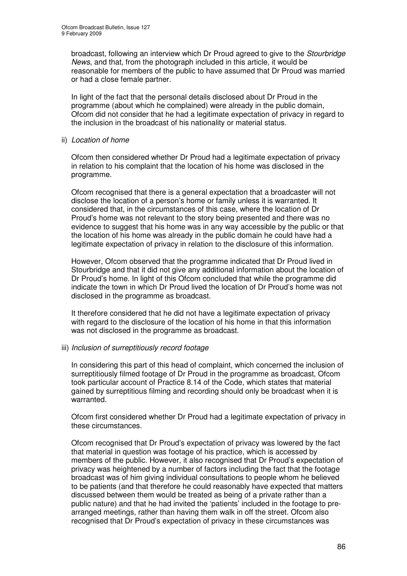broadcast, following an interview which Dr Proud agreed to give to the *Stourbridge News*, and that, from the photograph included in this article, it would be reasonable for members of the public to have assumed that Dr Proud was married or had a close female partner.

In light of the fact that the personal details disclosed about Dr Proud in the programme (about which he complained) were already in the public domain, Ofcom did not consider that he had a legitimate expectation of privacy in regard to the inclusion in the broadcast of his nationality or material status.

ii) *Location of home*

Ofcom then considered whether Dr Proud had a legitimate expectation of privacy in relation to his complaint that the location of his home was disclosed in the programme.

Ofcom recognised that there is a general expectation that a broadcaster will not disclose the location of a person's home or family unless it is warranted. It considered that, in the circumstances of this case, where the location of Dr Proud's home was not relevant to the story being presented and there was no evidence to suggest that his home was in any way accessible by the public or that the location of his home was already in the public domain he could have had a legitimate expectation of privacy in relation to the disclosure of this information.

However, Ofcom observed that the programme indicated that Dr Proud lived in Stourbridge and that it did not give any additional information about the location of Dr Proud's home. In light of this Ofcom concluded that while the programme did indicate the town in which Dr Proud lived the location of Dr Proud's home was not disclosed in the programme as broadcast.

It therefore considered that he did not have a legitimate expectation of privacy with regard to the disclosure of the location of his home in that this information was not disclosed in the programme as broadcast.

### iii) *Inclusion of surreptitiously record footage*

In considering this part of this head of complaint, which concerned the inclusion of surreptitiously filmed footage of Dr Proud in the programme as broadcast, Ofcom took particular account of Practice 8.14 of the Code, which states that material gained by surreptitious filming and recording should only be broadcast when it is warranted.

Ofcom first considered whether Dr Proud had a legitimate expectation of privacy in these circumstances.

Ofcom recognised that Dr Proud's expectation of privacy was lowered by the fact that material in question was footage of his practice, which is accessed by members of the public. However, it also recognised that Dr Proud's expectation of privacy was heightened by a number of factors including the fact that the footage broadcast was of him giving individual consultations to people whom he believed to be patients (and that therefore he could reasonably have expected that matters discussed between them would be treated as being of a private rather than a public nature) and that he had invited the 'patients' included in the footage to prearranged meetings, rather than having them walk in off the street. Ofcom also recognised that Dr Proud's expectation of privacy in these circumstances was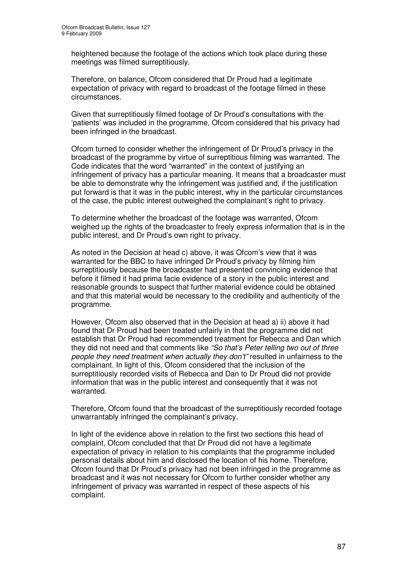heightened because the footage of the actions which took place during these meetings was filmed surreptitiously.

Therefore, on balance, Ofcom considered that Dr Proud had a legitimate expectation of privacy with regard to broadcast of the footage filmed in these circumstances.

Given that surreptitiously filmed footage of Dr Proud's consultations with the 'patients' was included in the programme, Ofcom considered that his privacy had been infringed in the broadcast.

Ofcom turned to consider whether the infringement of Dr Proud's privacy in the broadcast of the programme by virtue of surreptitious filming was warranted. The Code indicates that the word "warranted" in the context of justifying an infringement of privacy has a particular meaning. It means that a broadcaster must be able to demonstrate why the infringement was justified and, if the justification put forward is that it was in the public interest, why in the particular circumstances of the case, the public interest outweighed the complainant's right to privacy.

To determine whether the broadcast of the footage was warranted, Ofcom weighed up the rights of the broadcaster to freely express information that is in the public interest, and Dr Proud's own right to privacy.

As noted in the Decision at head c) above, it was Ofcom's view that it was warranted for the BBC to have infringed Dr Proud's privacy by filming him surreptitiously because the broadcaster had presented convincing evidence that before it filmed it had prima facie evidence of a story in the public interest and reasonable grounds to suspect that further material evidence could be obtained and that this material would be necessary to the credibility and authenticity of the programme.

However, Ofcom also observed that in the Decision at head a) ii) above it had found that Dr Proud had been treated unfairly in that the programme did not establish that Dr Proud had recommended treatment for Rebecca and Dan which they did not need and that comments like *"So that's Peter telling two out of three people they need treatment when actually they don't"* resulted in unfairness to the complainant. In light of this, Ofcom considered that the inclusion of the surreptitiously recorded visits of Rebecca and Dan to Dr Proud did not provide information that was in the public interest and consequently that it was not warranted.

Therefore, Ofcom found that the broadcast of the surreptitiously recorded footage unwarrantably infringed the complainant's privacy.

In light of the evidence above in relation to the first two sections this head of complaint, Ofcom concluded that that Dr Proud did not have a legitimate expectation of privacy in relation to his complaints that the programme included personal details about him and disclosed the location of his home. Therefore, Ofcom found that Dr Proud's privacy had not been infringed in the programme as broadcast and it was not necessary for Ofcom to further consider whether any infringement of privacy was warranted in respect of these aspects of his complaint.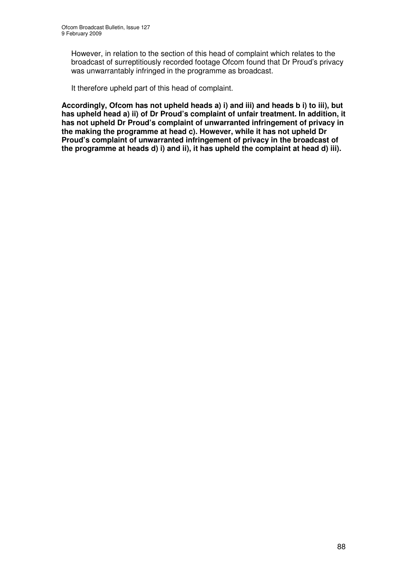However, in relation to the section of this head of complaint which relates to the broadcast of surreptitiously recorded footage Ofcom found that Dr Proud's privacy was unwarrantably infringed in the programme as broadcast.

It therefore upheld part of this head of complaint.

**Accordingly, Ofcom has not upheld heads a) i) and iii) and heads b i) to iii), but has upheld head a) ii) of Dr Proud's complaint of unfair treatment. In addition, it has not upheld Dr Proud's complaint of unwarranted infringement of privacy in the making the programme at head c). However, while it has not upheld Dr Proud's complaint of unwarranted infringement of privacy in the broadcast of the programme at heads d) i) and ii), it has upheld the complaint at head d) iii).**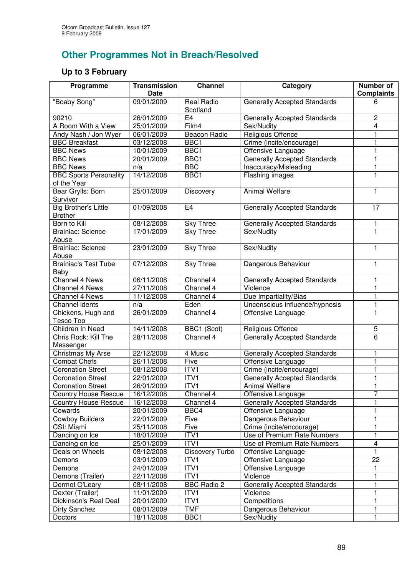# **Other Programmes Not in Breach/Resolved**

## **Up to 3 February**

| Programme                                     | <b>Transmission</b><br>Date | <b>Channel</b>                | Category                            | Number of<br><b>Complaints</b> |
|-----------------------------------------------|-----------------------------|-------------------------------|-------------------------------------|--------------------------------|
| "Boaby Song"                                  | 09/01/2009                  | <b>Real Radio</b><br>Scotland | <b>Generally Accepted Standards</b> | 6                              |
| 90210                                         | 26/01/2009                  | E <sub>4</sub>                | <b>Generally Accepted Standards</b> | 2                              |
| A Room With a View                            | 25/01/2009                  | Film4                         | Sex/Nudity                          | 4                              |
| Andy Nash / Jon Wyer                          | 06/01/2009                  | Beacon Radio                  | Religious Offence                   |                                |
| <b>BBC Breakfast</b>                          | 03/12/2008                  | BBC1                          | Crime (incite/encourage)            |                                |
| <b>BBC News</b>                               | 10/01/2009                  | BBC1                          | Offensive Language                  |                                |
| <b>BBC News</b>                               | 20/01/2009                  | BBC1                          | <b>Generally Accepted Standards</b> |                                |
| <b>BBC News</b>                               | n/a                         | <b>BBC</b>                    | Inaccuracy/Misleading               |                                |
| <b>BBC Sports Personality</b><br>of the Year  | 14/12/2008                  | BBC1                          | Flashing images                     |                                |
| Bear Grylls: Born<br>Survivor                 | 25/01/2009                  | Discovery                     | <b>Animal Welfare</b>               | 1                              |
| <b>Big Brother's Little</b><br><b>Brother</b> | 01/09/2008                  | E4                            | <b>Generally Accepted Standards</b> | 17                             |
| Born to Kill                                  | 08/12/2008                  | Sky Three                     | <b>Generally Accepted Standards</b> | 1                              |
| <b>Brainiac: Science</b><br>Abuse             | 17/01/2009                  | <b>Sky Three</b>              | Sex/Nudity                          | 1                              |
| <b>Brainiac: Science</b><br>Abuse             | 23/01/2009                  | <b>Sky Three</b>              | Sex/Nudity                          | 1                              |
| <b>Brainiac's Test Tube</b><br>Baby           | 07/12/2008                  | <b>Sky Three</b>              | Dangerous Behaviour                 | 1                              |
| Channel 4 News                                | 06/11/2008                  | Channel 4                     | <b>Generally Accepted Standards</b> | 1                              |
| Channel 4 News                                | 27/11/2008                  | Channel 4                     | Violence                            | 1                              |
| Channel 4 News                                | 11/12/2008                  | Channel 4                     | Due Impartiality/Bias               | 1                              |
| Channel idents                                | n/a                         | Eden                          | Unconscious influence/hypnosis      | $\mathbf{1}$                   |
| Chickens, Hugh and<br>Tesco Too               | 26/01/2009                  | Channel 4                     | Offensive Language                  | 1                              |
| Children In Need                              | 14/11/2008                  | BBC1 (Scot)                   | Religious Offence                   | 5                              |
| Chris Rock: Kill The<br>Messenger             | 28/11/2008                  | Channel 4                     | <b>Generally Accepted Standards</b> | 6                              |
| Christmas My Arse                             | 22/12/2008                  | 4 Music                       | <b>Generally Accepted Standards</b> | $\mathbf{1}$                   |
| <b>Combat Chefs</b>                           | 26/11/2008                  | Five                          | Offensive Language                  | 1                              |
| <b>Coronation Street</b>                      | 08/12/2008                  | ITVI                          | Crime (incite/encourage)            | 1                              |
| <b>Coronation Street</b>                      | 22/01/2009                  | ITV1                          | <b>Generally Accepted Standards</b> | $\mathbf{1}$                   |
| <b>Coronation Street</b>                      | 26/01/2009                  | ITV1                          | Animal Welfare                      | 1                              |
| <b>Country House Rescue</b>                   | 16/12/2008                  | Channel 4                     | Offensive Language                  | $\overline{7}$                 |
| <b>Country House Rescue</b>                   | 16/12/2008                  | Channel 4                     | <b>Generally Accepted Standards</b> | 1                              |
| Cowards                                       | 20/01/2009                  | BBC4                          | Offensive Language                  | 1                              |
| <b>Cowboy Builders</b>                        | 22/01/2009                  | Five                          | Dangerous Behaviour                 | 1                              |
| CSI: Miami                                    | 25/11/2008                  | Five                          | Crime (incite/encourage)            | 1                              |
| Dancing on Ice                                | 18/01/2009                  | ITV1                          | Use of Premium Rate Numbers         | 1                              |
| Dancing on Ice                                | 25/01/2009                  | ITV1                          | Use of Premium Rate Numbers         | 4                              |
| Deals on Wheels                               | 08/12/2008                  | Discovery Turbo               | Offensive Language                  | 1                              |
| Demons                                        | 03/01/2009                  | ITV1                          | Offensive Language                  | 22                             |
| Demons                                        | 24/01/2009                  | ITV1                          | Offensive Language                  |                                |
| Demons (Trailer)                              | 22/11/2008                  | ITV1                          | Violence                            | 1                              |
| Dermot O'Leary                                | 08/11/2008                  | <b>BBC Radio 2</b>            | <b>Generally Accepted Standards</b> | 1                              |
| Dexter (Trailer)                              | 11/01/2009                  | ITV1                          | Violence                            | 1                              |
| Dickinson's Real Deal                         | 20/01/2009                  | ITV1                          | Competitions                        | 1                              |
| Dirty Sanchez                                 | 08/01/2009                  | <b>TMF</b>                    | Dangerous Behaviour                 | 1                              |
| Doctors                                       | 18/11/2008                  | BBC1                          | Sex/Nudity                          | 1                              |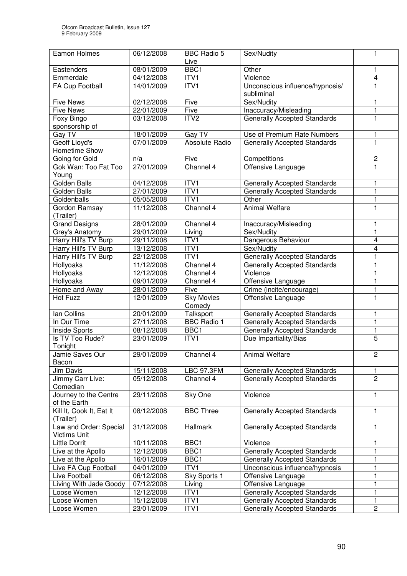| Eamon Holmes                          | 06/12/2008 | <b>BBC Radio 5</b>         | Sex/Nudity                                    | 1              |
|---------------------------------------|------------|----------------------------|-----------------------------------------------|----------------|
|                                       |            | Live                       |                                               |                |
| Eastenders                            | 08/01/2009 | BBC1                       | Other                                         | 1              |
| Emmerdale                             | 04/12/2008 | ITV1                       | Violence                                      | 4              |
| FA Cup Football                       | 14/01/2009 | ITV1                       | Unconscious influence/hypnosis/<br>subliminal | 1              |
| <b>Five News</b>                      | 02/12/2008 | Five                       | Sex/Nudity                                    | 1              |
| <b>Five News</b>                      | 22/01/2009 | Five                       | Inaccuracy/Misleading                         | 1              |
| Foxy Bingo                            | 03/12/2008 | ITV <sub>2</sub>           | <b>Generally Accepted Standards</b>           | 1              |
| sponsorship of                        |            |                            |                                               |                |
| Gay TV                                | 18/01/2009 | Gay $\overline{\text{TV}}$ | Use of Premium Rate Numbers                   | 1              |
| <b>Geoff Lloyd's</b>                  | 07/01/2009 | Absolute Radio             | <b>Generally Accepted Standards</b>           | 1              |
| Hometime Show                         |            |                            |                                               |                |
| Going for Gold                        | n/a        | Five                       | Competitions                                  | $\overline{c}$ |
| Gok Wan: Too Fat Too                  | 27/01/2009 | Channel 4                  | Offensive Language                            | 1              |
| Young                                 |            |                            |                                               |                |
| <b>Golden Balls</b>                   | 04/12/2008 | ITV <sub>1</sub>           | <b>Generally Accepted Standards</b>           | 1              |
| Golden Balls                          | 27/01/2009 | ITVI                       | <b>Generally Accepted Standards</b>           | 1              |
| Goldenballs                           | 05/05/2008 | ITV <sub>1</sub>           | Other                                         | 1              |
| Gordon Ramsay<br>(Trailer)            | 11/12/2008 | Channel 4                  | <b>Animal Welfare</b>                         | 1              |
| <b>Grand Designs</b>                  | 28/01/2009 | Channel 4                  | Inaccuracy/Misleading                         | 1              |
| Grey's Anatomy                        | 29/01/2009 | Living                     | Sex/Nudity                                    | 1              |
| Harry Hill's TV Burp                  | 29/11/2008 | ITV1                       | Dangerous Behaviour                           | 4              |
| Harry Hill's TV Burp                  | 13/12/2008 | ITV1                       | Sex/Nudity                                    | 4              |
| Harry Hill's TV Burp                  | 22/12/2008 | ITVI                       | <b>Generally Accepted Standards</b>           | 1              |
| Hollyoaks                             | 11/12/2008 | Channel 4                  | <b>Generally Accepted Standards</b>           | 1              |
| Hollyoaks                             | 12/12/2008 | Channel 4                  | Violence                                      | 1              |
| Hollyoaks                             | 09/01/2009 | Channel 4                  | Offensive Language                            | 1              |
| Home and Away                         | 28/01/2009 | Five                       | Crime (incite/encourage)                      | 1              |
| Hot Fuzz                              | 12/01/2009 | <b>Sky Movies</b>          | Offensive Language                            | 1              |
|                                       |            | Comedy                     |                                               |                |
| lan Collins                           | 20/01/2009 | Talksport                  | <b>Generally Accepted Standards</b>           | 1              |
| In Our Time                           | 27/11/2008 | <b>BBC Radio 1</b>         | <b>Generally Accepted Standards</b>           | 1              |
| Inside Sports                         | 08/12/2008 | BBC1                       | <b>Generally Accepted Standards</b>           | 1              |
| Is TV Too Rude?                       | 23/01/2009 | ITV1                       | Due Impartiality/Bias                         | 5              |
| Tonight                               |            |                            |                                               |                |
| Jamie Saves Our                       | 29/01/2009 | Channel 4                  | Animal Welfare                                | 2              |
| Bacon                                 |            |                            |                                               |                |
| Jim Davis                             | 15/11/2008 | <b>LBC 97.3FM</b>          | Generally Accepted Standards                  | 1              |
| Jimmy Carr Live:                      | 05/12/2008 | Channel 4                  | <b>Generally Accepted Standards</b>           | $\overline{2}$ |
| Comedian                              |            |                            |                                               |                |
| Journey to the Centre                 | 29/11/2008 | Sky One                    | Violence                                      | 1              |
| of the Earth                          |            |                            |                                               |                |
| Kill It, Cook It, Eat It<br>(Trailer) | 08/12/2008 | <b>BBC Three</b>           | <b>Generally Accepted Standards</b>           | 1              |
| Law and Order: Special                | 31/12/2008 | Hallmark                   | <b>Generally Accepted Standards</b>           | 1              |
| Victims Unit                          |            |                            |                                               |                |
| <b>Little Dorrit</b>                  | 10/11/2008 | BBC1                       | Violence                                      | 1              |
| Live at the Apollo                    | 12/12/2008 | BBC1                       | <b>Generally Accepted Standards</b>           | 1              |
| Live at the Apollo                    | 16/01/2009 | BBC1                       | <b>Generally Accepted Standards</b>           |                |
| Live FA Cup Football                  | 04/01/2009 | ITV1                       | Unconscious influence/hypnosis                |                |
| Live Football                         | 06/12/2008 | Sky Sports 1               | Offensive Language                            |                |
| Living With Jade Goody                | 07/12/2008 | Living                     | Offensive Language                            |                |
| Loose Women                           | 12/12/2008 | ITV1                       | <b>Generally Accepted Standards</b>           |                |
| Loose Women                           | 15/12/2008 | ITV1                       | <b>Generally Accepted Standards</b>           | 1              |
| Loose Women                           | 23/01/2009 | ITV1                       | <b>Generally Accepted Standards</b>           | 2              |
|                                       |            |                            |                                               |                |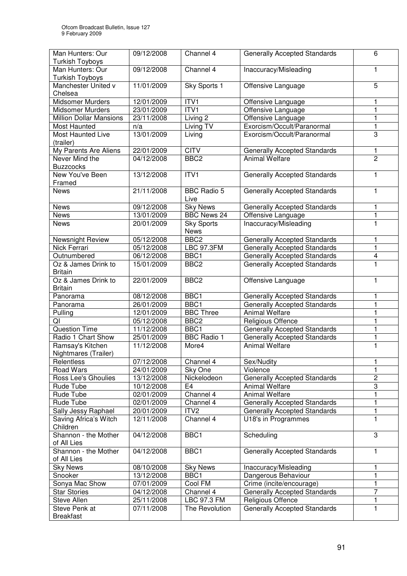| <b>Turkish Toyboys</b><br>Man Hunters: Our<br>Channel 4<br>Inaccuracy/Misleading<br>09/12/2008<br>1<br><b>Turkish Toyboys</b><br>11/01/2009<br>Sky Sports 1<br>$\overline{5}$<br>Manchester United v<br>Offensive Language<br>Chelsea<br>ITVI<br>Midsomer Murders<br>12/01/2009<br>Offensive Language<br>ITVI<br>23/01/2009<br><b>Midsomer Murders</b><br>Offensive Language<br><b>Million Dollar Mansions</b><br>23/11/2008<br>Living 2<br>1<br>Offensive Language<br>Exorcism/Occult/Paranormal<br>1<br>Living TV<br>Most Haunted<br>n/a<br>13/01/2009<br>3<br>Most Haunted Live<br>Living<br>Exorcism/Occult/Paranormal<br>(trailer)<br><b>CITV</b><br>My Parents Are Aliens<br>22/01/2009<br><b>Generally Accepted Standards</b><br>1<br>$\overline{c}$<br>Never Mind the<br>04/12/2008<br>BBC <sub>2</sub><br><b>Animal Welfare</b><br><b>Buzzcocks</b><br>ITVI<br>13/12/2008<br><b>Generally Accepted Standards</b><br>1<br>New You've Been<br>Framed<br>21/11/2008<br><b>BBC Radio 5</b><br><b>Generally Accepted Standards</b><br>1<br><b>News</b><br>Live<br>09/12/2008<br><b>News</b><br><b>Sky News</b><br><b>Generally Accepted Standards</b><br>1<br><b>BBC News 24</b><br>13/01/2009<br>Offensive Language<br><b>News</b><br>1<br>20/01/2009<br><b>Sky Sports</b><br>Inaccuracy/Misleading<br>1<br><b>News</b><br><b>News</b><br>BBC <sub>2</sub><br>05/12/2008<br>Newsnight Review<br><b>Generally Accepted Standards</b><br>1<br><b>Nick Ferrari</b><br><b>LBC 97.3FM</b><br>05/12/2008<br><b>Generally Accepted Standards</b><br>1<br>BBC1<br>Outnumbered<br>06/12/2008<br><b>Generally Accepted Standards</b><br>4<br>Oz & James Drink to<br>15/01/2009<br>BBC <sub>2</sub><br><b>Generally Accepted Standards</b><br>1<br><b>Britain</b><br>Oz & James Drink to<br>22/01/2009<br>BBC <sub>2</sub><br>Offensive Language<br>1<br><b>Britain</b><br>08/12/2008<br>BBC <sub>1</sub><br><b>Generally Accepted Standards</b><br>Panorama<br>1<br>26/01/2009<br>BBC1<br><b>Generally Accepted Standards</b><br>1<br>Panorama<br><b>BBC Three</b><br><b>Animal Welfare</b><br>Pulling<br>12/01/2009<br>1<br>QI<br>BBC <sub>2</sub><br>Religious Offence<br>05/12/2008<br>1<br><b>Question Time</b><br>BBC1<br><b>Generally Accepted Standards</b><br>1<br>11/12/2008<br><b>BBC Radio 1</b><br>Radio 1 Chart Show<br>25/01/2009<br><b>Generally Accepted Standards</b><br>1<br>1<br>Ramsay's Kitchen<br>11/12/2008<br>More4<br><b>Animal Welfare</b><br>Nightmares (Trailer)<br>Channel 4<br>1<br>07/12/2008<br>Sex/Nudity<br>Relentless<br><b>Road Wars</b><br>Violence<br>24/01/2009<br>Sky One<br>1<br>$\overline{c}$<br>Ross Lee's Ghoulies<br>Nickelodeon<br><b>Generally Accepted Standards</b><br>13/12/2008<br>$\overline{\omega}$<br>Rude Tube<br>10/12/2008<br>E4<br><b>Animal Welfare</b><br>Channel 4<br>1<br><b>Animal Welfare</b><br>Rude Tube<br>02/01/2009 | Man Hunters: Our | 09/12/2008 | Channel 4 | <b>Generally Accepted Standards</b> | 6 |
|---------------------------------------------------------------------------------------------------------------------------------------------------------------------------------------------------------------------------------------------------------------------------------------------------------------------------------------------------------------------------------------------------------------------------------------------------------------------------------------------------------------------------------------------------------------------------------------------------------------------------------------------------------------------------------------------------------------------------------------------------------------------------------------------------------------------------------------------------------------------------------------------------------------------------------------------------------------------------------------------------------------------------------------------------------------------------------------------------------------------------------------------------------------------------------------------------------------------------------------------------------------------------------------------------------------------------------------------------------------------------------------------------------------------------------------------------------------------------------------------------------------------------------------------------------------------------------------------------------------------------------------------------------------------------------------------------------------------------------------------------------------------------------------------------------------------------------------------------------------------------------------------------------------------------------------------------------------------------------------------------------------------------------------------------------------------------------------------------------------------------------------------------------------------------------------------------------------------------------------------------------------------------------------------------------------------------------------------------------------------------------------------------------------------------------------------------------------------------------------------------------------------------------------------------------------------------------------------------------------------------------------------------------------------------------------------------------------------------------------------------------------------------------------------------------------------------------------------------------------------------------------|------------------|------------|-----------|-------------------------------------|---|
|                                                                                                                                                                                                                                                                                                                                                                                                                                                                                                                                                                                                                                                                                                                                                                                                                                                                                                                                                                                                                                                                                                                                                                                                                                                                                                                                                                                                                                                                                                                                                                                                                                                                                                                                                                                                                                                                                                                                                                                                                                                                                                                                                                                                                                                                                                                                                                                                                                                                                                                                                                                                                                                                                                                                                                                                                                                                                       |                  |            |           |                                     |   |
|                                                                                                                                                                                                                                                                                                                                                                                                                                                                                                                                                                                                                                                                                                                                                                                                                                                                                                                                                                                                                                                                                                                                                                                                                                                                                                                                                                                                                                                                                                                                                                                                                                                                                                                                                                                                                                                                                                                                                                                                                                                                                                                                                                                                                                                                                                                                                                                                                                                                                                                                                                                                                                                                                                                                                                                                                                                                                       |                  |            |           |                                     |   |
|                                                                                                                                                                                                                                                                                                                                                                                                                                                                                                                                                                                                                                                                                                                                                                                                                                                                                                                                                                                                                                                                                                                                                                                                                                                                                                                                                                                                                                                                                                                                                                                                                                                                                                                                                                                                                                                                                                                                                                                                                                                                                                                                                                                                                                                                                                                                                                                                                                                                                                                                                                                                                                                                                                                                                                                                                                                                                       |                  |            |           |                                     |   |
|                                                                                                                                                                                                                                                                                                                                                                                                                                                                                                                                                                                                                                                                                                                                                                                                                                                                                                                                                                                                                                                                                                                                                                                                                                                                                                                                                                                                                                                                                                                                                                                                                                                                                                                                                                                                                                                                                                                                                                                                                                                                                                                                                                                                                                                                                                                                                                                                                                                                                                                                                                                                                                                                                                                                                                                                                                                                                       |                  |            |           |                                     |   |
|                                                                                                                                                                                                                                                                                                                                                                                                                                                                                                                                                                                                                                                                                                                                                                                                                                                                                                                                                                                                                                                                                                                                                                                                                                                                                                                                                                                                                                                                                                                                                                                                                                                                                                                                                                                                                                                                                                                                                                                                                                                                                                                                                                                                                                                                                                                                                                                                                                                                                                                                                                                                                                                                                                                                                                                                                                                                                       |                  |            |           |                                     |   |
|                                                                                                                                                                                                                                                                                                                                                                                                                                                                                                                                                                                                                                                                                                                                                                                                                                                                                                                                                                                                                                                                                                                                                                                                                                                                                                                                                                                                                                                                                                                                                                                                                                                                                                                                                                                                                                                                                                                                                                                                                                                                                                                                                                                                                                                                                                                                                                                                                                                                                                                                                                                                                                                                                                                                                                                                                                                                                       |                  |            |           |                                     |   |
|                                                                                                                                                                                                                                                                                                                                                                                                                                                                                                                                                                                                                                                                                                                                                                                                                                                                                                                                                                                                                                                                                                                                                                                                                                                                                                                                                                                                                                                                                                                                                                                                                                                                                                                                                                                                                                                                                                                                                                                                                                                                                                                                                                                                                                                                                                                                                                                                                                                                                                                                                                                                                                                                                                                                                                                                                                                                                       |                  |            |           |                                     |   |
|                                                                                                                                                                                                                                                                                                                                                                                                                                                                                                                                                                                                                                                                                                                                                                                                                                                                                                                                                                                                                                                                                                                                                                                                                                                                                                                                                                                                                                                                                                                                                                                                                                                                                                                                                                                                                                                                                                                                                                                                                                                                                                                                                                                                                                                                                                                                                                                                                                                                                                                                                                                                                                                                                                                                                                                                                                                                                       |                  |            |           |                                     |   |
|                                                                                                                                                                                                                                                                                                                                                                                                                                                                                                                                                                                                                                                                                                                                                                                                                                                                                                                                                                                                                                                                                                                                                                                                                                                                                                                                                                                                                                                                                                                                                                                                                                                                                                                                                                                                                                                                                                                                                                                                                                                                                                                                                                                                                                                                                                                                                                                                                                                                                                                                                                                                                                                                                                                                                                                                                                                                                       |                  |            |           |                                     |   |
|                                                                                                                                                                                                                                                                                                                                                                                                                                                                                                                                                                                                                                                                                                                                                                                                                                                                                                                                                                                                                                                                                                                                                                                                                                                                                                                                                                                                                                                                                                                                                                                                                                                                                                                                                                                                                                                                                                                                                                                                                                                                                                                                                                                                                                                                                                                                                                                                                                                                                                                                                                                                                                                                                                                                                                                                                                                                                       |                  |            |           |                                     |   |
|                                                                                                                                                                                                                                                                                                                                                                                                                                                                                                                                                                                                                                                                                                                                                                                                                                                                                                                                                                                                                                                                                                                                                                                                                                                                                                                                                                                                                                                                                                                                                                                                                                                                                                                                                                                                                                                                                                                                                                                                                                                                                                                                                                                                                                                                                                                                                                                                                                                                                                                                                                                                                                                                                                                                                                                                                                                                                       |                  |            |           |                                     |   |
|                                                                                                                                                                                                                                                                                                                                                                                                                                                                                                                                                                                                                                                                                                                                                                                                                                                                                                                                                                                                                                                                                                                                                                                                                                                                                                                                                                                                                                                                                                                                                                                                                                                                                                                                                                                                                                                                                                                                                                                                                                                                                                                                                                                                                                                                                                                                                                                                                                                                                                                                                                                                                                                                                                                                                                                                                                                                                       |                  |            |           |                                     |   |
|                                                                                                                                                                                                                                                                                                                                                                                                                                                                                                                                                                                                                                                                                                                                                                                                                                                                                                                                                                                                                                                                                                                                                                                                                                                                                                                                                                                                                                                                                                                                                                                                                                                                                                                                                                                                                                                                                                                                                                                                                                                                                                                                                                                                                                                                                                                                                                                                                                                                                                                                                                                                                                                                                                                                                                                                                                                                                       |                  |            |           |                                     |   |
|                                                                                                                                                                                                                                                                                                                                                                                                                                                                                                                                                                                                                                                                                                                                                                                                                                                                                                                                                                                                                                                                                                                                                                                                                                                                                                                                                                                                                                                                                                                                                                                                                                                                                                                                                                                                                                                                                                                                                                                                                                                                                                                                                                                                                                                                                                                                                                                                                                                                                                                                                                                                                                                                                                                                                                                                                                                                                       |                  |            |           |                                     |   |
|                                                                                                                                                                                                                                                                                                                                                                                                                                                                                                                                                                                                                                                                                                                                                                                                                                                                                                                                                                                                                                                                                                                                                                                                                                                                                                                                                                                                                                                                                                                                                                                                                                                                                                                                                                                                                                                                                                                                                                                                                                                                                                                                                                                                                                                                                                                                                                                                                                                                                                                                                                                                                                                                                                                                                                                                                                                                                       |                  |            |           |                                     |   |
|                                                                                                                                                                                                                                                                                                                                                                                                                                                                                                                                                                                                                                                                                                                                                                                                                                                                                                                                                                                                                                                                                                                                                                                                                                                                                                                                                                                                                                                                                                                                                                                                                                                                                                                                                                                                                                                                                                                                                                                                                                                                                                                                                                                                                                                                                                                                                                                                                                                                                                                                                                                                                                                                                                                                                                                                                                                                                       |                  |            |           |                                     |   |
|                                                                                                                                                                                                                                                                                                                                                                                                                                                                                                                                                                                                                                                                                                                                                                                                                                                                                                                                                                                                                                                                                                                                                                                                                                                                                                                                                                                                                                                                                                                                                                                                                                                                                                                                                                                                                                                                                                                                                                                                                                                                                                                                                                                                                                                                                                                                                                                                                                                                                                                                                                                                                                                                                                                                                                                                                                                                                       |                  |            |           |                                     |   |
|                                                                                                                                                                                                                                                                                                                                                                                                                                                                                                                                                                                                                                                                                                                                                                                                                                                                                                                                                                                                                                                                                                                                                                                                                                                                                                                                                                                                                                                                                                                                                                                                                                                                                                                                                                                                                                                                                                                                                                                                                                                                                                                                                                                                                                                                                                                                                                                                                                                                                                                                                                                                                                                                                                                                                                                                                                                                                       |                  |            |           |                                     |   |
|                                                                                                                                                                                                                                                                                                                                                                                                                                                                                                                                                                                                                                                                                                                                                                                                                                                                                                                                                                                                                                                                                                                                                                                                                                                                                                                                                                                                                                                                                                                                                                                                                                                                                                                                                                                                                                                                                                                                                                                                                                                                                                                                                                                                                                                                                                                                                                                                                                                                                                                                                                                                                                                                                                                                                                                                                                                                                       |                  |            |           |                                     |   |
|                                                                                                                                                                                                                                                                                                                                                                                                                                                                                                                                                                                                                                                                                                                                                                                                                                                                                                                                                                                                                                                                                                                                                                                                                                                                                                                                                                                                                                                                                                                                                                                                                                                                                                                                                                                                                                                                                                                                                                                                                                                                                                                                                                                                                                                                                                                                                                                                                                                                                                                                                                                                                                                                                                                                                                                                                                                                                       |                  |            |           |                                     |   |
|                                                                                                                                                                                                                                                                                                                                                                                                                                                                                                                                                                                                                                                                                                                                                                                                                                                                                                                                                                                                                                                                                                                                                                                                                                                                                                                                                                                                                                                                                                                                                                                                                                                                                                                                                                                                                                                                                                                                                                                                                                                                                                                                                                                                                                                                                                                                                                                                                                                                                                                                                                                                                                                                                                                                                                                                                                                                                       |                  |            |           |                                     |   |
|                                                                                                                                                                                                                                                                                                                                                                                                                                                                                                                                                                                                                                                                                                                                                                                                                                                                                                                                                                                                                                                                                                                                                                                                                                                                                                                                                                                                                                                                                                                                                                                                                                                                                                                                                                                                                                                                                                                                                                                                                                                                                                                                                                                                                                                                                                                                                                                                                                                                                                                                                                                                                                                                                                                                                                                                                                                                                       |                  |            |           |                                     |   |
|                                                                                                                                                                                                                                                                                                                                                                                                                                                                                                                                                                                                                                                                                                                                                                                                                                                                                                                                                                                                                                                                                                                                                                                                                                                                                                                                                                                                                                                                                                                                                                                                                                                                                                                                                                                                                                                                                                                                                                                                                                                                                                                                                                                                                                                                                                                                                                                                                                                                                                                                                                                                                                                                                                                                                                                                                                                                                       |                  |            |           |                                     |   |
|                                                                                                                                                                                                                                                                                                                                                                                                                                                                                                                                                                                                                                                                                                                                                                                                                                                                                                                                                                                                                                                                                                                                                                                                                                                                                                                                                                                                                                                                                                                                                                                                                                                                                                                                                                                                                                                                                                                                                                                                                                                                                                                                                                                                                                                                                                                                                                                                                                                                                                                                                                                                                                                                                                                                                                                                                                                                                       |                  |            |           |                                     |   |
|                                                                                                                                                                                                                                                                                                                                                                                                                                                                                                                                                                                                                                                                                                                                                                                                                                                                                                                                                                                                                                                                                                                                                                                                                                                                                                                                                                                                                                                                                                                                                                                                                                                                                                                                                                                                                                                                                                                                                                                                                                                                                                                                                                                                                                                                                                                                                                                                                                                                                                                                                                                                                                                                                                                                                                                                                                                                                       |                  |            |           |                                     |   |
|                                                                                                                                                                                                                                                                                                                                                                                                                                                                                                                                                                                                                                                                                                                                                                                                                                                                                                                                                                                                                                                                                                                                                                                                                                                                                                                                                                                                                                                                                                                                                                                                                                                                                                                                                                                                                                                                                                                                                                                                                                                                                                                                                                                                                                                                                                                                                                                                                                                                                                                                                                                                                                                                                                                                                                                                                                                                                       |                  |            |           |                                     |   |
|                                                                                                                                                                                                                                                                                                                                                                                                                                                                                                                                                                                                                                                                                                                                                                                                                                                                                                                                                                                                                                                                                                                                                                                                                                                                                                                                                                                                                                                                                                                                                                                                                                                                                                                                                                                                                                                                                                                                                                                                                                                                                                                                                                                                                                                                                                                                                                                                                                                                                                                                                                                                                                                                                                                                                                                                                                                                                       |                  |            |           |                                     |   |
|                                                                                                                                                                                                                                                                                                                                                                                                                                                                                                                                                                                                                                                                                                                                                                                                                                                                                                                                                                                                                                                                                                                                                                                                                                                                                                                                                                                                                                                                                                                                                                                                                                                                                                                                                                                                                                                                                                                                                                                                                                                                                                                                                                                                                                                                                                                                                                                                                                                                                                                                                                                                                                                                                                                                                                                                                                                                                       |                  |            |           |                                     |   |
|                                                                                                                                                                                                                                                                                                                                                                                                                                                                                                                                                                                                                                                                                                                                                                                                                                                                                                                                                                                                                                                                                                                                                                                                                                                                                                                                                                                                                                                                                                                                                                                                                                                                                                                                                                                                                                                                                                                                                                                                                                                                                                                                                                                                                                                                                                                                                                                                                                                                                                                                                                                                                                                                                                                                                                                                                                                                                       |                  |            |           |                                     |   |
|                                                                                                                                                                                                                                                                                                                                                                                                                                                                                                                                                                                                                                                                                                                                                                                                                                                                                                                                                                                                                                                                                                                                                                                                                                                                                                                                                                                                                                                                                                                                                                                                                                                                                                                                                                                                                                                                                                                                                                                                                                                                                                                                                                                                                                                                                                                                                                                                                                                                                                                                                                                                                                                                                                                                                                                                                                                                                       |                  |            |           |                                     |   |
|                                                                                                                                                                                                                                                                                                                                                                                                                                                                                                                                                                                                                                                                                                                                                                                                                                                                                                                                                                                                                                                                                                                                                                                                                                                                                                                                                                                                                                                                                                                                                                                                                                                                                                                                                                                                                                                                                                                                                                                                                                                                                                                                                                                                                                                                                                                                                                                                                                                                                                                                                                                                                                                                                                                                                                                                                                                                                       |                  |            |           |                                     |   |
|                                                                                                                                                                                                                                                                                                                                                                                                                                                                                                                                                                                                                                                                                                                                                                                                                                                                                                                                                                                                                                                                                                                                                                                                                                                                                                                                                                                                                                                                                                                                                                                                                                                                                                                                                                                                                                                                                                                                                                                                                                                                                                                                                                                                                                                                                                                                                                                                                                                                                                                                                                                                                                                                                                                                                                                                                                                                                       |                  |            |           |                                     |   |
|                                                                                                                                                                                                                                                                                                                                                                                                                                                                                                                                                                                                                                                                                                                                                                                                                                                                                                                                                                                                                                                                                                                                                                                                                                                                                                                                                                                                                                                                                                                                                                                                                                                                                                                                                                                                                                                                                                                                                                                                                                                                                                                                                                                                                                                                                                                                                                                                                                                                                                                                                                                                                                                                                                                                                                                                                                                                                       |                  |            |           |                                     |   |
|                                                                                                                                                                                                                                                                                                                                                                                                                                                                                                                                                                                                                                                                                                                                                                                                                                                                                                                                                                                                                                                                                                                                                                                                                                                                                                                                                                                                                                                                                                                                                                                                                                                                                                                                                                                                                                                                                                                                                                                                                                                                                                                                                                                                                                                                                                                                                                                                                                                                                                                                                                                                                                                                                                                                                                                                                                                                                       |                  |            |           |                                     |   |
|                                                                                                                                                                                                                                                                                                                                                                                                                                                                                                                                                                                                                                                                                                                                                                                                                                                                                                                                                                                                                                                                                                                                                                                                                                                                                                                                                                                                                                                                                                                                                                                                                                                                                                                                                                                                                                                                                                                                                                                                                                                                                                                                                                                                                                                                                                                                                                                                                                                                                                                                                                                                                                                                                                                                                                                                                                                                                       |                  |            |           |                                     |   |
|                                                                                                                                                                                                                                                                                                                                                                                                                                                                                                                                                                                                                                                                                                                                                                                                                                                                                                                                                                                                                                                                                                                                                                                                                                                                                                                                                                                                                                                                                                                                                                                                                                                                                                                                                                                                                                                                                                                                                                                                                                                                                                                                                                                                                                                                                                                                                                                                                                                                                                                                                                                                                                                                                                                                                                                                                                                                                       |                  |            |           |                                     |   |
|                                                                                                                                                                                                                                                                                                                                                                                                                                                                                                                                                                                                                                                                                                                                                                                                                                                                                                                                                                                                                                                                                                                                                                                                                                                                                                                                                                                                                                                                                                                                                                                                                                                                                                                                                                                                                                                                                                                                                                                                                                                                                                                                                                                                                                                                                                                                                                                                                                                                                                                                                                                                                                                                                                                                                                                                                                                                                       |                  |            |           |                                     |   |
|                                                                                                                                                                                                                                                                                                                                                                                                                                                                                                                                                                                                                                                                                                                                                                                                                                                                                                                                                                                                                                                                                                                                                                                                                                                                                                                                                                                                                                                                                                                                                                                                                                                                                                                                                                                                                                                                                                                                                                                                                                                                                                                                                                                                                                                                                                                                                                                                                                                                                                                                                                                                                                                                                                                                                                                                                                                                                       |                  |            |           |                                     |   |
|                                                                                                                                                                                                                                                                                                                                                                                                                                                                                                                                                                                                                                                                                                                                                                                                                                                                                                                                                                                                                                                                                                                                                                                                                                                                                                                                                                                                                                                                                                                                                                                                                                                                                                                                                                                                                                                                                                                                                                                                                                                                                                                                                                                                                                                                                                                                                                                                                                                                                                                                                                                                                                                                                                                                                                                                                                                                                       |                  |            |           |                                     |   |
|                                                                                                                                                                                                                                                                                                                                                                                                                                                                                                                                                                                                                                                                                                                                                                                                                                                                                                                                                                                                                                                                                                                                                                                                                                                                                                                                                                                                                                                                                                                                                                                                                                                                                                                                                                                                                                                                                                                                                                                                                                                                                                                                                                                                                                                                                                                                                                                                                                                                                                                                                                                                                                                                                                                                                                                                                                                                                       |                  |            |           |                                     |   |
|                                                                                                                                                                                                                                                                                                                                                                                                                                                                                                                                                                                                                                                                                                                                                                                                                                                                                                                                                                                                                                                                                                                                                                                                                                                                                                                                                                                                                                                                                                                                                                                                                                                                                                                                                                                                                                                                                                                                                                                                                                                                                                                                                                                                                                                                                                                                                                                                                                                                                                                                                                                                                                                                                                                                                                                                                                                                                       |                  |            |           |                                     |   |
| 1<br>Channel 4<br><b>Generally Accepted Standards</b><br>Rude Tube<br>02/01/2009                                                                                                                                                                                                                                                                                                                                                                                                                                                                                                                                                                                                                                                                                                                                                                                                                                                                                                                                                                                                                                                                                                                                                                                                                                                                                                                                                                                                                                                                                                                                                                                                                                                                                                                                                                                                                                                                                                                                                                                                                                                                                                                                                                                                                                                                                                                                                                                                                                                                                                                                                                                                                                                                                                                                                                                                      |                  |            |           |                                     |   |
| 1<br>Sally Jessy Raphael<br>ITV <sub>2</sub><br>20/01/2009<br><b>Generally Accepted Standards</b>                                                                                                                                                                                                                                                                                                                                                                                                                                                                                                                                                                                                                                                                                                                                                                                                                                                                                                                                                                                                                                                                                                                                                                                                                                                                                                                                                                                                                                                                                                                                                                                                                                                                                                                                                                                                                                                                                                                                                                                                                                                                                                                                                                                                                                                                                                                                                                                                                                                                                                                                                                                                                                                                                                                                                                                     |                  |            |           |                                     |   |
| Channel 4<br>1<br>Saving Africa's Witch<br>12/11/2008<br>U18's in Programmes<br>Children                                                                                                                                                                                                                                                                                                                                                                                                                                                                                                                                                                                                                                                                                                                                                                                                                                                                                                                                                                                                                                                                                                                                                                                                                                                                                                                                                                                                                                                                                                                                                                                                                                                                                                                                                                                                                                                                                                                                                                                                                                                                                                                                                                                                                                                                                                                                                                                                                                                                                                                                                                                                                                                                                                                                                                                              |                  |            |           |                                     |   |
| Shannon - the Mother<br>3<br>04/12/2008<br>BBC1<br>Scheduling                                                                                                                                                                                                                                                                                                                                                                                                                                                                                                                                                                                                                                                                                                                                                                                                                                                                                                                                                                                                                                                                                                                                                                                                                                                                                                                                                                                                                                                                                                                                                                                                                                                                                                                                                                                                                                                                                                                                                                                                                                                                                                                                                                                                                                                                                                                                                                                                                                                                                                                                                                                                                                                                                                                                                                                                                         |                  |            |           |                                     |   |
| of All Lies                                                                                                                                                                                                                                                                                                                                                                                                                                                                                                                                                                                                                                                                                                                                                                                                                                                                                                                                                                                                                                                                                                                                                                                                                                                                                                                                                                                                                                                                                                                                                                                                                                                                                                                                                                                                                                                                                                                                                                                                                                                                                                                                                                                                                                                                                                                                                                                                                                                                                                                                                                                                                                                                                                                                                                                                                                                                           |                  |            |           |                                     |   |
| Shannon - the Mother<br>04/12/2008<br>BBC1<br><b>Generally Accepted Standards</b><br>1                                                                                                                                                                                                                                                                                                                                                                                                                                                                                                                                                                                                                                                                                                                                                                                                                                                                                                                                                                                                                                                                                                                                                                                                                                                                                                                                                                                                                                                                                                                                                                                                                                                                                                                                                                                                                                                                                                                                                                                                                                                                                                                                                                                                                                                                                                                                                                                                                                                                                                                                                                                                                                                                                                                                                                                                |                  |            |           |                                     |   |
| of All Lies                                                                                                                                                                                                                                                                                                                                                                                                                                                                                                                                                                                                                                                                                                                                                                                                                                                                                                                                                                                                                                                                                                                                                                                                                                                                                                                                                                                                                                                                                                                                                                                                                                                                                                                                                                                                                                                                                                                                                                                                                                                                                                                                                                                                                                                                                                                                                                                                                                                                                                                                                                                                                                                                                                                                                                                                                                                                           |                  |            |           |                                     |   |
| 1<br><b>Sky News</b><br>08/10/2008<br><b>Sky News</b><br>Inaccuracy/Misleading                                                                                                                                                                                                                                                                                                                                                                                                                                                                                                                                                                                                                                                                                                                                                                                                                                                                                                                                                                                                                                                                                                                                                                                                                                                                                                                                                                                                                                                                                                                                                                                                                                                                                                                                                                                                                                                                                                                                                                                                                                                                                                                                                                                                                                                                                                                                                                                                                                                                                                                                                                                                                                                                                                                                                                                                        |                  |            |           |                                     |   |
| BBC1<br>Dangerous Behaviour<br>1<br>Snooker<br>13/12/2008                                                                                                                                                                                                                                                                                                                                                                                                                                                                                                                                                                                                                                                                                                                                                                                                                                                                                                                                                                                                                                                                                                                                                                                                                                                                                                                                                                                                                                                                                                                                                                                                                                                                                                                                                                                                                                                                                                                                                                                                                                                                                                                                                                                                                                                                                                                                                                                                                                                                                                                                                                                                                                                                                                                                                                                                                             |                  |            |           |                                     |   |
| Sonya Mac Show<br>1<br>Cool FM<br>Crime (incite/encourage)<br>07/01/2009                                                                                                                                                                                                                                                                                                                                                                                                                                                                                                                                                                                                                                                                                                                                                                                                                                                                                                                                                                                                                                                                                                                                                                                                                                                                                                                                                                                                                                                                                                                                                                                                                                                                                                                                                                                                                                                                                                                                                                                                                                                                                                                                                                                                                                                                                                                                                                                                                                                                                                                                                                                                                                                                                                                                                                                                              |                  |            |           |                                     |   |
| 7<br>04/12/2008<br>Channel 4                                                                                                                                                                                                                                                                                                                                                                                                                                                                                                                                                                                                                                                                                                                                                                                                                                                                                                                                                                                                                                                                                                                                                                                                                                                                                                                                                                                                                                                                                                                                                                                                                                                                                                                                                                                                                                                                                                                                                                                                                                                                                                                                                                                                                                                                                                                                                                                                                                                                                                                                                                                                                                                                                                                                                                                                                                                          |                  |            |           |                                     |   |
| <b>Star Stories</b><br><b>Generally Accepted Standards</b>                                                                                                                                                                                                                                                                                                                                                                                                                                                                                                                                                                                                                                                                                                                                                                                                                                                                                                                                                                                                                                                                                                                                                                                                                                                                                                                                                                                                                                                                                                                                                                                                                                                                                                                                                                                                                                                                                                                                                                                                                                                                                                                                                                                                                                                                                                                                                                                                                                                                                                                                                                                                                                                                                                                                                                                                                            |                  |            |           |                                     |   |
| Religious Offence<br>1<br>Steve Allen<br>LBC 97.3 FM<br>25/11/2008<br>1<br>Steve Penk at<br>07/11/2008<br>The Revolution                                                                                                                                                                                                                                                                                                                                                                                                                                                                                                                                                                                                                                                                                                                                                                                                                                                                                                                                                                                                                                                                                                                                                                                                                                                                                                                                                                                                                                                                                                                                                                                                                                                                                                                                                                                                                                                                                                                                                                                                                                                                                                                                                                                                                                                                                                                                                                                                                                                                                                                                                                                                                                                                                                                                                              |                  |            |           |                                     |   |
| <b>Generally Accepted Standards</b><br><b>Breakfast</b>                                                                                                                                                                                                                                                                                                                                                                                                                                                                                                                                                                                                                                                                                                                                                                                                                                                                                                                                                                                                                                                                                                                                                                                                                                                                                                                                                                                                                                                                                                                                                                                                                                                                                                                                                                                                                                                                                                                                                                                                                                                                                                                                                                                                                                                                                                                                                                                                                                                                                                                                                                                                                                                                                                                                                                                                                               |                  |            |           |                                     |   |